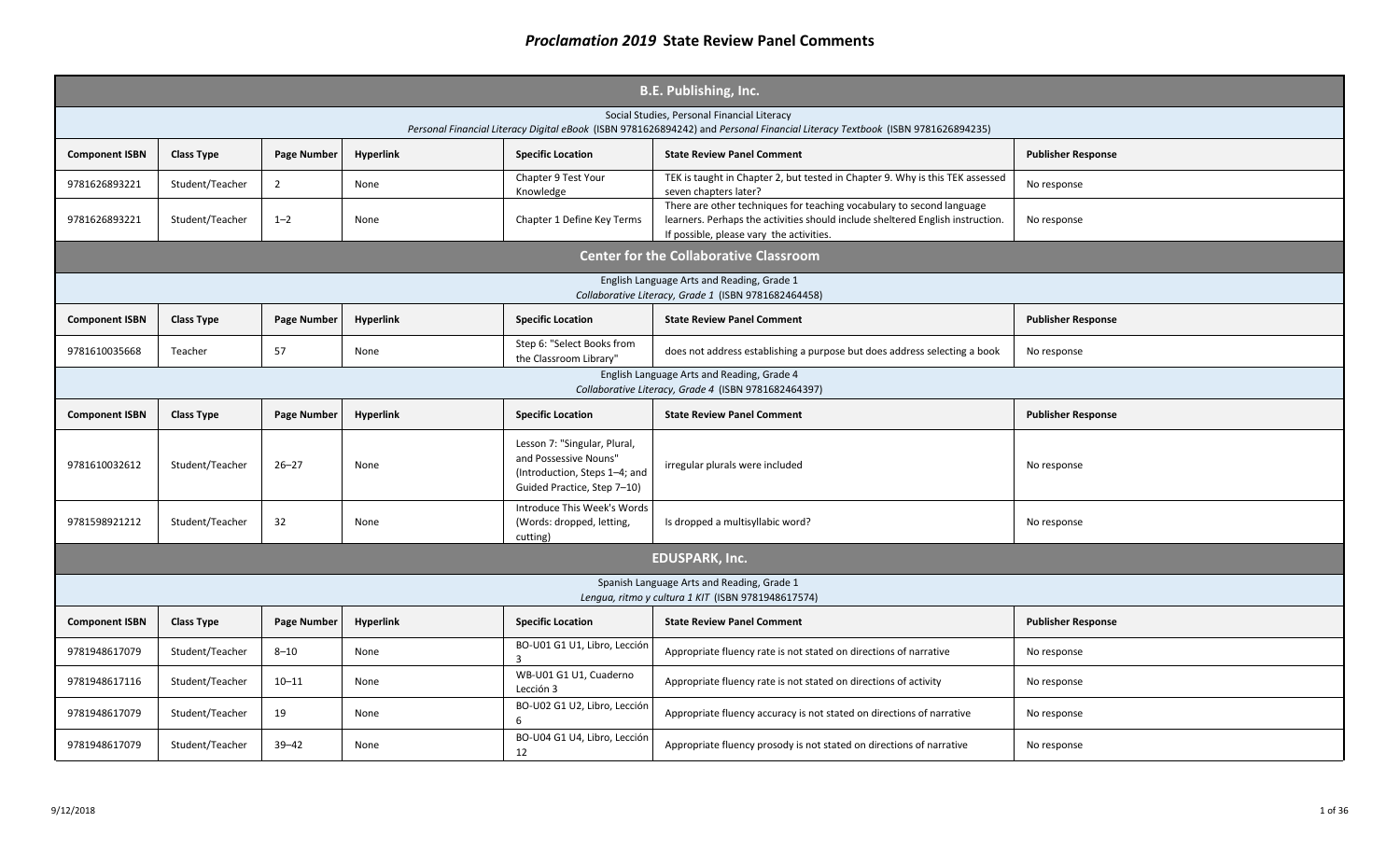|                                                                                                                                                                             | <b>B.E. Publishing, Inc.</b> |                    |                  |                                                                                                                       |                                                                                                                                                                                                     |                           |  |  |  |
|-----------------------------------------------------------------------------------------------------------------------------------------------------------------------------|------------------------------|--------------------|------------------|-----------------------------------------------------------------------------------------------------------------------|-----------------------------------------------------------------------------------------------------------------------------------------------------------------------------------------------------|---------------------------|--|--|--|
| Social Studies, Personal Financial Literacy<br>Personal Financial Literacy Digital eBook (ISBN 9781626894242) and Personal Financial Literacy Textbook (ISBN 9781626894235) |                              |                    |                  |                                                                                                                       |                                                                                                                                                                                                     |                           |  |  |  |
| <b>Component ISBN</b>                                                                                                                                                       | <b>Class Type</b>            | Page Number        | Hyperlink        | <b>Specific Location</b>                                                                                              | <b>State Review Panel Comment</b>                                                                                                                                                                   | <b>Publisher Response</b> |  |  |  |
| 9781626893221                                                                                                                                                               | Student/Teacher              | $\overline{2}$     | None             | Chapter 9 Test Your<br>Knowledge                                                                                      | TEK is taught in Chapter 2, but tested in Chapter 9. Why is this TEK assessed<br>seven chapters later?                                                                                              | No response               |  |  |  |
| 9781626893221                                                                                                                                                               | Student/Teacher              | $1 - 2$            | None             | Chapter 1 Define Key Terms                                                                                            | There are other techniques for teaching vocabulary to second language<br>learners. Perhaps the activities should include sheltered English instruction.<br>If possible, please vary the activities. | No response               |  |  |  |
| <b>Center for the Collaborative Classroom</b>                                                                                                                               |                              |                    |                  |                                                                                                                       |                                                                                                                                                                                                     |                           |  |  |  |
| English Language Arts and Reading, Grade 1<br>Collaborative Literacy, Grade 1 (ISBN 9781682464458)                                                                          |                              |                    |                  |                                                                                                                       |                                                                                                                                                                                                     |                           |  |  |  |
| <b>Component ISBN</b>                                                                                                                                                       | <b>Class Type</b>            | Page Number        | Hyperlink        | <b>Specific Location</b>                                                                                              | <b>State Review Panel Comment</b>                                                                                                                                                                   | <b>Publisher Response</b> |  |  |  |
| 9781610035668                                                                                                                                                               | Teacher                      | 57                 | None             | Step 6: "Select Books from<br>the Classroom Library"                                                                  | does not address establishing a purpose but does address selecting a book                                                                                                                           | No response               |  |  |  |
| English Language Arts and Reading, Grade 4<br>Collaborative Literacy, Grade 4 (ISBN 9781682464397)                                                                          |                              |                    |                  |                                                                                                                       |                                                                                                                                                                                                     |                           |  |  |  |
| <b>Component ISBN</b>                                                                                                                                                       | <b>Class Type</b>            | <b>Page Number</b> | <b>Hyperlink</b> | <b>Specific Location</b>                                                                                              | <b>State Review Panel Comment</b>                                                                                                                                                                   | <b>Publisher Response</b> |  |  |  |
| 9781610032612                                                                                                                                                               | Student/Teacher              | $26 - 27$          | None             | Lesson 7: "Singular, Plural,<br>and Possessive Nouns"<br>(Introduction, Steps 1-4; and<br>Guided Practice, Step 7-10) | irregular plurals were included                                                                                                                                                                     | No response               |  |  |  |
| 9781598921212                                                                                                                                                               | Student/Teacher              | 32                 | None             | Introduce This Week's Words<br>(Words: dropped, letting,<br>cutting)                                                  | Is dropped a multisyllabic word?                                                                                                                                                                    | No response               |  |  |  |
|                                                                                                                                                                             |                              |                    |                  |                                                                                                                       | <b>EDUSPARK, Inc.</b>                                                                                                                                                                               |                           |  |  |  |
|                                                                                                                                                                             |                              |                    |                  |                                                                                                                       | Spanish Language Arts and Reading, Grade 1<br>Lengua, ritmo y cultura 1 KIT (ISBN 9781948617574)                                                                                                    |                           |  |  |  |
| <b>Component ISBN</b>                                                                                                                                                       | <b>Class Type</b>            | <b>Page Number</b> | Hyperlink        | <b>Specific Location</b>                                                                                              | <b>State Review Panel Comment</b>                                                                                                                                                                   | <b>Publisher Response</b> |  |  |  |
| 9781948617079                                                                                                                                                               | Student/Teacher              | $8 - 10$           | None             | BO-U01 G1 U1, Libro, Lección<br>$\overline{3}$                                                                        | Appropriate fluency rate is not stated on directions of narrative                                                                                                                                   | No response               |  |  |  |
| 9781948617116                                                                                                                                                               | Student/Teacher              | $10 - 11$          | None             | WB-U01 G1 U1, Cuaderno<br>Lección 3                                                                                   | Appropriate fluency rate is not stated on directions of activity                                                                                                                                    | No response               |  |  |  |
| 9781948617079                                                                                                                                                               | Student/Teacher              | 19                 | None             | BO-U02 G1 U2, Libro, Lección<br>6                                                                                     | Appropriate fluency accuracy is not stated on directions of narrative                                                                                                                               | No response               |  |  |  |
| 9781948617079                                                                                                                                                               | Student/Teacher              | $39 - 42$          | None             | BO-U04 G1 U4, Libro, Lección<br>12                                                                                    | Appropriate fluency prosody is not stated on directions of narrative                                                                                                                                | No response               |  |  |  |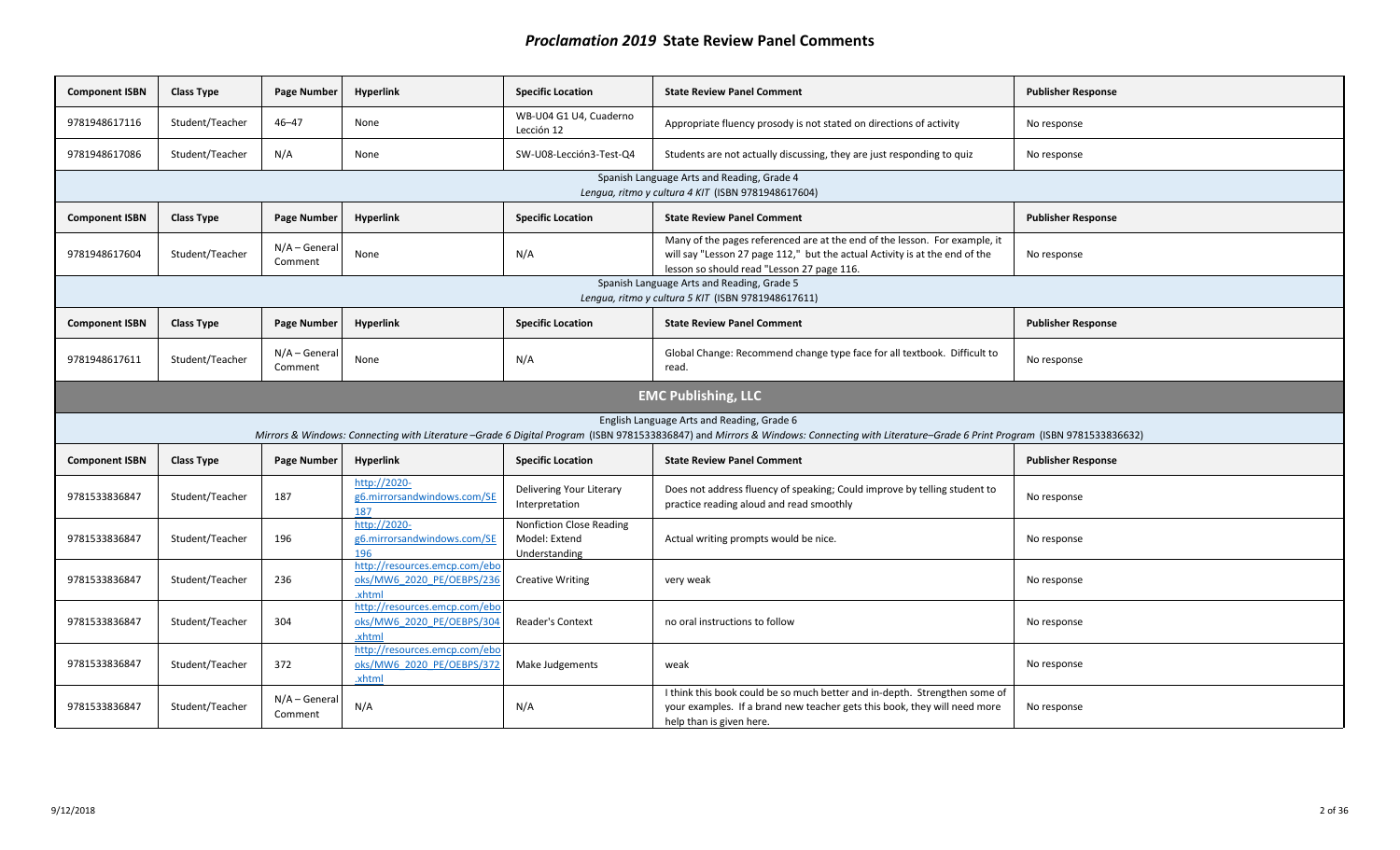| <b>Component ISBN</b>      | <b>Class Type</b> | Page Number                | <b>Hyperlink</b>                                                     | <b>Specific Location</b>                                          | <b>State Review Panel Comment</b>                                                                                                                                                                                                      | <b>Publisher Response</b> |  |  |
|----------------------------|-------------------|----------------------------|----------------------------------------------------------------------|-------------------------------------------------------------------|----------------------------------------------------------------------------------------------------------------------------------------------------------------------------------------------------------------------------------------|---------------------------|--|--|
| 9781948617116              | Student/Teacher   | $46 - 47$                  | None                                                                 | WB-U04 G1 U4, Cuaderno<br>Lección 12                              | Appropriate fluency prosody is not stated on directions of activity                                                                                                                                                                    | No response               |  |  |
| 9781948617086              | Student/Teacher   | N/A                        | None                                                                 | SW-U08-Lección3-Test-Q4                                           | Students are not actually discussing, they are just responding to quiz                                                                                                                                                                 | No response               |  |  |
|                            |                   |                            |                                                                      |                                                                   | Spanish Language Arts and Reading, Grade 4<br>Lengua, ritmo y cultura 4 KIT (ISBN 9781948617604)                                                                                                                                       |                           |  |  |
| <b>Component ISBN</b>      | <b>Class Type</b> | Page Number                | <b>Hyperlink</b>                                                     | <b>Specific Location</b>                                          | <b>State Review Panel Comment</b>                                                                                                                                                                                                      | <b>Publisher Response</b> |  |  |
| 9781948617604              | Student/Teacher   | $N/A - General$<br>Comment | None                                                                 | N/A                                                               | Many of the pages referenced are at the end of the lesson. For example, it<br>will say "Lesson 27 page 112," but the actual Activity is at the end of the<br>lesson so should read "Lesson 27 page 116.                                | No response               |  |  |
|                            |                   |                            |                                                                      |                                                                   | Spanish Language Arts and Reading, Grade 5<br>Lengua, ritmo y cultura 5 KIT (ISBN 9781948617611)                                                                                                                                       |                           |  |  |
| <b>Component ISBN</b>      | Class Type        | Page Number                | <b>Hyperlink</b>                                                     | <b>Specific Location</b>                                          | <b>State Review Panel Comment</b>                                                                                                                                                                                                      | <b>Publisher Response</b> |  |  |
| 9781948617611              | Student/Teacher   | $N/A - General$<br>Comment | None                                                                 | N/A                                                               | Global Change: Recommend change type face for all textbook. Difficult to<br>read.                                                                                                                                                      | No response               |  |  |
| <b>EMC Publishing, LLC</b> |                   |                            |                                                                      |                                                                   |                                                                                                                                                                                                                                        |                           |  |  |
|                            |                   |                            |                                                                      |                                                                   | English Language Arts and Reading, Grade 6<br>Mirrors & Windows: Connecting with Literature -Grade 6 Digital Program (ISBN 9781533836847) and Mirrors & Windows: Connecting with Literature-Grade 6 Print Program (ISBN 9781533836632) |                           |  |  |
| <b>Component ISBN</b>      | <b>Class Type</b> | Page Number                | <b>Hyperlink</b>                                                     | <b>Specific Location</b>                                          | <b>State Review Panel Comment</b>                                                                                                                                                                                                      | <b>Publisher Response</b> |  |  |
| 9781533836847              | Student/Teacher   | 187                        | http://2020-<br>g6.mirrorsandwindows.com/SE<br>187                   | Delivering Your Literary<br>Interpretation                        | Does not address fluency of speaking; Could improve by telling student to<br>practice reading aloud and read smoothly                                                                                                                  | No response               |  |  |
| 9781533836847              | Student/Teacher   | 196                        | http://2020-<br>g6.mirrorsandwindows.com/SE<br>196                   | <b>Nonfiction Close Reading</b><br>Model: Extend<br>Understanding | Actual writing prompts would be nice.                                                                                                                                                                                                  | No response               |  |  |
| 9781533836847              | Student/Teacher   | 236                        | http://resources.emcp.com/ebo<br>oks/MW6 2020 PE/OEBPS/236<br>.xhtml | <b>Creative Writing</b>                                           | very weak                                                                                                                                                                                                                              | No response               |  |  |
| 9781533836847              | Student/Teacher   | 304                        | http://resources.emcp.com/ebo<br>oks/MW6 2020 PE/OEBPS/304<br>.xhtml | Reader's Context                                                  | no oral instructions to follow                                                                                                                                                                                                         | No response               |  |  |
| 9781533836847              | Student/Teacher   | 372                        | http://resources.emcp.com/ebo<br>oks/MW6 2020 PE/OEBPS/372<br>.xhtml | Make Judgements                                                   | weak                                                                                                                                                                                                                                   | No response               |  |  |
| 9781533836847              | Student/Teacher   | $N/A - General$<br>Comment | N/A                                                                  | N/A                                                               | I think this book could be so much better and in-depth. Strengthen some of<br>your examples. If a brand new teacher gets this book, they will need more<br>help than is given here.                                                    | No response               |  |  |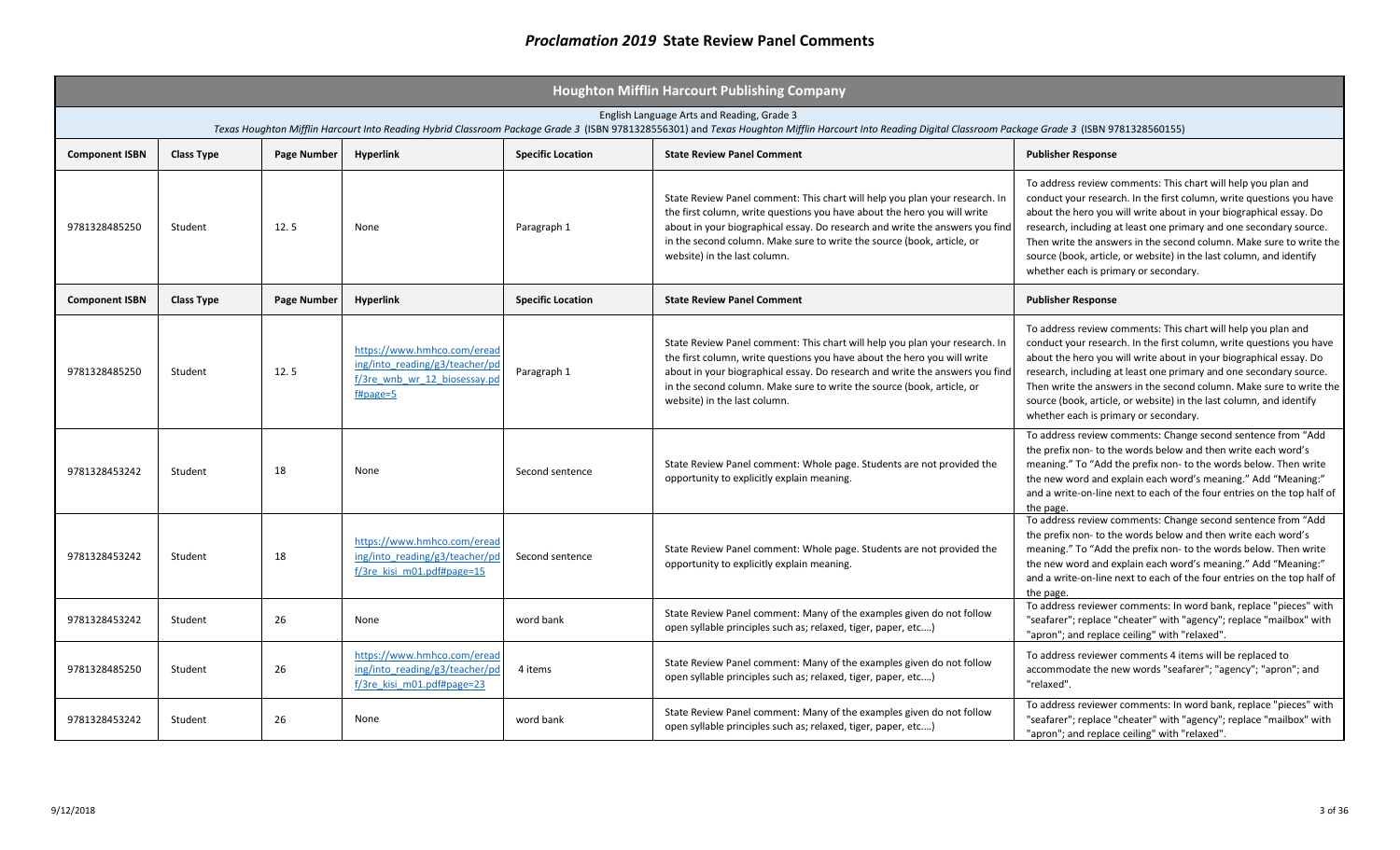|                                                                                                                                                                                                                                                          | <b>Houghton Mifflin Harcourt Publishing Company</b> |             |                                                                                                               |                          |                                                                                                                                                                                                                                                                                                                                                   |                                                                                                                                                                                                                                                                                                                                                                                                                                                                          |  |  |  |
|----------------------------------------------------------------------------------------------------------------------------------------------------------------------------------------------------------------------------------------------------------|-----------------------------------------------------|-------------|---------------------------------------------------------------------------------------------------------------|--------------------------|---------------------------------------------------------------------------------------------------------------------------------------------------------------------------------------------------------------------------------------------------------------------------------------------------------------------------------------------------|--------------------------------------------------------------------------------------------------------------------------------------------------------------------------------------------------------------------------------------------------------------------------------------------------------------------------------------------------------------------------------------------------------------------------------------------------------------------------|--|--|--|
| English Language Arts and Reading, Grade 3<br>Texas Houghton Mifflin Harcourt Into Reading Hybrid Classroom Package Grade 3 (ISBN 9781328556301) and Texas Houghton Mifflin Harcourt Into Reading Digital Classroom Package Grade 3 (ISBN 9781328560155) |                                                     |             |                                                                                                               |                          |                                                                                                                                                                                                                                                                                                                                                   |                                                                                                                                                                                                                                                                                                                                                                                                                                                                          |  |  |  |
| <b>Component ISBN</b>                                                                                                                                                                                                                                    | <b>Class Type</b>                                   | Page Number | <b>Hyperlink</b>                                                                                              | <b>Specific Location</b> | <b>State Review Panel Comment</b>                                                                                                                                                                                                                                                                                                                 | <b>Publisher Response</b>                                                                                                                                                                                                                                                                                                                                                                                                                                                |  |  |  |
| 9781328485250                                                                                                                                                                                                                                            | Student                                             | 12.5        | None                                                                                                          | Paragraph 1              | State Review Panel comment: This chart will help you plan your research. In<br>the first column, write questions you have about the hero you will write<br>about in your biographical essay. Do research and write the answers you find<br>in the second column. Make sure to write the source (book, article, or<br>website) in the last column. | To address review comments: This chart will help you plan and<br>conduct your research. In the first column, write questions you have<br>about the hero you will write about in your biographical essay. Do<br>research, including at least one primary and one secondary source.<br>Then write the answers in the second column. Make sure to write the<br>source (book, article, or website) in the last column, and identify<br>whether each is primary or secondary. |  |  |  |
| <b>Component ISBN</b>                                                                                                                                                                                                                                    | <b>Class Type</b>                                   | Page Number | <b>Hyperlink</b>                                                                                              | <b>Specific Location</b> | <b>State Review Panel Comment</b>                                                                                                                                                                                                                                                                                                                 | <b>Publisher Response</b>                                                                                                                                                                                                                                                                                                                                                                                                                                                |  |  |  |
| 9781328485250                                                                                                                                                                                                                                            | Student                                             | 12.5        | https://www.hmhco.com/eread<br>ing/into reading/g3/teacher/pd<br>f/3re wnb wr 12 biosessay.pd<br>$f#page = 5$ | Paragraph 1              | State Review Panel comment: This chart will help you plan your research. In<br>the first column, write questions you have about the hero you will write<br>about in your biographical essay. Do research and write the answers you find<br>in the second column. Make sure to write the source (book, article, or<br>website) in the last column. | To address review comments: This chart will help you plan and<br>conduct your research. In the first column, write questions you have<br>about the hero you will write about in your biographical essay. Do<br>research, including at least one primary and one secondary source.<br>Then write the answers in the second column. Make sure to write the<br>source (book, article, or website) in the last column, and identify<br>whether each is primary or secondary. |  |  |  |
| 9781328453242                                                                                                                                                                                                                                            | Student                                             | 18          | None                                                                                                          | Second sentence          | State Review Panel comment: Whole page. Students are not provided the<br>opportunity to explicitly explain meaning.                                                                                                                                                                                                                               | To address review comments: Change second sentence from "Add<br>the prefix non- to the words below and then write each word's<br>meaning." To "Add the prefix non- to the words below. Then write<br>the new word and explain each word's meaning." Add "Meaning:"<br>and a write-on-line next to each of the four entries on the top half of<br>the page.                                                                                                               |  |  |  |
| 9781328453242                                                                                                                                                                                                                                            | Student                                             | 18          | https://www.hmhco.com/eread<br>ing/into reading/g3/teacher/pd<br>$f/3$ re kisi m01.pdf#page=15                | Second sentence          | State Review Panel comment: Whole page. Students are not provided the<br>opportunity to explicitly explain meaning.                                                                                                                                                                                                                               | To address review comments: Change second sentence from "Add<br>the prefix non- to the words below and then write each word's<br>meaning." To "Add the prefix non- to the words below. Then write<br>the new word and explain each word's meaning." Add "Meaning:"<br>and a write-on-line next to each of the four entries on the top half of<br>the page.                                                                                                               |  |  |  |
| 9781328453242                                                                                                                                                                                                                                            | Student                                             | 26          | None                                                                                                          | word bank                | State Review Panel comment: Many of the examples given do not follow<br>open syllable principles such as; relaxed, tiger, paper, etc)                                                                                                                                                                                                             | To address reviewer comments: In word bank, replace "pieces" with<br>"seafarer"; replace "cheater" with "agency"; replace "mailbox" with<br>"apron"; and replace ceiling" with "relaxed".                                                                                                                                                                                                                                                                                |  |  |  |
| 9781328485250                                                                                                                                                                                                                                            | Student                                             | 26          | https://www.hmhco.com/eread<br>ing/into reading/g3/teacher/pd<br>$f/3$ re kisi m01.pdf#page=23                | 4 items                  | State Review Panel comment: Many of the examples given do not follow<br>open syllable principles such as; relaxed, tiger, paper, etc)                                                                                                                                                                                                             | To address reviewer comments 4 items will be replaced to<br>accommodate the new words "seafarer"; "agency"; "apron"; and<br>"relaxed".                                                                                                                                                                                                                                                                                                                                   |  |  |  |
| 9781328453242                                                                                                                                                                                                                                            | Student                                             | 26          | None                                                                                                          | word bank                | State Review Panel comment: Many of the examples given do not follow<br>open syllable principles such as; relaxed, tiger, paper, etc)                                                                                                                                                                                                             | To address reviewer comments: In word bank, replace "pieces" with<br>"seafarer"; replace "cheater" with "agency"; replace "mailbox" with<br>"apron"; and replace ceiling" with "relaxed".                                                                                                                                                                                                                                                                                |  |  |  |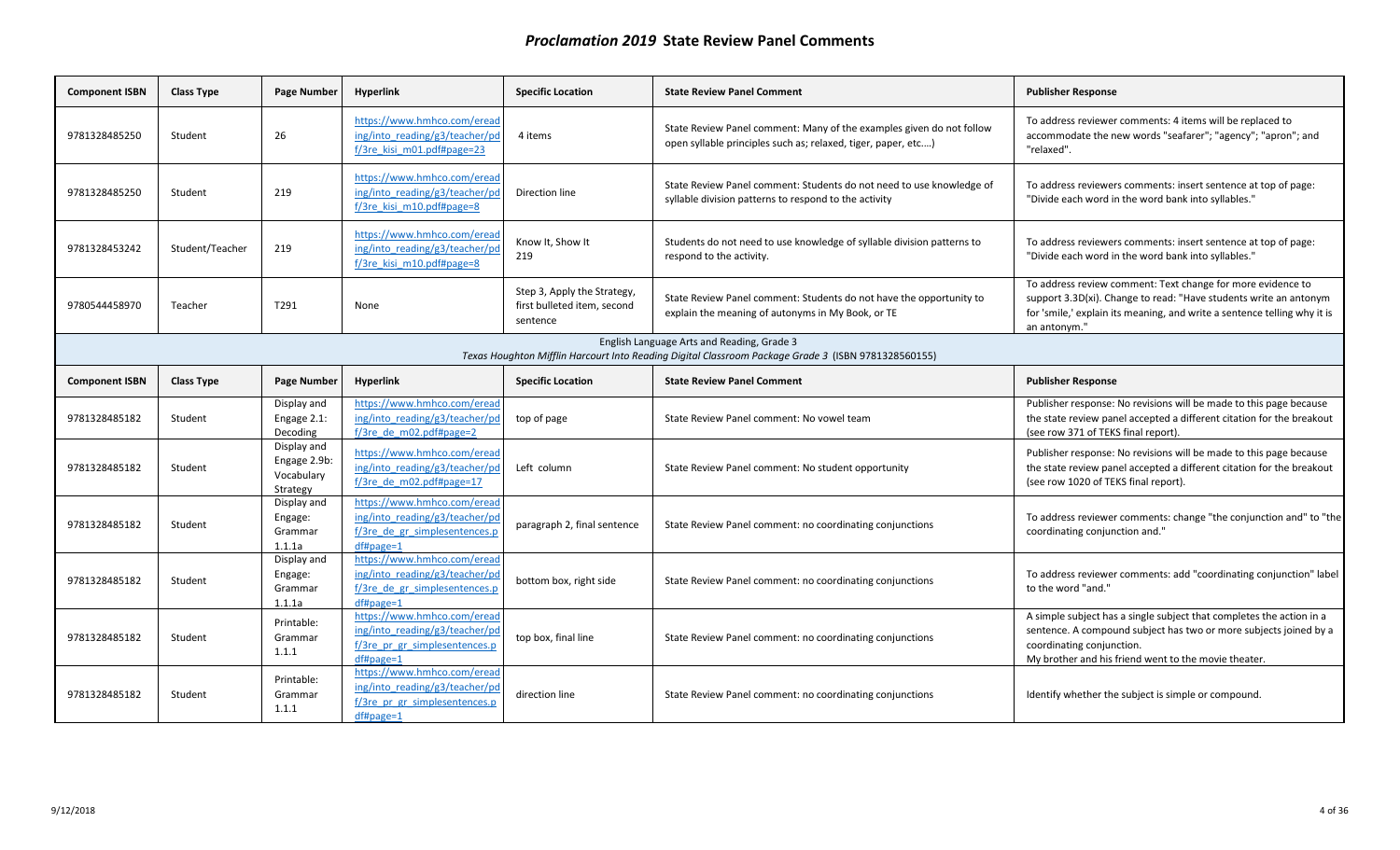| <b>Component ISBN</b>                                                                                                                             | <b>Class Type</b> | Page Number                                           | <b>Hyperlink</b>                                                                                              | <b>Specific Location</b>                                               | <b>State Review Panel Comment</b>                                                                                                     | <b>Publisher Response</b>                                                                                                                                                                                                      |  |  |
|---------------------------------------------------------------------------------------------------------------------------------------------------|-------------------|-------------------------------------------------------|---------------------------------------------------------------------------------------------------------------|------------------------------------------------------------------------|---------------------------------------------------------------------------------------------------------------------------------------|--------------------------------------------------------------------------------------------------------------------------------------------------------------------------------------------------------------------------------|--|--|
| 9781328485250                                                                                                                                     | Student           | 26                                                    | https://www.hmhco.com/eread<br>ing/into reading/g3/teacher/pd<br>f/3re kisi m01.pdf#page=23                   | 4 items                                                                | State Review Panel comment: Many of the examples given do not follow<br>open syllable principles such as; relaxed, tiger, paper, etc) | To address reviewer comments: 4 items will be replaced to<br>accommodate the new words "seafarer"; "agency"; "apron"; and<br>"relaxed".                                                                                        |  |  |
| 9781328485250                                                                                                                                     | Student           | 219                                                   | https://www.hmhco.com/eread<br>ing/into reading/g3/teacher/pd<br>f/3re kisi m10.pdf#page=8                    | Direction line                                                         | State Review Panel comment: Students do not need to use knowledge of<br>syllable division patterns to respond to the activity         | To address reviewers comments: insert sentence at top of page:<br>"Divide each word in the word bank into syllables."                                                                                                          |  |  |
| 9781328453242                                                                                                                                     | Student/Teacher   | 219                                                   | https://www.hmhco.com/eread<br>ing/into_reading/g3/teacher/pd<br>f/3re kisi m10.pdf#page=8                    | Know It, Show It<br>219                                                | Students do not need to use knowledge of syllable division patterns to<br>respond to the activity.                                    | To address reviewers comments: insert sentence at top of page:<br>"Divide each word in the word bank into syllables."                                                                                                          |  |  |
| 9780544458970                                                                                                                                     | Teacher           | T291                                                  | None                                                                                                          | Step 3, Apply the Strategy,<br>first bulleted item, second<br>sentence | State Review Panel comment: Students do not have the opportunity to<br>explain the meaning of autonyms in My Book, or TE              | To address review comment: Text change for more evidence to<br>support 3.3D(xi). Change to read: "Have students write an antonym<br>for 'smile,' explain its meaning, and write a sentence telling why it is<br>an antonym."   |  |  |
| English Language Arts and Reading, Grade 3<br>Texas Houghton Mifflin Harcourt Into Reading Digital Classroom Package Grade 3 (ISBN 9781328560155) |                   |                                                       |                                                                                                               |                                                                        |                                                                                                                                       |                                                                                                                                                                                                                                |  |  |
| <b>Component ISBN</b>                                                                                                                             | <b>Class Type</b> | Page Number                                           | <b>Hyperlink</b>                                                                                              | <b>Specific Location</b>                                               | <b>State Review Panel Comment</b>                                                                                                     | <b>Publisher Response</b>                                                                                                                                                                                                      |  |  |
| 9781328485182                                                                                                                                     | Student           | Display and<br>Engage 2.1:<br>Decoding                | https://www.hmhco.com/eread<br>ing/into reading/g3/teacher/pd<br>f/3re de m02.pdf#page=2                      | top of page                                                            | State Review Panel comment: No yowel team                                                                                             | Publisher response: No revisions will be made to this page because<br>the state review panel accepted a different citation for the breakout<br>(see row 371 of TEKS final report).                                             |  |  |
| 9781328485182                                                                                                                                     | Student           | Display and<br>Engage 2.9b:<br>Vocabulary<br>Strategy | https://www.hmhco.com/eread<br>ing/into reading/g3/teacher/pd<br>f/3re_de_m02.pdf#page=17                     | Left column                                                            | State Review Panel comment: No student opportunity                                                                                    | Publisher response: No revisions will be made to this page because<br>the state review panel accepted a different citation for the breakout<br>(see row 1020 of TEKS final report).                                            |  |  |
| 9781328485182                                                                                                                                     | Student           | Display and<br>Engage:<br>Grammar<br>1.1.1a           | https://www.hmhco.com/eread<br>ing/into reading/g3/teacher/pd<br>f/3re de gr simplesentences.p<br>$df#page=1$ | paragraph 2, final sentence                                            | State Review Panel comment: no coordinating conjunctions                                                                              | To address reviewer comments: change "the conjunction and" to "the<br>coordinating conjunction and."                                                                                                                           |  |  |
| 9781328485182                                                                                                                                     | Student           | Display and<br>Engage:<br>Grammar<br>1.1.1a           | https://www.hmhco.com/eread<br>ing/into_reading/g3/teacher/pd<br>f/3re de gr simplesentences.p<br>$df#page=1$ | bottom box, right side                                                 | State Review Panel comment: no coordinating conjunctions                                                                              | To address reviewer comments: add "coordinating conjunction" label<br>to the word "and."                                                                                                                                       |  |  |
| 9781328485182                                                                                                                                     | Student           | Printable:<br>Grammar<br>1.1.1                        | https://www.hmhco.com/eread<br>ing/into_reading/g3/teacher/pd<br>f/3re pr gr simplesentences.p<br>$df#page=1$ | top box, final line                                                    | State Review Panel comment: no coordinating conjunctions                                                                              | A simple subject has a single subject that completes the action in a<br>sentence. A compound subject has two or more subjects joined by a<br>coordinating conjunction.<br>My brother and his friend went to the movie theater. |  |  |
| 9781328485182                                                                                                                                     | Student           | Printable:<br>Grammar<br>1.1.1                        | https://www.hmhco.com/eread<br>ing/into reading/g3/teacher/pd<br>f/3re pr gr simplesentences.p<br>$df#page=1$ | direction line                                                         | State Review Panel comment: no coordinating conjunctions                                                                              | Identify whether the subject is simple or compound.                                                                                                                                                                            |  |  |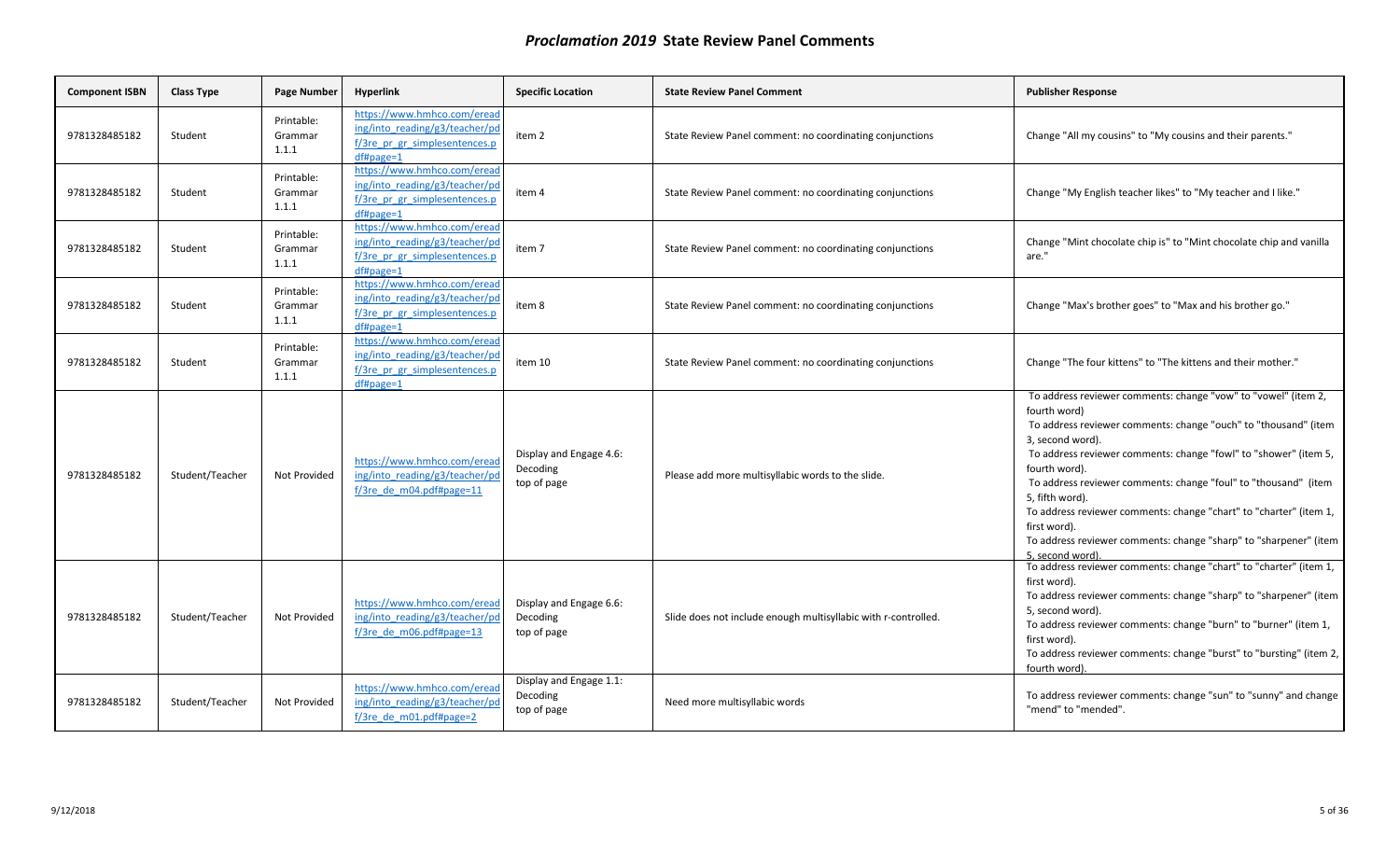| <b>Component ISBN</b> | <b>Class Type</b> | Page Number                    | <b>Hyperlink</b>                                                                                              | <b>Specific Location</b>                           | <b>State Review Panel Comment</b>                              | <b>Publisher Response</b>                                                                                                                                                                                                                                                                                                                                                                                                                                                                                                       |
|-----------------------|-------------------|--------------------------------|---------------------------------------------------------------------------------------------------------------|----------------------------------------------------|----------------------------------------------------------------|---------------------------------------------------------------------------------------------------------------------------------------------------------------------------------------------------------------------------------------------------------------------------------------------------------------------------------------------------------------------------------------------------------------------------------------------------------------------------------------------------------------------------------|
| 9781328485182         | Student           | Printable:<br>Grammar<br>1.1.1 | https://www.hmhco.com/eread<br>ing/into reading/g3/teacher/pd<br>f/3re pr gr simplesentences.p<br>$df#page=1$ | item 2                                             | State Review Panel comment: no coordinating conjunctions       | Change "All my cousins" to "My cousins and their parents."                                                                                                                                                                                                                                                                                                                                                                                                                                                                      |
| 9781328485182         | Student           | Printable:<br>Grammar<br>1.1.1 | https://www.hmhco.com/eread<br>ing/into reading/g3/teacher/pd<br>f/3re pr gr simplesentences.p<br>$df#page=1$ | item 4                                             | State Review Panel comment: no coordinating conjunctions       | Change "My English teacher likes" to "My teacher and I like."                                                                                                                                                                                                                                                                                                                                                                                                                                                                   |
| 9781328485182         | Student           | Printable:<br>Grammar<br>1.1.1 | https://www.hmhco.com/eread<br>ing/into reading/g3/teacher/pd<br>f/3re_pr_gr_simplesentences.p<br>$df#page=1$ | item 7                                             | State Review Panel comment: no coordinating conjunctions       | Change "Mint chocolate chip is" to "Mint chocolate chip and vanilla<br>are."                                                                                                                                                                                                                                                                                                                                                                                                                                                    |
| 9781328485182         | Student           | Printable:<br>Grammar<br>1.1.1 | https://www.hmhco.com/eread<br>ing/into_reading/g3/teacher/pd<br>f/3re pr gr simplesentences.p<br>$df#page=1$ | item 8                                             | State Review Panel comment: no coordinating conjunctions       | Change "Max's brother goes" to "Max and his brother go."                                                                                                                                                                                                                                                                                                                                                                                                                                                                        |
| 9781328485182         | Student           | Printable:<br>Grammar<br>1.1.1 | https://www.hmhco.com/eread<br>ing/into reading/g3/teacher/pd<br>f/3re pr gr simplesentences.p<br>$df#page=1$ | item 10                                            | State Review Panel comment: no coordinating conjunctions       | Change "The four kittens" to "The kittens and their mother."                                                                                                                                                                                                                                                                                                                                                                                                                                                                    |
| 9781328485182         | Student/Teacher   | Not Provided                   | https://www.hmhco.com/eread<br>ing/into reading/g3/teacher/pd<br>$f/3$ re de m04.pdf#page=11                  | Display and Engage 4.6:<br>Decoding<br>top of page | Please add more multisyllabic words to the slide.              | To address reviewer comments: change "vow" to "vowel" (item 2,<br>fourth word)<br>To address reviewer comments: change "ouch" to "thousand" (item<br>3, second word).<br>To address reviewer comments: change "fowl" to "shower" (item 5,<br>fourth word).<br>To address reviewer comments: change "foul" to "thousand" (item<br>5, fifth word).<br>To address reviewer comments: change "chart" to "charter" (item 1,<br>first word).<br>To address reviewer comments: change "sharp" to "sharpener" (item<br>5. second word). |
| 9781328485182         | Student/Teacher   | Not Provided                   | https://www.hmhco.com/eread<br>ing/into reading/g3/teacher/pd<br>$f/3$ re de m06.pdf#page=13                  | Display and Engage 6.6:<br>Decoding<br>top of page | Slide does not include enough multisyllabic with r-controlled. | To address reviewer comments: change "chart" to "charter" (item 1,<br>first word).<br>To address reviewer comments: change "sharp" to "sharpener" (item<br>5, second word).<br>To address reviewer comments: change "burn" to "burner" (item 1,<br>first word).<br>To address reviewer comments: change "burst" to "bursting" (item 2,<br>fourth word)                                                                                                                                                                          |
| 9781328485182         | Student/Teacher   | Not Provided                   | https://www.hmhco.com/eread<br>ing/into_reading/g3/teacher/pd<br>$f/3$ re de m01.pdf#page=2                   | Display and Engage 1.1:<br>Decoding<br>top of page | Need more multisyllabic words                                  | To address reviewer comments: change "sun" to "sunny" and change<br>"mend" to "mended".                                                                                                                                                                                                                                                                                                                                                                                                                                         |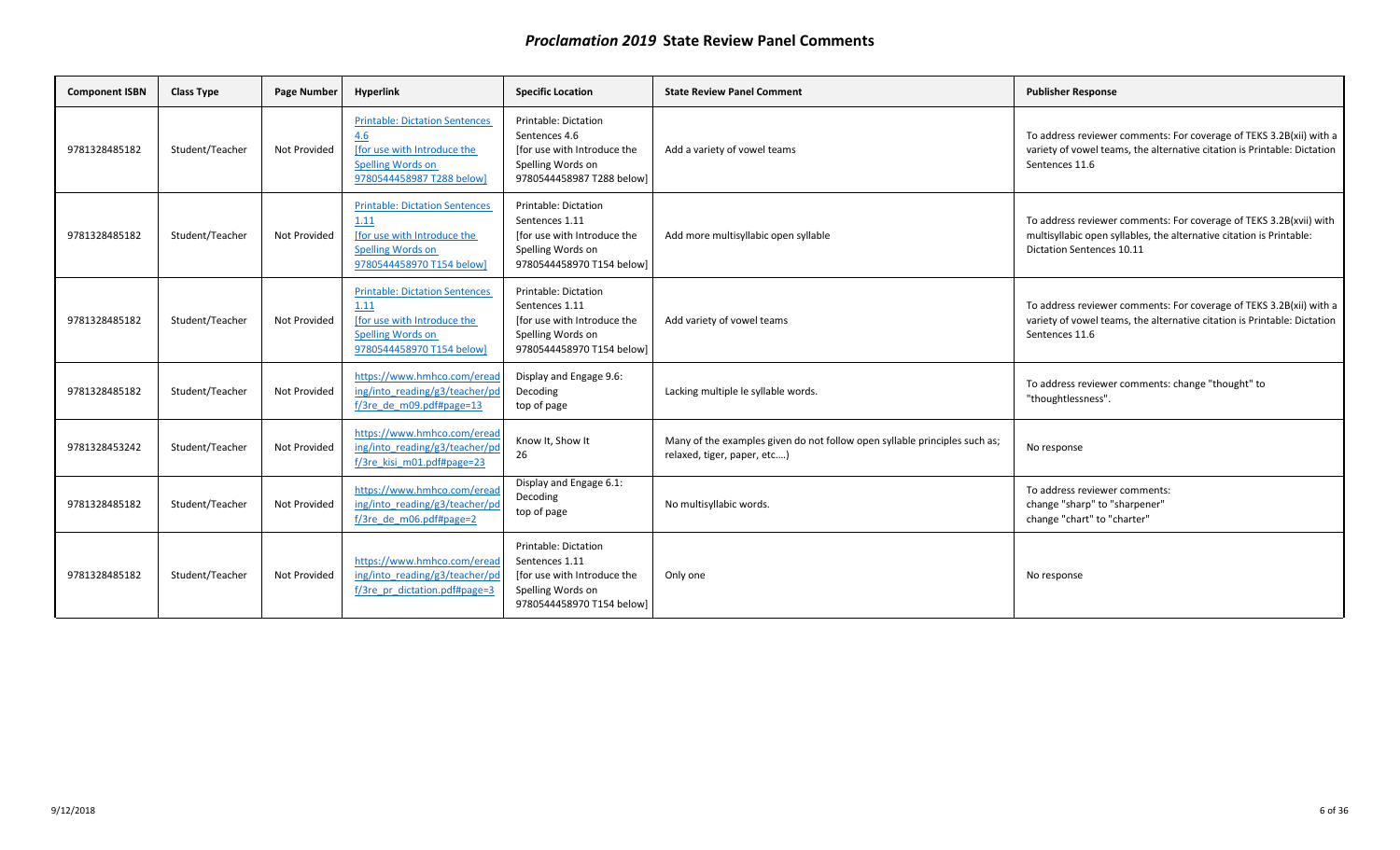| <b>Component ISBN</b> | <b>Class Type</b> | Page Number  | Hyperlink                                                                                                                             | <b>Specific Location</b>                                                                                                        | <b>State Review Panel Comment</b>                                                                         | <b>Publisher Response</b>                                                                                                                                               |
|-----------------------|-------------------|--------------|---------------------------------------------------------------------------------------------------------------------------------------|---------------------------------------------------------------------------------------------------------------------------------|-----------------------------------------------------------------------------------------------------------|-------------------------------------------------------------------------------------------------------------------------------------------------------------------------|
| 9781328485182         | Student/Teacher   | Not Provided | <b>Printable: Dictation Sentences</b><br>4.6<br>[for use with Introduce the<br>Spelling Words on<br>9780544458987 T288 below]         | <b>Printable: Dictation</b><br>Sentences 4.6<br>[for use with Introduce the<br>Spelling Words on<br>9780544458987 T288 belowl   | Add a variety of vowel teams                                                                              | To address reviewer comments: For coverage of TEKS 3.2B(xii) with a<br>variety of vowel teams, the alternative citation is Printable: Dictation<br>Sentences 11.6       |
| 9781328485182         | Student/Teacher   | Not Provided | <b>Printable: Dictation Sentences</b><br>1.11<br>[for use with Introduce the<br><b>Spelling Words on</b><br>9780544458970 T154 below] | <b>Printable: Dictation</b><br>Sentences 1.11<br>If or use with Introduce the<br>Spelling Words on<br>9780544458970 T154 below] | Add more multisyllabic open syllable                                                                      | To address reviewer comments: For coverage of TEKS 3.2B(xvii) with<br>multisyllabic open syllables, the alternative citation is Printable:<br>Dictation Sentences 10.11 |
| 9781328485182         | Student/Teacher   | Not Provided | <b>Printable: Dictation Sentences</b><br>1.11<br>[for use with Introduce the<br>Spelling Words on<br>9780544458970 T154 below]        | Printable: Dictation<br>Sentences 1.11<br>[for use with Introduce the<br>Spelling Words on<br>9780544458970 T154 below]         | Add variety of vowel teams                                                                                | To address reviewer comments: For coverage of TEKS 3.2B(xii) with a<br>variety of vowel teams, the alternative citation is Printable: Dictation<br>Sentences 11.6       |
| 9781328485182         | Student/Teacher   | Not Provided | https://www.hmhco.com/eread<br>ing/into reading/g3/teacher/pd<br>$f/3$ re de m09.pdf#page=13                                          | Display and Engage 9.6:<br>Decoding<br>top of page                                                                              | Lacking multiple le syllable words.                                                                       | To address reviewer comments: change "thought" to<br>"thoughtlessness".                                                                                                 |
| 9781328453242         | Student/Teacher   | Not Provided | https://www.hmhco.com/eread<br>ing/into reading/g3/teacher/pd<br>$f/3$ re kisi m01.pdf#page=23                                        | Know It, Show It<br>26                                                                                                          | Many of the examples given do not follow open syllable principles such as;<br>relaxed, tiger, paper, etc) | No response                                                                                                                                                             |
| 9781328485182         | Student/Teacher   | Not Provided | https://www.hmhco.com/eread<br>ing/into reading/g3/teacher/pd<br>$f/3$ re de m06.pdf#page=2                                           | Display and Engage 6.1:<br>Decoding<br>top of page                                                                              | No multisyllabic words.                                                                                   | To address reviewer comments:<br>change "sharp" to "sharpener"<br>change "chart" to "charter"                                                                           |
| 9781328485182         | Student/Teacher   | Not Provided | https://www.hmhco.com/eread<br>ing/into reading/g3/teacher/pd<br>f/3re pr dictation.pdf#page=3                                        | Printable: Dictation<br>Sentences 1.11<br>[for use with Introduce the<br>Spelling Words on<br>9780544458970 T154 below]         | Only one                                                                                                  | No response                                                                                                                                                             |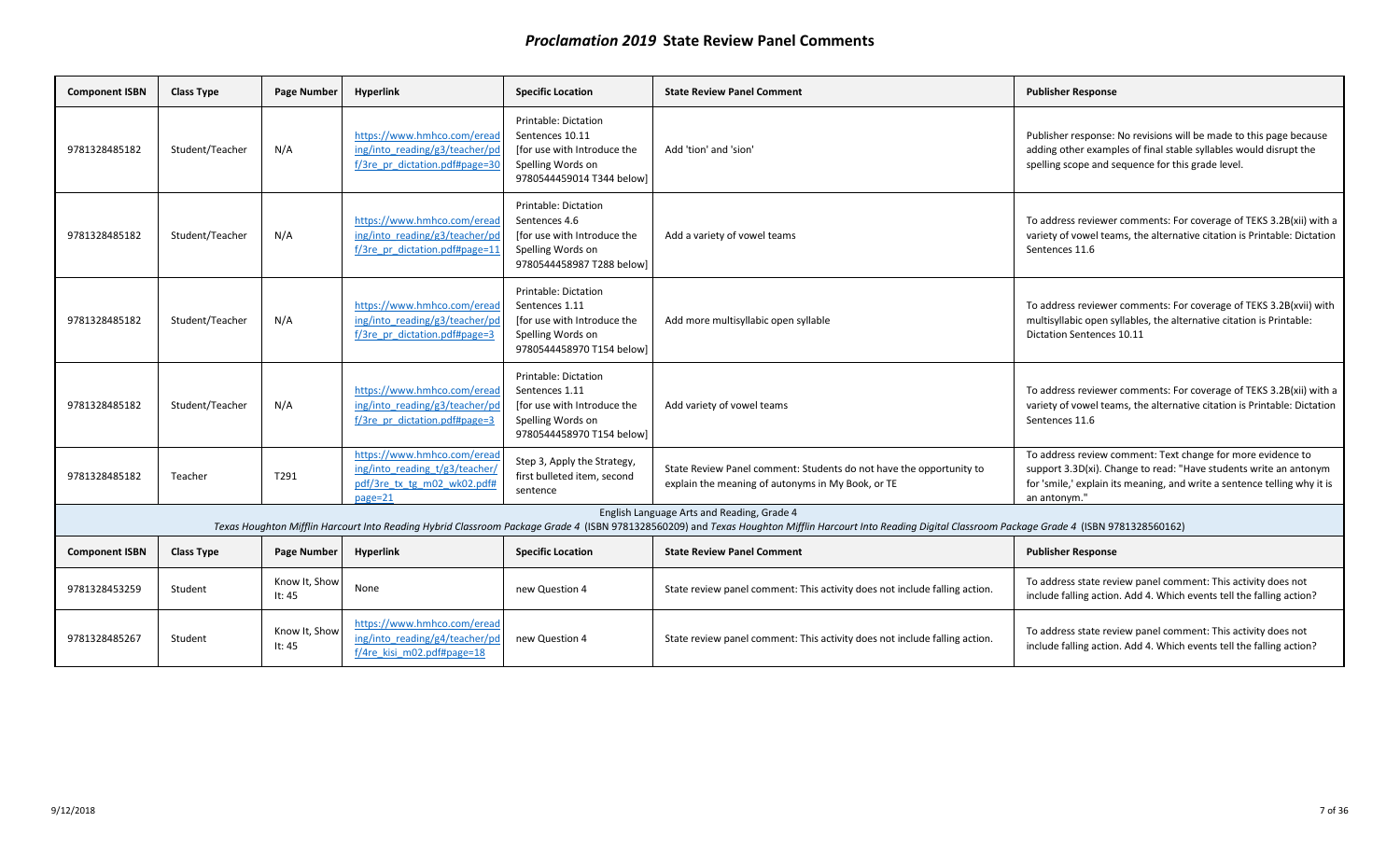| <b>Component ISBN</b> | <b>Class Type</b> | <b>Page Number</b>      | <b>Hyperlink</b>                                                                                            | <b>Specific Location</b>                                                                                                 | <b>State Review Panel Comment</b>                                                                                                                                                                                                                        | <b>Publisher Response</b>                                                                                                                                                                                                    |
|-----------------------|-------------------|-------------------------|-------------------------------------------------------------------------------------------------------------|--------------------------------------------------------------------------------------------------------------------------|----------------------------------------------------------------------------------------------------------------------------------------------------------------------------------------------------------------------------------------------------------|------------------------------------------------------------------------------------------------------------------------------------------------------------------------------------------------------------------------------|
| 9781328485182         | Student/Teacher   | N/A                     | https://www.hmhco.com/eread<br>ing/into reading/g3/teacher/pd<br>f/3re pr dictation.pdf#page=30             | Printable: Dictation<br>Sentences 10.11<br>Ifor use with Introduce the<br>Spelling Words on<br>9780544459014 T344 below] | Add 'tion' and 'sion'                                                                                                                                                                                                                                    | Publisher response: No revisions will be made to this page because<br>adding other examples of final stable syllables would disrupt the<br>spelling scope and sequence for this grade level.                                 |
| 9781328485182         | Student/Teacher   | N/A                     | https://www.hmhco.com/eread<br>ing/into reading/g3/teacher/pd<br>f/3re pr dictation.pdf#page=11             | Printable: Dictation<br>Sentences 4.6<br>Ifor use with Introduce the<br>Spelling Words on<br>9780544458987 T288 below]   | Add a variety of vowel teams                                                                                                                                                                                                                             | To address reviewer comments: For coverage of TEKS 3.2B(xii) with a<br>variety of vowel teams, the alternative citation is Printable: Dictation<br>Sentences 11.6                                                            |
| 9781328485182         | Student/Teacher   | N/A                     | https://www.hmhco.com/eread<br>ing/into reading/g3/teacher/pd<br>f/3re pr dictation.pdf#page=3              | Printable: Dictation<br>Sentences 1.11<br>[for use with Introduce the<br>Spelling Words on<br>9780544458970 T154 below]  | Add more multisyllabic open syllable                                                                                                                                                                                                                     | To address reviewer comments: For coverage of TEKS 3.2B(xvii) with<br>multisyllabic open syllables, the alternative citation is Printable:<br>Dictation Sentences 10.11                                                      |
| 9781328485182         | Student/Teacher   | N/A                     | https://www.hmhco.com/eread<br>ing/into reading/g3/teacher/pd<br>f/3re pr dictation.pdf#page=3              | Printable: Dictation<br>Sentences 1.11<br>If or use with Introduce the<br>Spelling Words on<br>9780544458970 T154 belowl | Add variety of vowel teams                                                                                                                                                                                                                               | To address reviewer comments: For coverage of TEKS 3.2B(xii) with a<br>variety of vowel teams, the alternative citation is Printable: Dictation<br>Sentences 11.6                                                            |
| 9781328485182         | Teacher           | T291                    | https://www.hmhco.com/eread<br>ing/into reading t/g3/teacher/<br>pdf/3re tx tg m02 wk02.pdf#<br>$page = 21$ | Step 3, Apply the Strategy,<br>first bulleted item, second<br>sentence                                                   | State Review Panel comment: Students do not have the opportunity to<br>explain the meaning of autonyms in My Book, or TE                                                                                                                                 | To address review comment: Text change for more evidence to<br>support 3.3D(xi). Change to read: "Have students write an antonym<br>for 'smile,' explain its meaning, and write a sentence telling why it is<br>an antonym." |
|                       |                   |                         |                                                                                                             |                                                                                                                          | English Language Arts and Reading, Grade 4<br>Texas Houghton Mifflin Harcourt Into Reading Hybrid Classroom Package Grade 4 (ISBN 9781328560209) and Texas Houghton Mifflin Harcourt Into Reading Digital Classroom Package Grade 4 (ISBN 9781328560162) |                                                                                                                                                                                                                              |
| <b>Component ISBN</b> | Class Type        | Page Number             | <b>Hyperlink</b>                                                                                            | <b>Specific Location</b>                                                                                                 | <b>State Review Panel Comment</b>                                                                                                                                                                                                                        | <b>Publisher Response</b>                                                                                                                                                                                                    |
| 9781328453259         | Student           | Know It, Show<br>It: 45 | None                                                                                                        | new Question 4                                                                                                           | State review panel comment: This activity does not include falling action.                                                                                                                                                                               | To address state review panel comment: This activity does not<br>include falling action. Add 4. Which events tell the falling action?                                                                                        |
| 9781328485267         | Student           | Know It, Show<br>lt: 45 | https://www.hmhco.com/eread<br>ing/into reading/g4/teacher/pd<br>$f/4$ re kisi m02.pdf#page=18              | new Question 4                                                                                                           | State review panel comment: This activity does not include falling action.                                                                                                                                                                               | To address state review panel comment: This activity does not<br>include falling action. Add 4. Which events tell the falling action?                                                                                        |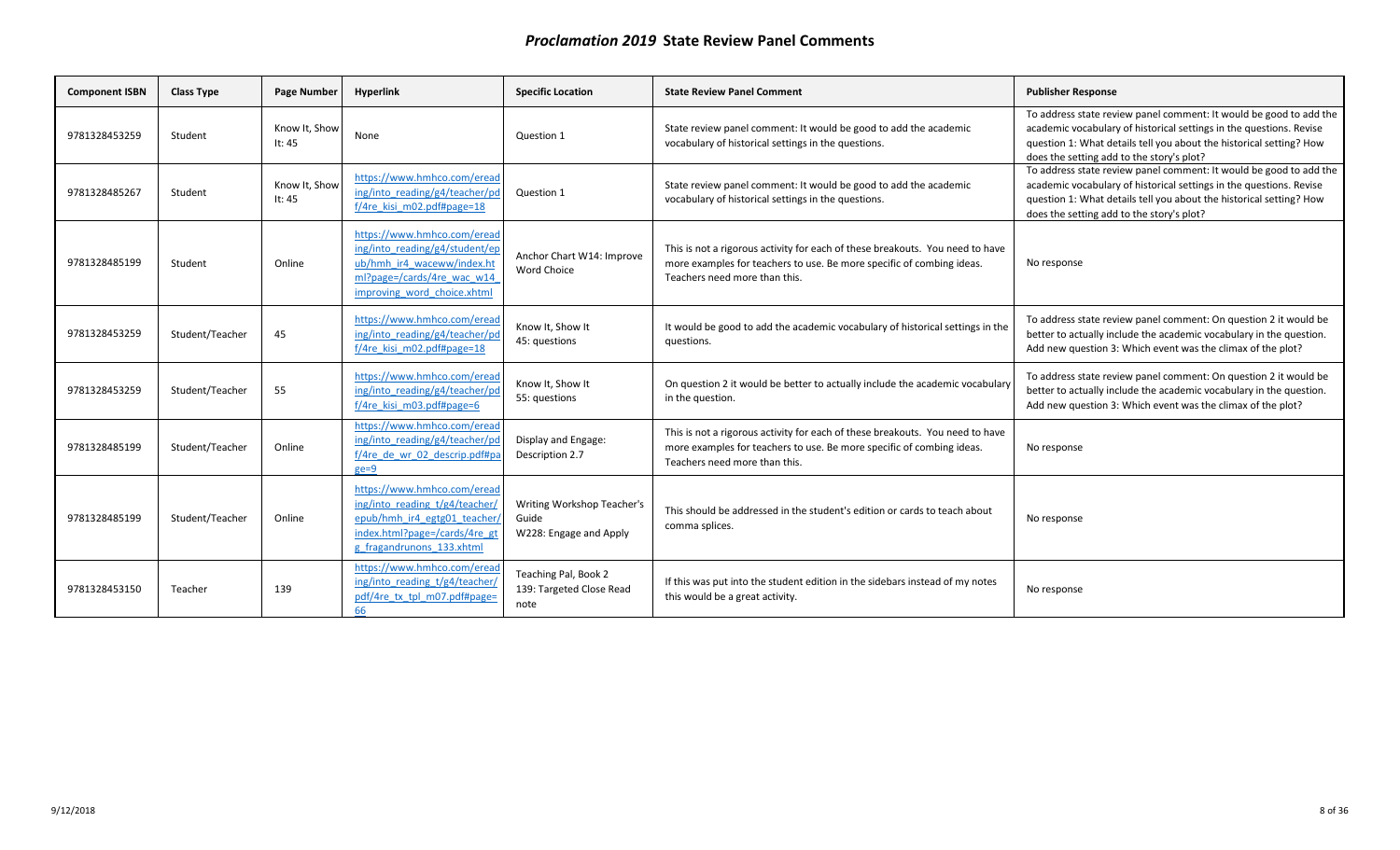| <b>Component ISBN</b> | <b>Class Type</b> | <b>Page Number</b>        | <b>Hyperlink</b>                                                                                                                                            | <b>Specific Location</b>                                      | <b>State Review Panel Comment</b>                                                                                                                                                       | <b>Publisher Response</b>                                                                                                                                                                                                                                     |
|-----------------------|-------------------|---------------------------|-------------------------------------------------------------------------------------------------------------------------------------------------------------|---------------------------------------------------------------|-----------------------------------------------------------------------------------------------------------------------------------------------------------------------------------------|---------------------------------------------------------------------------------------------------------------------------------------------------------------------------------------------------------------------------------------------------------------|
| 9781328453259         | Student           | Know It, Show<br>It: $45$ | None                                                                                                                                                        | Question 1                                                    | State review panel comment: It would be good to add the academic<br>vocabulary of historical settings in the questions.                                                                 | To address state review panel comment: It would be good to add the<br>academic vocabulary of historical settings in the questions. Revise<br>question 1: What details tell you about the historical setting? How<br>does the setting add to the story's plot? |
| 9781328485267         | Student           | Know It, Show<br>It: 45   | https://www.hmhco.com/eread<br>ing/into reading/g4/teacher/pd<br>f/4re_kisi_m02.pdf#page=18                                                                 | Question 1                                                    | State review panel comment: It would be good to add the academic<br>vocabulary of historical settings in the questions.                                                                 | To address state review panel comment: It would be good to add the<br>academic vocabulary of historical settings in the questions. Revise<br>question 1: What details tell you about the historical setting? How<br>does the setting add to the story's plot? |
| 9781328485199         | Student           | Online                    | https://www.hmhco.com/eread<br>ing/into reading/g4/student/ep<br>ub/hmh ir4 waceww/index.ht<br>ml?page=/cards/4re wac w14<br>improving word choice.xhtml    | Anchor Chart W14: Improve<br>Word Choice                      | This is not a rigorous activity for each of these breakouts. You need to have<br>more examples for teachers to use. Be more specific of combing ideas.<br>Teachers need more than this. | No response                                                                                                                                                                                                                                                   |
| 9781328453259         | Student/Teacher   | 45                        | https://www.hmhco.com/eread<br>ing/into reading/g4/teacher/pd<br>$f/4$ re kisi m02.pdf#page=18                                                              | Know It, Show It<br>45: questions                             | It would be good to add the academic vocabulary of historical settings in the<br>questions.                                                                                             | To address state review panel comment: On question 2 it would be<br>better to actually include the academic vocabulary in the question.<br>Add new question 3: Which event was the climax of the plot?                                                        |
| 9781328453259         | Student/Teacher   | 55                        | https://www.hmhco.com/eread<br>ing/into reading/g4/teacher/pd<br>f/4re_kisi_m03.pdf#page=6                                                                  | Know It, Show It<br>55: questions                             | On question 2 it would be better to actually include the academic vocabulary<br>in the question.                                                                                        | To address state review panel comment: On question 2 it would be<br>better to actually include the academic vocabulary in the question.<br>Add new question 3: Which event was the climax of the plot?                                                        |
| 9781328485199         | Student/Teacher   | Online                    | https://www.hmhco.com/eread<br>ing/into reading/g4/teacher/pd<br>f/4re de wr 02 descrip.pdf#pa<br>$ge=9$                                                    | Display and Engage:<br>Description 2.7                        | This is not a rigorous activity for each of these breakouts. You need to have<br>more examples for teachers to use. Be more specific of combing ideas.<br>Teachers need more than this. | No response                                                                                                                                                                                                                                                   |
| 9781328485199         | Student/Teacher   | Online                    | https://www.hmhco.com/eread<br>ing/into reading t/g4/teacher/<br>epub/hmh ir4 egtg01 teacher,<br>index.html?page=/cards/4re_gt<br>g fragandrunons 133.xhtml | Writing Workshop Teacher's<br>Guide<br>W228: Engage and Apply | This should be addressed in the student's edition or cards to teach about<br>comma splices.                                                                                             | No response                                                                                                                                                                                                                                                   |
| 9781328453150         | Teacher           | 139                       | https://www.hmhco.com/eread<br>ing/into reading t/g4/teacher/<br>pdf/4re tx tpl m07.pdf#page=<br>66                                                         | Teaching Pal, Book 2<br>139: Targeted Close Read<br>note      | If this was put into the student edition in the sidebars instead of my notes<br>this would be a great activity.                                                                         | No response                                                                                                                                                                                                                                                   |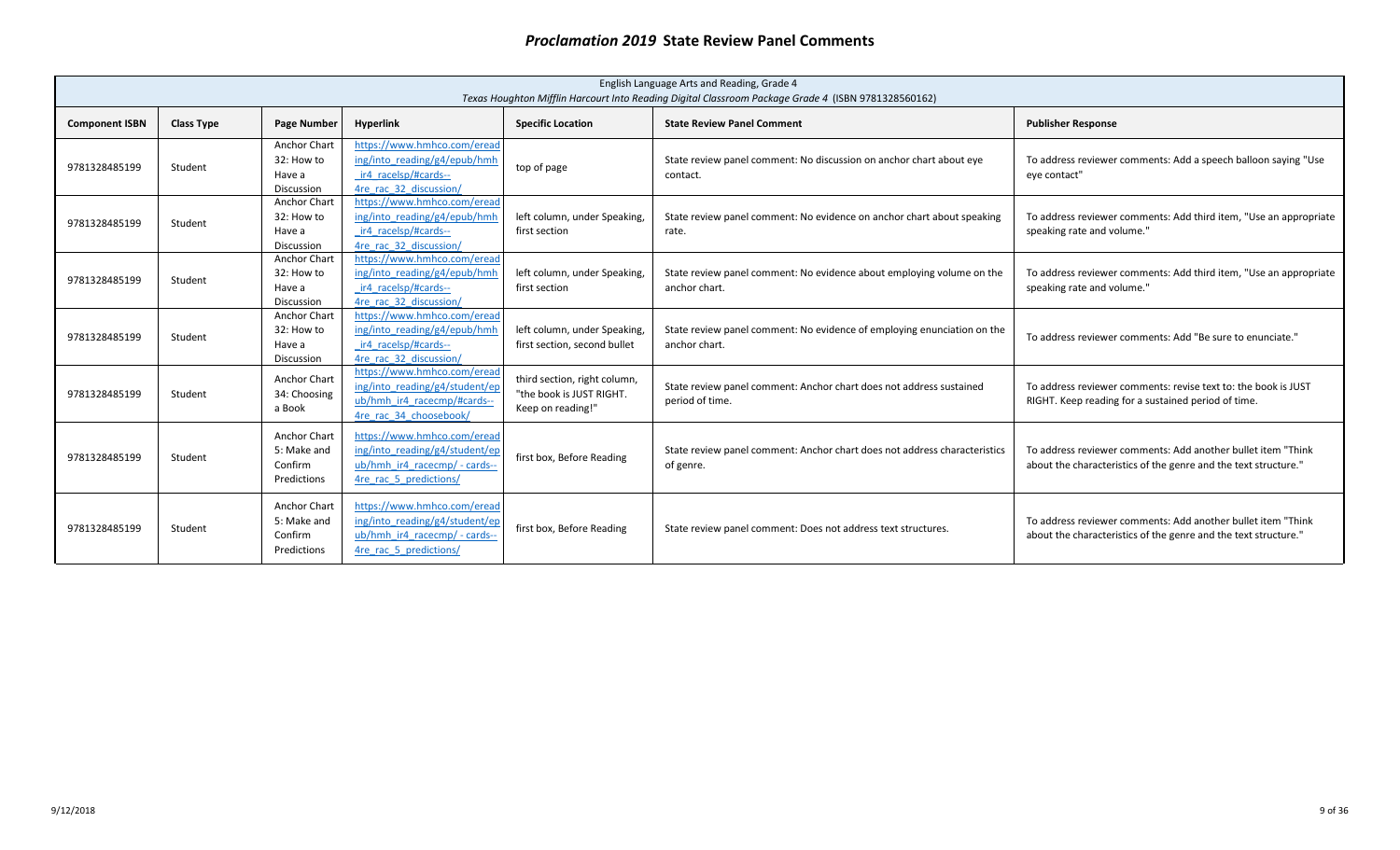|                       | English Language Arts and Reading, Grade 4<br>Texas Houghton Mifflin Harcourt Into Reading Digital Classroom Package Grade 4 (ISBN 9781328560162) |                                                              |                                                                                                                          |                                                                               |                                                                                          |                                                                                                                                  |  |  |  |
|-----------------------|---------------------------------------------------------------------------------------------------------------------------------------------------|--------------------------------------------------------------|--------------------------------------------------------------------------------------------------------------------------|-------------------------------------------------------------------------------|------------------------------------------------------------------------------------------|----------------------------------------------------------------------------------------------------------------------------------|--|--|--|
| <b>Component ISBN</b> | <b>Class Type</b>                                                                                                                                 | Page Number                                                  | Hyperlink                                                                                                                | <b>Specific Location</b>                                                      | <b>State Review Panel Comment</b>                                                        | <b>Publisher Response</b>                                                                                                        |  |  |  |
| 9781328485199         | Student                                                                                                                                           | <b>Anchor Chart</b><br>32: How to<br>Have a<br>Discussion    | https://www.hmhco.com/eread<br>ing/into reading/g4/epub/hmh<br>ir4 racelsp/#cards--<br>4re rac 32 discussion/            | top of page                                                                   | State review panel comment: No discussion on anchor chart about eye<br>contact.          | To address reviewer comments: Add a speech balloon saying "Use<br>eye contact"                                                   |  |  |  |
| 9781328485199         | Student                                                                                                                                           | Anchor Chart<br>32: How to<br>Have a<br>Discussion           | https://www.hmhco.com/eread<br>ing/into reading/g4/epub/hmh<br>ir4 racelsp/#cards--<br>4re rac 32 discussion/            | left column, under Speaking<br>first section                                  | State review panel comment: No evidence on anchor chart about speaking<br>rate.          | To address reviewer comments: Add third item, "Use an appropriate<br>speaking rate and volume."                                  |  |  |  |
| 9781328485199         | Student                                                                                                                                           | <b>Anchor Chart</b><br>32: How to<br>Have a<br>Discussion    | https://www.hmhco.com/eread<br>ing/into reading/g4/epub/hmh<br>ir4 racelsp/#cards--<br>4re rac 32 discussion/            | left column, under Speaking,<br>first section                                 | State review panel comment: No evidence about employing volume on the<br>anchor chart.   | To address reviewer comments: Add third item, "Use an appropriate<br>speaking rate and volume.                                   |  |  |  |
| 9781328485199         | Student                                                                                                                                           | Anchor Chart<br>32: How to<br>Have a<br>Discussion           | https://www.hmhco.com/eread<br>ing/into reading/g4/epub/hmh<br>ir4 racelsp/#cards--<br>4re rac 32 discussion/            | left column, under Speaking,<br>first section, second bullet                  | State review panel comment: No evidence of employing enunciation on the<br>anchor chart. | To address reviewer comments: Add "Be sure to enunciate."                                                                        |  |  |  |
| 9781328485199         | Student                                                                                                                                           | <b>Anchor Chart</b><br>34: Choosing<br>a Book                | https://www.hmhco.com/eread<br>ing/into reading/g4/student/ep<br>ub/hmh ir4 racecmp/#cards--<br>4re rac 34 choosebook/   | third section, right column,<br>"the book is JUST RIGHT.<br>Keep on reading!" | State review panel comment: Anchor chart does not address sustained<br>period of time.   | To address reviewer comments: revise text to: the book is JUST<br>RIGHT. Keep reading for a sustained period of time.            |  |  |  |
| 9781328485199         | Student                                                                                                                                           | <b>Anchor Chart</b><br>5: Make and<br>Confirm<br>Predictions | https://www.hmhco.com/eread<br>ing/into reading/g4/student/ep<br>ub/hmh ir4 racecmp/ - cards--<br>4re rac 5 predictions/ | first box, Before Reading                                                     | State review panel comment: Anchor chart does not address characteristics<br>of genre.   | To address reviewer comments: Add another bullet item "Think"<br>about the characteristics of the genre and the text structure." |  |  |  |
| 9781328485199         | Student                                                                                                                                           | <b>Anchor Chart</b><br>5: Make and<br>Confirm<br>Predictions | https://www.hmhco.com/eread<br>ing/into reading/g4/student/ep<br>ub/hmh ir4 racecmp/ - cards--<br>4re rac 5 predictions/ | first box, Before Reading                                                     | State review panel comment: Does not address text structures.                            | To address reviewer comments: Add another bullet item "Think"<br>about the characteristics of the genre and the text structure." |  |  |  |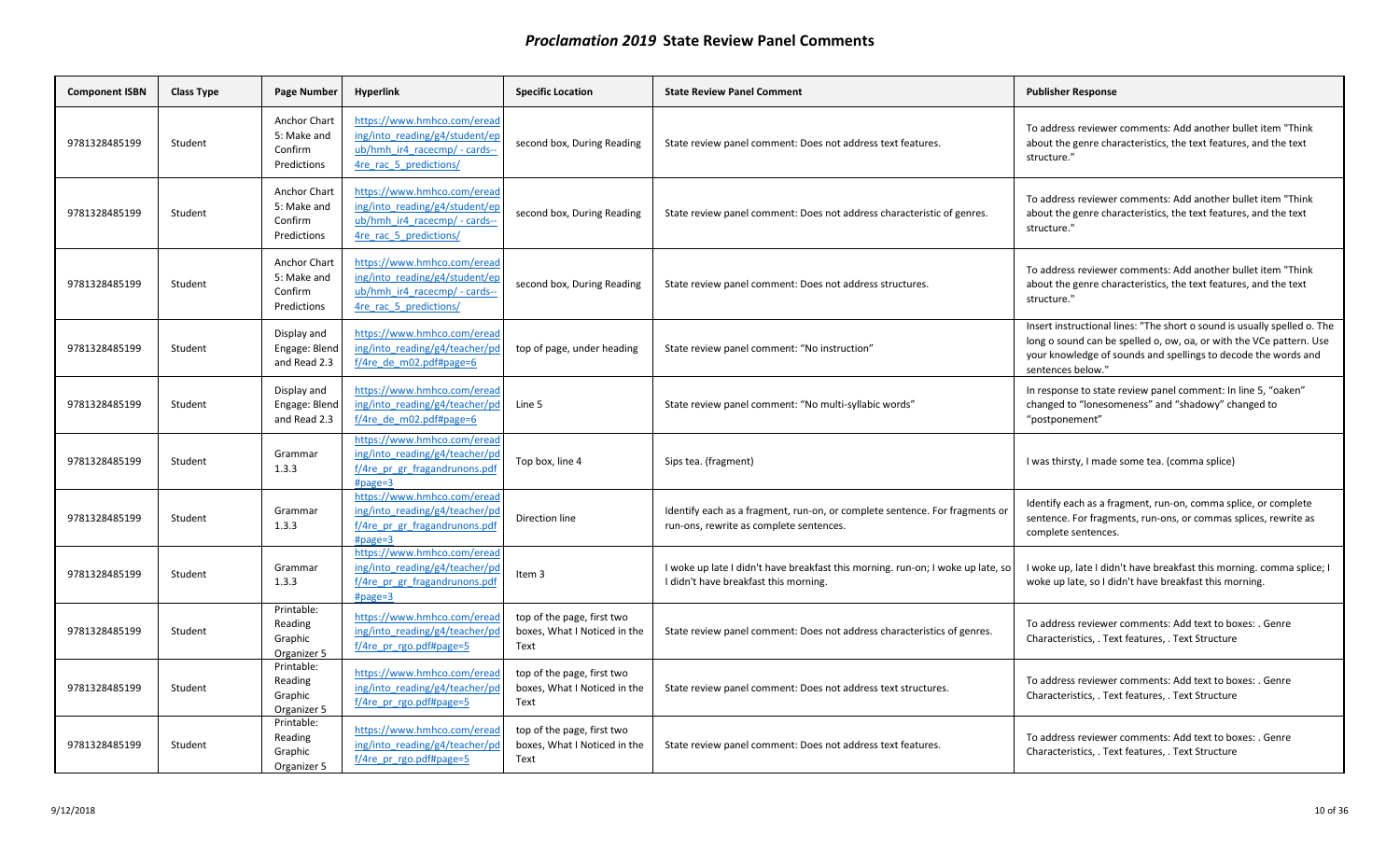| <b>Component ISBN</b> | <b>Class Type</b> | Page Number                                                  | <b>Hyperlink</b>                                                                                                         | <b>Specific Location</b>                                           | <b>State Review Panel Comment</b>                                                                                        | <b>Publisher Response</b>                                                                                                                                                                                                              |
|-----------------------|-------------------|--------------------------------------------------------------|--------------------------------------------------------------------------------------------------------------------------|--------------------------------------------------------------------|--------------------------------------------------------------------------------------------------------------------------|----------------------------------------------------------------------------------------------------------------------------------------------------------------------------------------------------------------------------------------|
| 9781328485199         | Student           | Anchor Chart<br>5: Make and<br>Confirm<br>Predictions        | https://www.hmhco.com/eread<br>ing/into reading/g4/student/ep<br>ub/hmh ir4 racecmp/ - cards--<br>4re rac 5 predictions/ | second box, During Reading                                         | State review panel comment: Does not address text features.                                                              | To address reviewer comments: Add another bullet item "Think"<br>about the genre characteristics, the text features, and the text<br>structure."                                                                                       |
| 9781328485199         | Student           | <b>Anchor Chart</b><br>5: Make and<br>Confirm<br>Predictions | https://www.hmhco.com/eread<br>ing/into reading/g4/student/ep<br>ub/hmh ir4 racecmp/ - cards--<br>4re rac 5 predictions/ | second box, During Reading                                         | State review panel comment: Does not address characteristic of genres.                                                   | To address reviewer comments: Add another bullet item "Think<br>about the genre characteristics, the text features, and the text<br>structure."                                                                                        |
| 9781328485199         | Student           | Anchor Chart<br>5: Make and<br>Confirm<br>Predictions        | https://www.hmhco.com/eread<br>ing/into_reading/g4/student/ep<br>ub/hmh ir4 racecmp/ - cards--<br>4re rac 5 predictions/ | second box, During Reading                                         | State review panel comment: Does not address structures.                                                                 | To address reviewer comments: Add another bullet item "Think"<br>about the genre characteristics, the text features, and the text<br>structure."                                                                                       |
| 9781328485199         | Student           | Display and<br>Engage: Blend<br>and Read 2.3                 | https://www.hmhco.com/eread<br>ing/into reading/g4/teacher/pd<br>$f/4$ re de m02.pdf#page=6                              | top of page, under heading                                         | State review panel comment: "No instruction"                                                                             | Insert instructional lines: "The short o sound is usually spelled o. The<br>long o sound can be spelled o, ow, oa, or with the VCe pattern. Use<br>your knowledge of sounds and spellings to decode the words and<br>sentences below." |
| 9781328485199         | Student           | Display and<br>Engage: Blend<br>and Read 2.3                 | https://www.hmhco.com/eread<br>ing/into reading/g4/teacher/pd<br>$f/4$ re de m02.pdf#page=6                              | Line 5                                                             | State review panel comment: "No multi-syllabic words"                                                                    | In response to state review panel comment: In line 5, "oaken"<br>changed to "lonesomeness" and "shadowy" changed to<br>"postponement"                                                                                                  |
| 9781328485199         | Student           | Grammar<br>1.3.3                                             | https://www.hmhco.com/eread<br>ing/into reading/g4/teacher/po<br>f/4re pr gr fragandrunons.pdf<br>$#page = 3$            | Top box, line 4                                                    | Sips tea. (fragment)                                                                                                     | I was thirsty, I made some tea. (comma splice)                                                                                                                                                                                         |
| 9781328485199         | Student           | Grammar<br>1.3.3                                             | https://www.hmhco.com/eread<br>ing/into reading/g4/teacher/pd<br>f/4re pr gr fragandrunons.pdf<br>$#page = 3$            | Direction line                                                     | Identify each as a fragment, run-on, or complete sentence. For fragments or<br>run-ons, rewrite as complete sentences.   | Identify each as a fragment, run-on, comma splice, or complete<br>sentence. For fragments, run-ons, or commas splices, rewrite as<br>complete sentences.                                                                               |
| 9781328485199         | Student           | Grammar<br>1.3.3                                             | https://www.hmhco.com/eread<br>ing/into reading/g4/teacher/pd<br>f/4re pr gr fragandrunons.pdf<br>$#page = 3$            | Item 3                                                             | I woke up late I didn't have breakfast this morning. run-on; I woke up late, so<br>I didn't have breakfast this morning. | I woke up, late I didn't have breakfast this morning. comma splice; I<br>woke up late, so I didn't have breakfast this morning.                                                                                                        |
| 9781328485199         | Student           | Printable:<br>Reading<br>Graphic<br>Organizer 5              | https://www.hmhco.com/eread<br>ing/into reading/g4/teacher/pd<br>$f/4$ re pr rgo.pdf#page=5                              | top of the page, first two<br>boxes, What I Noticed in the<br>Text | State review panel comment: Does not address characteristics of genres.                                                  | To address reviewer comments: Add text to boxes: . Genre<br>Characteristics, . Text features, . Text Structure                                                                                                                         |
| 9781328485199         | Student           | Printable:<br>Reading<br>Graphic<br>Organizer 5              | https://www.hmhco.com/eread<br>ing/into reading/g4/teacher/pd<br>$f/4$ re pr rgo.pdf#page=5                              | top of the page, first two<br>boxes, What I Noticed in the<br>Text | State review panel comment: Does not address text structures.                                                            | To address reviewer comments: Add text to boxes: . Genre<br>Characteristics, . Text features, . Text Structure                                                                                                                         |
| 9781328485199         | Student           | Printable:<br>Reading<br>Graphic<br>Organizer 5              | https://www.hmhco.com/eread<br>ing/into_reading/g4/teacher/pd<br>$f/4$ re pr rgo.pdf#page=5                              | top of the page, first two<br>boxes, What I Noticed in the<br>Text | State review panel comment: Does not address text features.                                                              | To address reviewer comments: Add text to boxes: . Genre<br>Characteristics, . Text features, . Text Structure                                                                                                                         |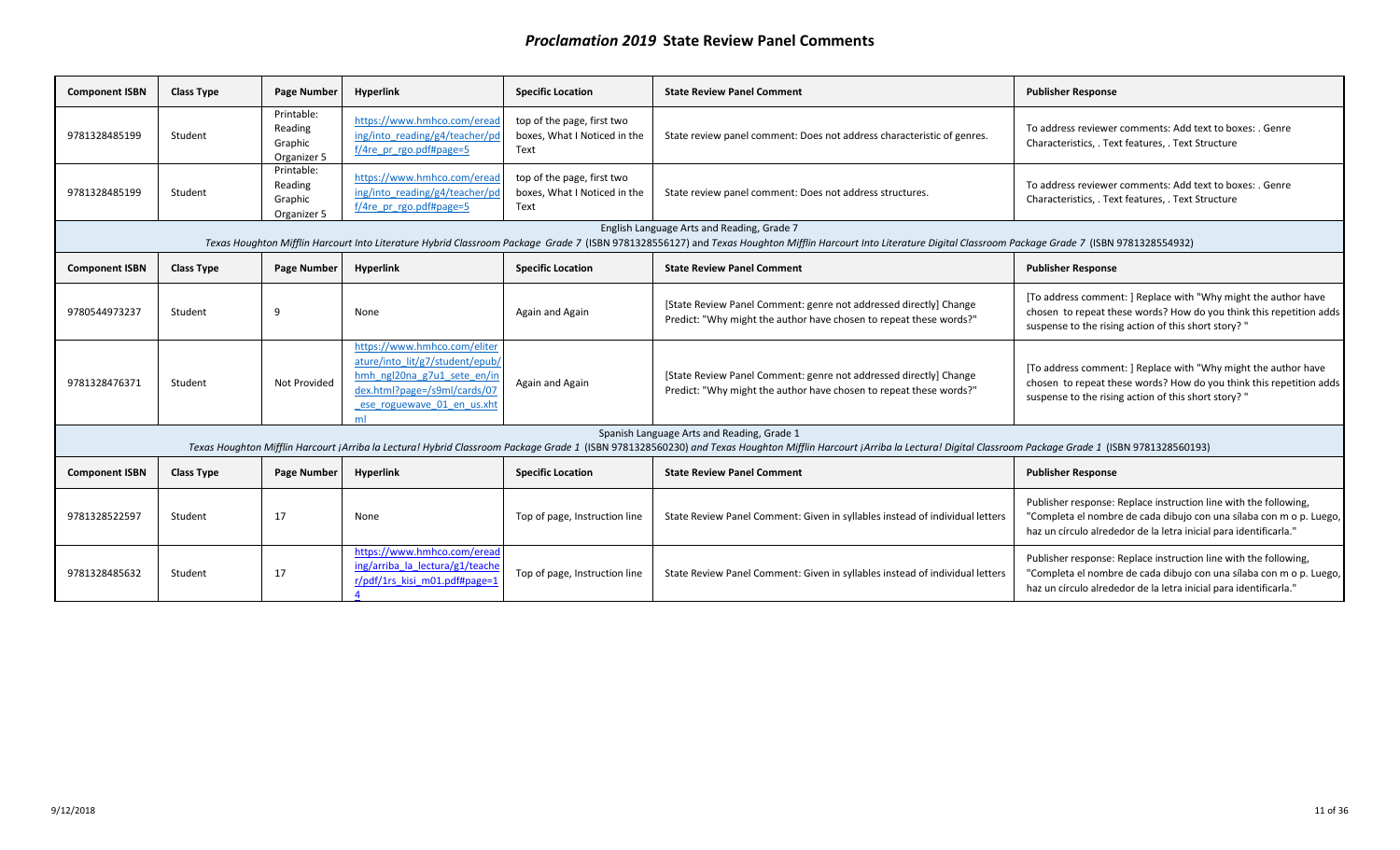| <b>Component ISBN</b>                                                                                                                                                                                                                                          | <b>Class Type</b> | Page Number                                     | <b>Hyperlink</b>                                                                                                                                                   | <b>Specific Location</b>                                           | <b>State Review Panel Comment</b>                                                                                                                                                                                                                                      | <b>Publisher Response</b>                                                                                                                                                                                    |  |  |
|----------------------------------------------------------------------------------------------------------------------------------------------------------------------------------------------------------------------------------------------------------------|-------------------|-------------------------------------------------|--------------------------------------------------------------------------------------------------------------------------------------------------------------------|--------------------------------------------------------------------|------------------------------------------------------------------------------------------------------------------------------------------------------------------------------------------------------------------------------------------------------------------------|--------------------------------------------------------------------------------------------------------------------------------------------------------------------------------------------------------------|--|--|
| 9781328485199                                                                                                                                                                                                                                                  | Student           | Printable:<br>Reading<br>Graphic<br>Organizer 5 | https://www.hmhco.com/eread<br>ing/into reading/g4/teacher/pd<br>$f/4$ re pr rgo.pdf#page=5                                                                        | top of the page, first two<br>boxes, What I Noticed in the<br>Text | State review panel comment: Does not address characteristic of genres.                                                                                                                                                                                                 | To address reviewer comments: Add text to boxes: . Genre<br>Characteristics, . Text features, . Text Structure                                                                                               |  |  |
| 9781328485199                                                                                                                                                                                                                                                  | Student           | Printable:<br>Reading<br>Graphic<br>Organizer 5 | https://www.hmhco.com/eread<br>ing/into reading/g4/teacher/pd<br>$f/4$ re pr rgo.pdf#page=5                                                                        | top of the page, first two<br>boxes, What I Noticed in the<br>Text | State review panel comment: Does not address structures.                                                                                                                                                                                                               | To address reviewer comments: Add text to boxes: . Genre<br>Characteristics, . Text features, . Text Structure                                                                                               |  |  |
| English Language Arts and Reading, Grade 7<br>Texas Houghton Mifflin Harcourt Into Literature Hybrid Classroom Package Grade 7 (ISBN 9781328556127) and Texas Houghton Mifflin Harcourt Into Literature Digital Classroom Package Grade 7 (ISBN 9781328554932) |                   |                                                 |                                                                                                                                                                    |                                                                    |                                                                                                                                                                                                                                                                        |                                                                                                                                                                                                              |  |  |
| <b>Component ISBN</b>                                                                                                                                                                                                                                          | <b>Class Type</b> | Page Number                                     | Hyperlink                                                                                                                                                          | <b>Specific Location</b>                                           | <b>State Review Panel Comment</b>                                                                                                                                                                                                                                      | <b>Publisher Response</b>                                                                                                                                                                                    |  |  |
| 9780544973237                                                                                                                                                                                                                                                  | Student           | 9                                               | None                                                                                                                                                               | Again and Again                                                    | [State Review Panel Comment: genre not addressed directly] Change<br>Predict: "Why might the author have chosen to repeat these words?"                                                                                                                                | [To address comment: ] Replace with "Why might the author have<br>chosen to repeat these words? How do you think this repetition adds<br>suspense to the rising action of this short story? "                |  |  |
| 9781328476371                                                                                                                                                                                                                                                  | Student           | Not Provided                                    | https://www.hmhco.com/eliter<br>ature/into lit/g7/student/epub/<br>hmh ngl20na g7u1 sete en/in<br>dex.html?page=/s9ml/cards/07<br>ese roguewave 01 en us.xht<br>ml | Again and Again                                                    | [State Review Panel Comment: genre not addressed directly] Change<br>Predict: "Why might the author have chosen to repeat these words?"                                                                                                                                | [To address comment: ] Replace with "Why might the author have<br>chosen to repeat these words? How do you think this repetition adds<br>suspense to the rising action of this short story? "                |  |  |
|                                                                                                                                                                                                                                                                |                   |                                                 |                                                                                                                                                                    |                                                                    | Spanish Language Arts and Reading, Grade 1<br>Texas Houghton Mifflin Harcourt jArriba la Lectura! Hybrid Classroom Package Grade 1 (ISBN 9781328560230) and Texas Houghton Mifflin Harcourt jArriba la Lectura! Digital Classroom Package Grade 1 (ISBN 9781328560193) |                                                                                                                                                                                                              |  |  |
| <b>Component ISBN</b>                                                                                                                                                                                                                                          | <b>Class Type</b> | Page Number                                     | Hyperlink                                                                                                                                                          | <b>Specific Location</b>                                           | <b>State Review Panel Comment</b>                                                                                                                                                                                                                                      | <b>Publisher Response</b>                                                                                                                                                                                    |  |  |
| 9781328522597                                                                                                                                                                                                                                                  | Student           | 17                                              | None                                                                                                                                                               | Top of page, Instruction line                                      | State Review Panel Comment: Given in syllables instead of individual letters                                                                                                                                                                                           | Publisher response: Replace instruction line with the following,<br>"Completa el nombre de cada dibujo con una sílaba con m o p. Luego,<br>haz un círculo alrededor de la letra inicial para identificarla." |  |  |
| 9781328485632                                                                                                                                                                                                                                                  | Student           | 17                                              | https://www.hmhco.com/eread<br>ing/arriba la lectura/g1/teache<br>r/pdf/1rs kisi m01.pdf#page=1                                                                    | Top of page, Instruction line                                      | State Review Panel Comment: Given in syllables instead of individual letters                                                                                                                                                                                           | Publisher response: Replace instruction line with the following,<br>"Completa el nombre de cada dibujo con una sílaba con m o p. Luego,<br>haz un círculo alrededor de la letra inicial para identificarla." |  |  |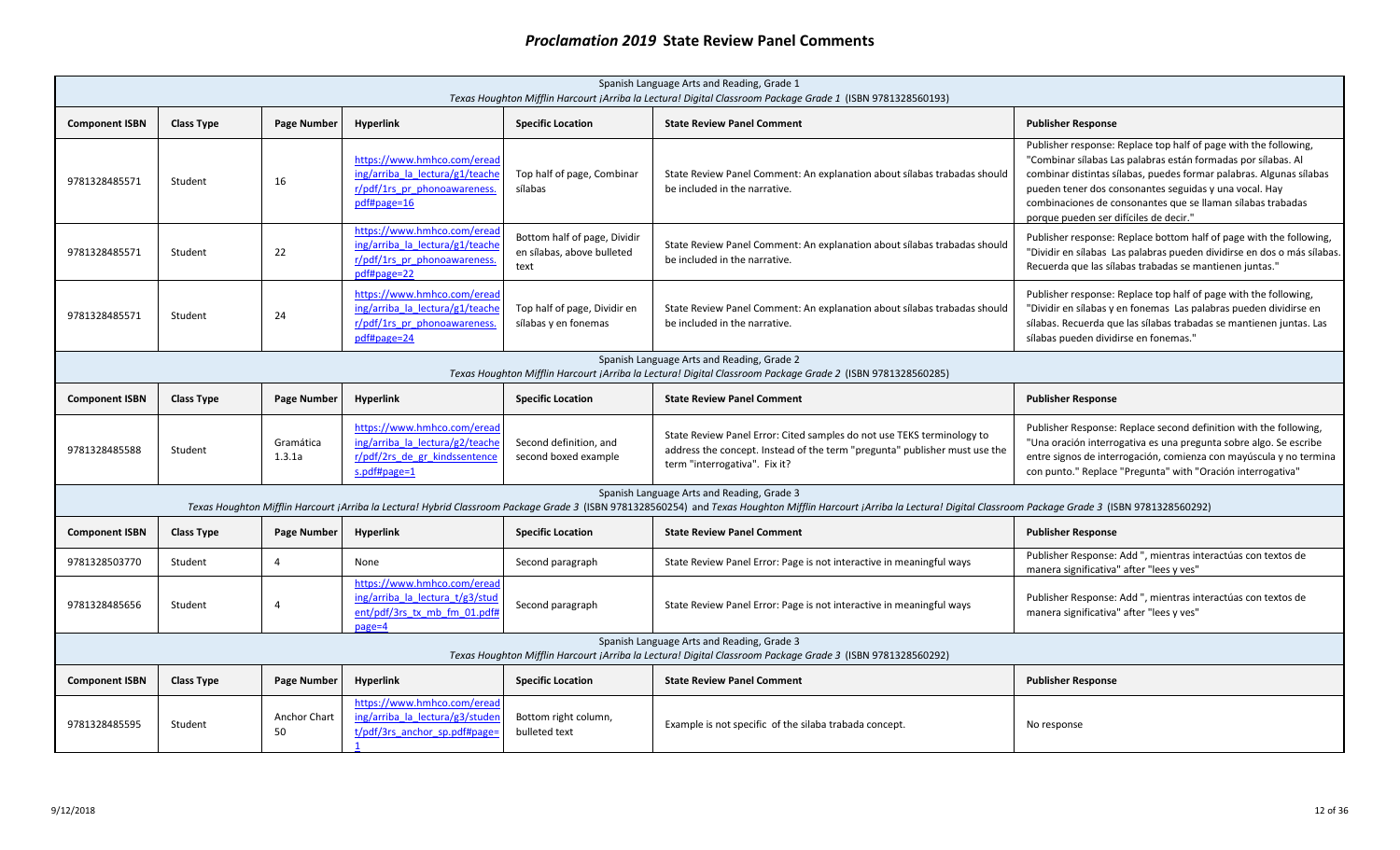|                                                                                                                                                          | Spanish Language Arts and Reading, Grade 1<br>Texas Houghton Mifflin Harcourt jArriba la Lectura! Digital Classroom Package Grade 1 (ISBN 9781328560193) |                     |                                                                                                                 |                                                                    |                                                                                                                                                                                                                                                                        |                                                                                                                                                                                                                                                                                                                                                                             |  |  |  |
|----------------------------------------------------------------------------------------------------------------------------------------------------------|----------------------------------------------------------------------------------------------------------------------------------------------------------|---------------------|-----------------------------------------------------------------------------------------------------------------|--------------------------------------------------------------------|------------------------------------------------------------------------------------------------------------------------------------------------------------------------------------------------------------------------------------------------------------------------|-----------------------------------------------------------------------------------------------------------------------------------------------------------------------------------------------------------------------------------------------------------------------------------------------------------------------------------------------------------------------------|--|--|--|
| <b>Component ISBN</b>                                                                                                                                    | <b>Class Type</b>                                                                                                                                        | Page Number         | <b>Hyperlink</b>                                                                                                | <b>Specific Location</b>                                           | <b>State Review Panel Comment</b>                                                                                                                                                                                                                                      | <b>Publisher Response</b>                                                                                                                                                                                                                                                                                                                                                   |  |  |  |
| 9781328485571                                                                                                                                            | Student                                                                                                                                                  | 16                  | https://www.hmhco.com/ereac<br>ing/arriba la lectura/g1/teache<br>r/pdf/1rs pr phonoawareness<br>pdf#page=16    | Top half of page, Combinar<br>sílabas                              | State Review Panel Comment: An explanation about sílabas trabadas should<br>be included in the narrative.                                                                                                                                                              | Publisher response: Replace top half of page with the following,<br>"Combinar sílabas Las palabras están formadas por sílabas. Al<br>combinar distintas sílabas, puedes formar palabras. Algunas sílabas<br>pueden tener dos consonantes seguidas y una vocal. Hay<br>combinaciones de consonantes que se llaman sílabas trabadas<br>porque pueden ser difíciles de decir." |  |  |  |
| 9781328485571                                                                                                                                            | Student                                                                                                                                                  | 22                  | https://www.hmhco.com/ereac<br>ing/arriba la lectura/g1/teache<br>r/pdf/1rs pr phonoawareness<br>pdf#page=22    | Bottom half of page, Dividir<br>en sílabas, above bulleted<br>text | State Review Panel Comment: An explanation about sílabas trabadas should<br>be included in the narrative.                                                                                                                                                              | Publisher response: Replace bottom half of page with the following,<br>"Dividir en sílabas Las palabras pueden dividirse en dos o más sílabas.<br>Recuerda que las sílabas trabadas se mantienen juntas."                                                                                                                                                                   |  |  |  |
| 9781328485571                                                                                                                                            | Student                                                                                                                                                  | 24                  | https://www.hmhco.com/eread<br>ing/arriba la lectura/g1/teache<br>r/pdf/1rs pr phonoawareness.<br>pdf#page=24   | Top half of page, Dividir en<br>sílabas y en fonemas               | State Review Panel Comment: An explanation about sílabas trabadas should<br>be included in the narrative.                                                                                                                                                              | Publisher response: Replace top half of page with the following,<br>"Dividir en sílabas y en fonemas Las palabras pueden dividirse en<br>sílabas. Recuerda que las sílabas trabadas se mantienen juntas. Las<br>sílabas pueden dividirse en fonemas."                                                                                                                       |  |  |  |
| Spanish Language Arts and Reading, Grade 2<br>Texas Houghton Mifflin Harcourt jArriba la Lectura! Digital Classroom Package Grade 2 (ISBN 9781328560285) |                                                                                                                                                          |                     |                                                                                                                 |                                                                    |                                                                                                                                                                                                                                                                        |                                                                                                                                                                                                                                                                                                                                                                             |  |  |  |
| <b>Component ISBN</b>                                                                                                                                    | <b>Class Type</b>                                                                                                                                        | Page Number         | <b>Hyperlink</b>                                                                                                | <b>Specific Location</b>                                           | <b>State Review Panel Comment</b>                                                                                                                                                                                                                                      | <b>Publisher Response</b>                                                                                                                                                                                                                                                                                                                                                   |  |  |  |
| 9781328485588                                                                                                                                            | Student                                                                                                                                                  | Gramática<br>1.3.1a | https://www.hmhco.com/eread<br>ing/arriba la lectura/g2/teache<br>r/pdf/2rs de gr kindssentence<br>s.pdf#page=1 | Second definition, and<br>second boxed example                     | State Review Panel Error: Cited samples do not use TEKS terminology to<br>address the concept. Instead of the term "pregunta" publisher must use the<br>term "interrogativa". Fix it?                                                                                  | Publisher Response: Replace second definition with the following,<br>"Una oración interrogativa es una pregunta sobre algo. Se escribe<br>entre signos de interrogación, comienza con mayúscula y no termina<br>con punto." Replace "Pregunta" with "Oración interrogativa"                                                                                                 |  |  |  |
|                                                                                                                                                          |                                                                                                                                                          |                     |                                                                                                                 |                                                                    | Spanish Language Arts and Reading, Grade 3<br>Texas Houghton Mifflin Harcourt iArriba la Lectura! Hybrid Classroom Package Grade 3 (ISBN 9781328560254) and Texas Houghton Mifflin Harcourt iArriba la Lectura! Digital Classroom Package Grade 3 (ISBN 9781328560292) |                                                                                                                                                                                                                                                                                                                                                                             |  |  |  |
| <b>Component ISBN</b>                                                                                                                                    | <b>Class Type</b>                                                                                                                                        | Page Number         | Hyperlink                                                                                                       | <b>Specific Location</b>                                           | <b>State Review Panel Comment</b>                                                                                                                                                                                                                                      | <b>Publisher Response</b>                                                                                                                                                                                                                                                                                                                                                   |  |  |  |
| 9781328503770                                                                                                                                            | Student                                                                                                                                                  | $\overline{4}$      | None                                                                                                            | Second paragraph                                                   | State Review Panel Error: Page is not interactive in meaningful ways                                                                                                                                                                                                   | Publisher Response: Add ", mientras interactúas con textos de<br>manera significativa" after "lees y ves"                                                                                                                                                                                                                                                                   |  |  |  |
| 9781328485656                                                                                                                                            | Student                                                                                                                                                  | 4                   | https://www.hmhco.com/eread<br>ing/arriba la lectura t/g3/stud<br>ent/pdf/3rs tx mb fm 01.pdf#<br>page=4        | Second paragraph                                                   | State Review Panel Error: Page is not interactive in meaningful ways                                                                                                                                                                                                   | Publisher Response: Add ", mientras interactúas con textos de<br>manera significativa" after "lees y ves"                                                                                                                                                                                                                                                                   |  |  |  |
|                                                                                                                                                          |                                                                                                                                                          |                     |                                                                                                                 |                                                                    | Spanish Language Arts and Reading, Grade 3<br>Texas Houghton Mifflin Harcourt jArriba la Lectura! Digital Classroom Package Grade 3 (ISBN 9781328560292)                                                                                                               |                                                                                                                                                                                                                                                                                                                                                                             |  |  |  |
| <b>Component ISBN</b>                                                                                                                                    | <b>Class Type</b>                                                                                                                                        | Page Number         | <b>Hyperlink</b>                                                                                                | <b>Specific Location</b>                                           | <b>State Review Panel Comment</b>                                                                                                                                                                                                                                      | <b>Publisher Response</b>                                                                                                                                                                                                                                                                                                                                                   |  |  |  |
| 9781328485595                                                                                                                                            | Student                                                                                                                                                  | Anchor Chart<br>50  | https://www.hmhco.com/ereac<br>ing/arriba la lectura/g3/studen<br>t/pdf/3rs anchor sp.pdf#page=                 | Bottom right column,<br>bulleted text                              | Example is not specific of the silaba trabada concept.                                                                                                                                                                                                                 | No response                                                                                                                                                                                                                                                                                                                                                                 |  |  |  |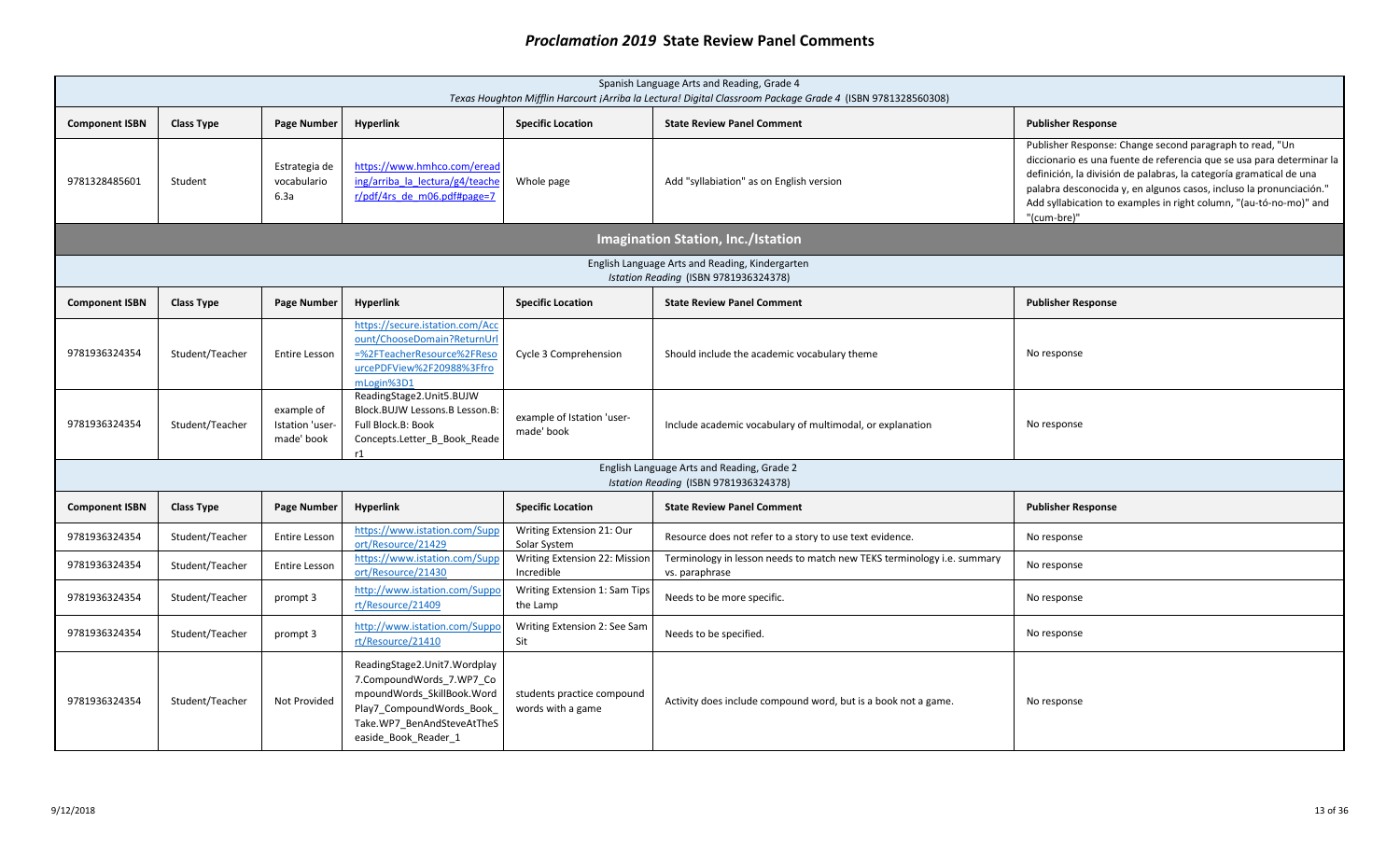|                       | Spanish Language Arts and Reading, Grade 4<br>Texas Houghton Mifflin Harcourt jArriba la Lectura! Digital Classroom Package Grade 4 (ISBN 9781328560308) |                                             |                                                                                                                                                                           |                                                 |                                                                                          |                                                                                                                                                                                                                                                                                                                                                                      |  |  |  |
|-----------------------|----------------------------------------------------------------------------------------------------------------------------------------------------------|---------------------------------------------|---------------------------------------------------------------------------------------------------------------------------------------------------------------------------|-------------------------------------------------|------------------------------------------------------------------------------------------|----------------------------------------------------------------------------------------------------------------------------------------------------------------------------------------------------------------------------------------------------------------------------------------------------------------------------------------------------------------------|--|--|--|
| <b>Component ISBN</b> | <b>Class Type</b>                                                                                                                                        | <b>Page Number</b>                          | <b>Hyperlink</b>                                                                                                                                                          | <b>Specific Location</b>                        | <b>State Review Panel Comment</b>                                                        | <b>Publisher Response</b>                                                                                                                                                                                                                                                                                                                                            |  |  |  |
| 9781328485601         | Student                                                                                                                                                  | Estrategia de<br>vocabulario<br>6.3a        | https://www.hmhco.com/eread<br>ing/arriba la lectura/g4/teache<br>r/pdf/4rs de m06.pdf#page=7                                                                             | Whole page                                      | Add "syllabiation" as on English version                                                 | Publisher Response: Change second paragraph to read, "Un<br>diccionario es una fuente de referencia que se usa para determinar la<br>definición, la división de palabras, la categoría gramatical de una<br>palabra desconocida y, en algunos casos, incluso la pronunciación."<br>Add syllabication to examples in right column, "(au-tó-no-mo)" and<br>"(cum-bre)" |  |  |  |
|                       |                                                                                                                                                          |                                             |                                                                                                                                                                           |                                                 | <b>Imagination Station, Inc./Istation</b>                                                |                                                                                                                                                                                                                                                                                                                                                                      |  |  |  |
|                       |                                                                                                                                                          |                                             |                                                                                                                                                                           |                                                 | English Language Arts and Reading, Kindergarten<br>Istation Reading (ISBN 9781936324378) |                                                                                                                                                                                                                                                                                                                                                                      |  |  |  |
| <b>Component ISBN</b> | <b>Class Type</b>                                                                                                                                        | <b>Page Number</b>                          | <b>Hyperlink</b>                                                                                                                                                          | <b>Specific Location</b>                        | <b>State Review Panel Comment</b>                                                        | <b>Publisher Response</b>                                                                                                                                                                                                                                                                                                                                            |  |  |  |
| 9781936324354         | Student/Teacher                                                                                                                                          | <b>Entire Lesson</b>                        | https://secure.istation.com/Acc<br>ount/ChooseDomain?ReturnUrl<br>=%2FTeacherResource%2FReso<br>urcePDFView%2F20988%3Ffro<br>mLogin%3D1                                   | Cycle 3 Comprehension                           | Should include the academic vocabulary theme                                             | No response                                                                                                                                                                                                                                                                                                                                                          |  |  |  |
| 9781936324354         | Student/Teacher                                                                                                                                          | example of<br>Istation 'user-<br>made' book | ReadingStage2.Unit5.BUJW<br>Block.BUJW Lessons.B Lesson.B:<br>Full Block.B: Book<br>Concepts.Letter B Book Reade<br>r1                                                    | example of Istation 'user-<br>made' book        | Include academic vocabulary of multimodal, or explanation                                | No response                                                                                                                                                                                                                                                                                                                                                          |  |  |  |
|                       |                                                                                                                                                          |                                             |                                                                                                                                                                           |                                                 | English Language Arts and Reading, Grade 2<br>Istation Reading (ISBN 9781936324378)      |                                                                                                                                                                                                                                                                                                                                                                      |  |  |  |
| <b>Component ISBN</b> | <b>Class Type</b>                                                                                                                                        | Page Number                                 | <b>Hyperlink</b>                                                                                                                                                          | <b>Specific Location</b>                        | <b>State Review Panel Comment</b>                                                        | <b>Publisher Response</b>                                                                                                                                                                                                                                                                                                                                            |  |  |  |
| 9781936324354         | Student/Teacher                                                                                                                                          | Entire Lesson                               | https://www.istation.com/Supp<br>ort/Resource/21429                                                                                                                       | Writing Extension 21: Our<br>Solar System       | Resource does not refer to a story to use text evidence.                                 | No response                                                                                                                                                                                                                                                                                                                                                          |  |  |  |
| 9781936324354         | Student/Teacher                                                                                                                                          | <b>Entire Lesson</b>                        | https://www.istation.com/Supp<br>ort/Resource/21430                                                                                                                       | Writing Extension 22: Mission<br>Incredible     | Terminology in lesson needs to match new TEKS terminology i.e. summary<br>vs. paraphrase | No response                                                                                                                                                                                                                                                                                                                                                          |  |  |  |
| 9781936324354         | Student/Teacher                                                                                                                                          | prompt 3                                    | http://www.istation.com/Suppo<br>rt/Resource/21409                                                                                                                        | Writing Extension 1: Sam Tips<br>the Lamp       | Needs to be more specific.                                                               | No response                                                                                                                                                                                                                                                                                                                                                          |  |  |  |
| 9781936324354         | Student/Teacher                                                                                                                                          | prompt 3                                    | http://www.istation.com/Suppo<br>rt/Resource/21410                                                                                                                        | Writing Extension 2: See Sam<br>Sit             | Needs to be specified.                                                                   | No response                                                                                                                                                                                                                                                                                                                                                          |  |  |  |
| 9781936324354         | Student/Teacher                                                                                                                                          | Not Provided                                | ReadingStage2.Unit7.Wordplay<br>7.CompoundWords 7.WP7 Co<br>mpoundWords SkillBook.Word<br>Play7_CompoundWords_Book_<br>Take.WP7_BenAndSteveAtTheS<br>easide Book Reader 1 | students practice compound<br>words with a game | Activity does include compound word, but is a book not a game.                           | No response                                                                                                                                                                                                                                                                                                                                                          |  |  |  |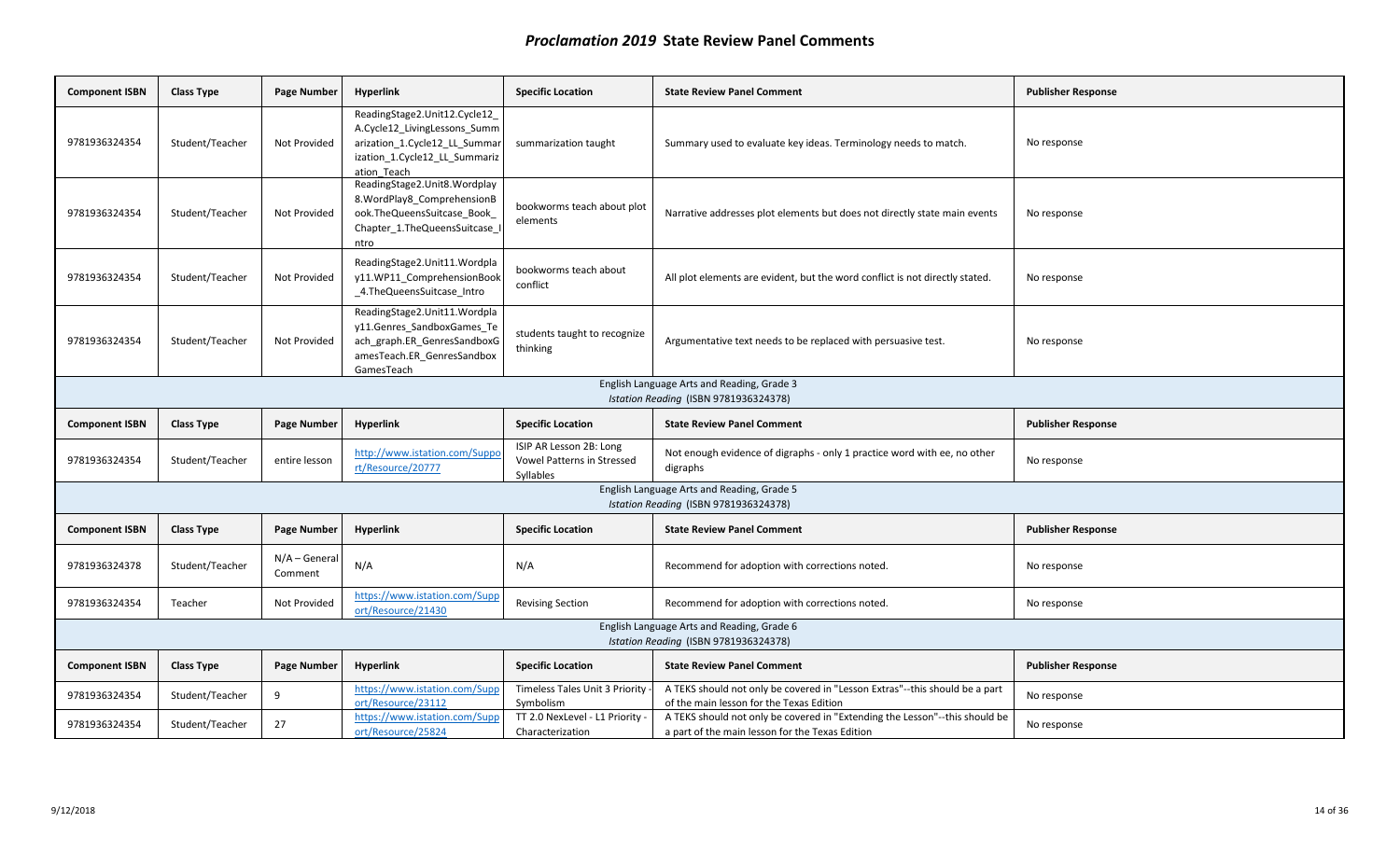| <b>Component ISBN</b>                                                               | <b>Class Type</b> | Page Number                | <b>Hyperlink</b>                                                                                                                              | <b>Specific Location</b>                                           | <b>State Review Panel Comment</b>                                                                                                                                                                      | <b>Publisher Response</b> |  |  |
|-------------------------------------------------------------------------------------|-------------------|----------------------------|-----------------------------------------------------------------------------------------------------------------------------------------------|--------------------------------------------------------------------|--------------------------------------------------------------------------------------------------------------------------------------------------------------------------------------------------------|---------------------------|--|--|
| 9781936324354                                                                       | Student/Teacher   | <b>Not Provided</b>        | ReadingStage2.Unit12.Cycle12<br>A.Cycle12_LivingLessons_Summ<br>arization_1.Cycle12_LL_Summar<br>ization_1.Cycle12_LL_Summariz<br>ation Teach | summarization taught                                               | Summary used to evaluate key ideas. Terminology needs to match.                                                                                                                                        | No response               |  |  |
| 9781936324354                                                                       | Student/Teacher   | Not Provided               | ReadingStage2.Unit8.Wordplay<br>8. WordPlay8_ComprehensionB<br>ook.TheQueensSuitcase Book<br>Chapter_1.TheQueensSuitcase_<br>ntro             | bookworms teach about plot<br>elements                             | Narrative addresses plot elements but does not directly state main events                                                                                                                              | No response               |  |  |
| 9781936324354                                                                       | Student/Teacher   | Not Provided               | ReadingStage2.Unit11.Wordpla<br>y11.WP11 ComprehensionBook<br>_4.TheQueensSuitcase_Intro                                                      | bookworms teach about<br>conflict                                  | All plot elements are evident, but the word conflict is not directly stated.                                                                                                                           | No response               |  |  |
| 9781936324354                                                                       | Student/Teacher   | Not Provided               | ReadingStage2.Unit11.Wordpla<br>y11.Genres SandboxGames Te<br>ach_graph.ER_GenresSandboxG<br>amesTeach.ER_GenresSandbox<br>GamesTeach         | students taught to recognize<br>thinking                           | Argumentative text needs to be replaced with persuasive test.                                                                                                                                          | No response               |  |  |
| English Language Arts and Reading, Grade 3<br>Istation Reading (ISBN 9781936324378) |                   |                            |                                                                                                                                               |                                                                    |                                                                                                                                                                                                        |                           |  |  |
|                                                                                     |                   |                            |                                                                                                                                               |                                                                    |                                                                                                                                                                                                        |                           |  |  |
| <b>Component ISBN</b>                                                               | <b>Class Type</b> | Page Number                | <b>Hyperlink</b>                                                                                                                              | <b>Specific Location</b>                                           | <b>State Review Panel Comment</b>                                                                                                                                                                      | <b>Publisher Response</b> |  |  |
| 9781936324354                                                                       | Student/Teacher   | entire lesson              | http://www.istation.com/Suppo<br>rt/Resource/20777                                                                                            | ISIP AR Lesson 2B: Long<br>Vowel Patterns in Stressed<br>Syllables | Not enough evidence of digraphs - only 1 practice word with ee, no other<br>digraphs                                                                                                                   | No response               |  |  |
|                                                                                     |                   |                            |                                                                                                                                               |                                                                    | English Language Arts and Reading, Grade 5<br>Istation Reading (ISBN 9781936324378)                                                                                                                    |                           |  |  |
| <b>Component ISBN</b>                                                               | <b>Class Type</b> | Page Number                | Hyperlink                                                                                                                                     | <b>Specific Location</b>                                           | <b>State Review Panel Comment</b>                                                                                                                                                                      | <b>Publisher Response</b> |  |  |
| 9781936324378                                                                       | Student/Teacher   | $N/A - General$<br>Comment | N/A                                                                                                                                           | N/A                                                                | Recommend for adoption with corrections noted.                                                                                                                                                         | No response               |  |  |
| 9781936324354                                                                       | Teacher           | Not Provided               | https://www.istation.com/Supp<br>ort/Resource/21430                                                                                           | <b>Revising Section</b>                                            | Recommend for adoption with corrections noted.                                                                                                                                                         | No response               |  |  |
|                                                                                     |                   |                            |                                                                                                                                               |                                                                    | English Language Arts and Reading, Grade 6<br>Istation Reading (ISBN 9781936324378)                                                                                                                    |                           |  |  |
| <b>Component ISBN</b>                                                               | <b>Class Type</b> | Page Number                | <b>Hyperlink</b>                                                                                                                              | <b>Specific Location</b>                                           | <b>State Review Panel Comment</b>                                                                                                                                                                      | <b>Publisher Response</b> |  |  |
| 9781936324354                                                                       | Student/Teacher   | 9                          | https://www.istation.com/Supp<br>ort/Resource/23112                                                                                           | Timeless Tales Unit 3 Priority -<br>Symbolism                      | A TEKS should not only be covered in "Lesson Extras"--this should be a part<br>of the main lesson for the Texas Edition<br>A TEKS should not only be covered in "Extending the Lesson"--this should be | No response               |  |  |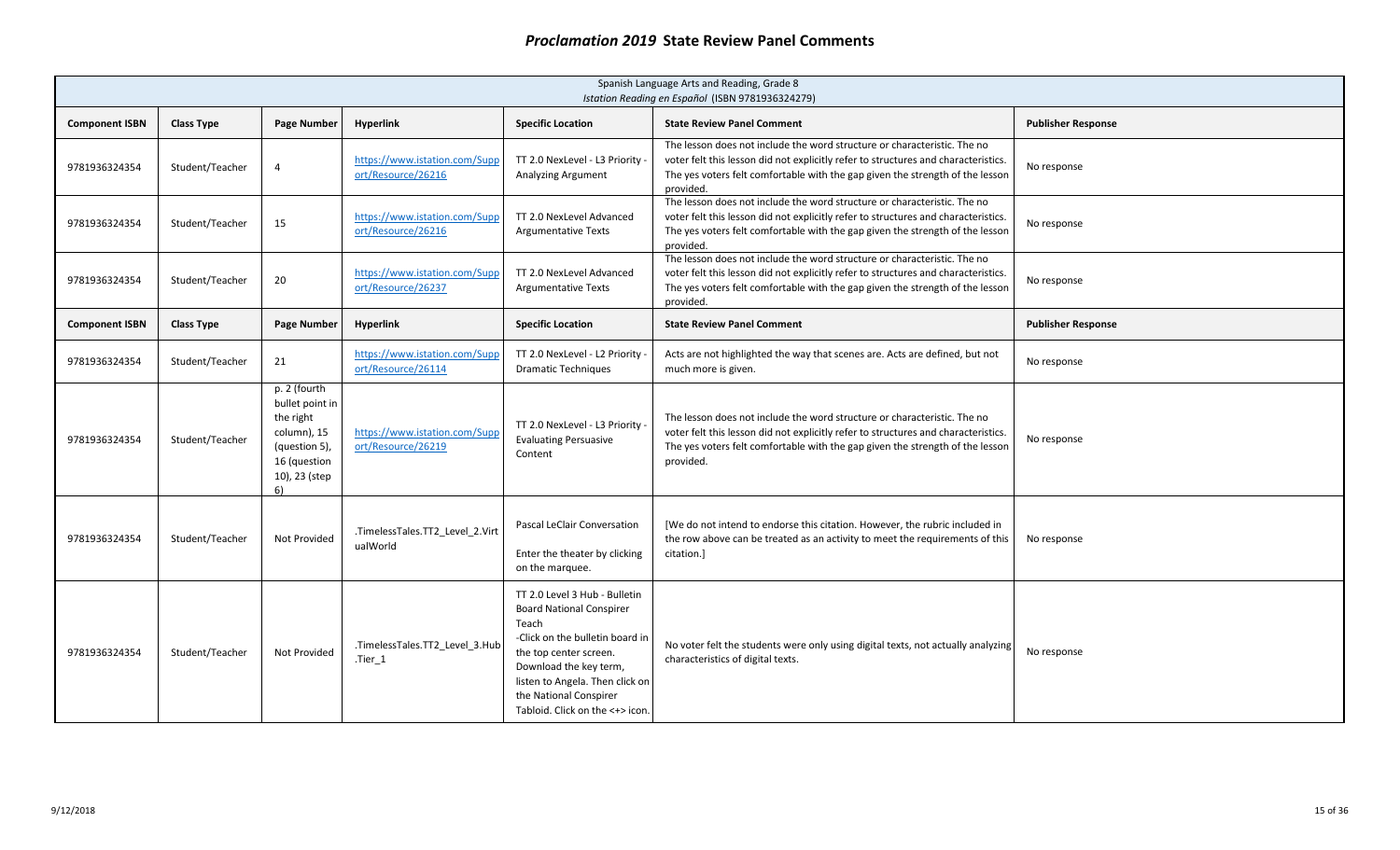|                       | Spanish Language Arts and Reading, Grade 8<br>Istation Reading en Español (ISBN 9781936324279) |                                                                                                                     |                                                     |                                                                                                                                                                                                                                                                  |                                                                                                                                                                                                                                                              |                           |  |  |  |
|-----------------------|------------------------------------------------------------------------------------------------|---------------------------------------------------------------------------------------------------------------------|-----------------------------------------------------|------------------------------------------------------------------------------------------------------------------------------------------------------------------------------------------------------------------------------------------------------------------|--------------------------------------------------------------------------------------------------------------------------------------------------------------------------------------------------------------------------------------------------------------|---------------------------|--|--|--|
| <b>Component ISBN</b> | <b>Class Type</b>                                                                              | Page Number                                                                                                         | Hyperlink                                           | <b>Specific Location</b>                                                                                                                                                                                                                                         | <b>State Review Panel Comment</b>                                                                                                                                                                                                                            | <b>Publisher Response</b> |  |  |  |
| 9781936324354         | Student/Teacher                                                                                |                                                                                                                     | https://www.istation.com/Supp<br>ort/Resource/26216 | TT 2.0 NexLevel - L3 Priority<br><b>Analyzing Argument</b>                                                                                                                                                                                                       | The lesson does not include the word structure or characteristic. The no<br>voter felt this lesson did not explicitly refer to structures and characteristics.<br>The yes voters felt comfortable with the gap given the strength of the lesson<br>provided. | No response               |  |  |  |
| 9781936324354         | Student/Teacher                                                                                | 15                                                                                                                  | https://www.istation.com/Supp<br>ort/Resource/26216 | TT 2.0 NexLevel Advanced<br><b>Argumentative Texts</b>                                                                                                                                                                                                           | The lesson does not include the word structure or characteristic. The no<br>voter felt this lesson did not explicitly refer to structures and characteristics.<br>The yes voters felt comfortable with the gap given the strength of the lesson<br>provided. | No response               |  |  |  |
| 9781936324354         | Student/Teacher                                                                                | 20                                                                                                                  | https://www.istation.com/Supp<br>ort/Resource/26237 | TT 2.0 NexLevel Advanced<br><b>Argumentative Texts</b>                                                                                                                                                                                                           | The lesson does not include the word structure or characteristic. The no<br>voter felt this lesson did not explicitly refer to structures and characteristics.<br>The yes voters felt comfortable with the gap given the strength of the lesson<br>provided. | No response               |  |  |  |
| <b>Component ISBN</b> | <b>Class Type</b>                                                                              | Page Number                                                                                                         | <b>Hyperlink</b>                                    | <b>Specific Location</b>                                                                                                                                                                                                                                         | <b>State Review Panel Comment</b>                                                                                                                                                                                                                            | <b>Publisher Response</b> |  |  |  |
| 9781936324354         | Student/Teacher                                                                                | 21                                                                                                                  | https://www.istation.com/Supp<br>ort/Resource/26114 | TT 2.0 NexLevel - L2 Priority<br><b>Dramatic Techniques</b>                                                                                                                                                                                                      | Acts are not highlighted the way that scenes are. Acts are defined, but not<br>much more is given.                                                                                                                                                           | No response               |  |  |  |
| 9781936324354         | Student/Teacher                                                                                | p. 2 (fourth<br>bullet point in<br>the right<br>column), 15<br>(question 5),<br>16 (question<br>10), 23 (step<br>6) | https://www.istation.com/Supp<br>ort/Resource/26219 | TT 2.0 NexLevel - L3 Priority<br><b>Evaluating Persuasive</b><br>Content                                                                                                                                                                                         | The lesson does not include the word structure or characteristic. The no<br>voter felt this lesson did not explicitly refer to structures and characteristics.<br>The yes voters felt comfortable with the gap given the strength of the lesson<br>provided. | No response               |  |  |  |
| 9781936324354         | Student/Teacher                                                                                | Not Provided                                                                                                        | .TimelessTales.TT2 Level 2.Virt<br>ualWorld         | Pascal LeClair Conversation<br>Enter the theater by clicking<br>on the marquee.                                                                                                                                                                                  | [We do not intend to endorse this citation. However, the rubric included in<br>the row above can be treated as an activity to meet the requirements of this<br>citation.]                                                                                    | No response               |  |  |  |
| 9781936324354         | Student/Teacher                                                                                | <b>Not Provided</b>                                                                                                 | .TimelessTales.TT2_Level_3.Hub<br>$Tier_1$          | TT 2.0 Level 3 Hub - Bulletin<br><b>Board National Conspirer</b><br>Teach<br>-Click on the bulletin board in<br>the top center screen.<br>Download the key term,<br>listen to Angela. Then click on<br>the National Conspirer<br>Tabloid. Click on the <+> icon. | No voter felt the students were only using digital texts, not actually analyzing<br>characteristics of digital texts.                                                                                                                                        | No response               |  |  |  |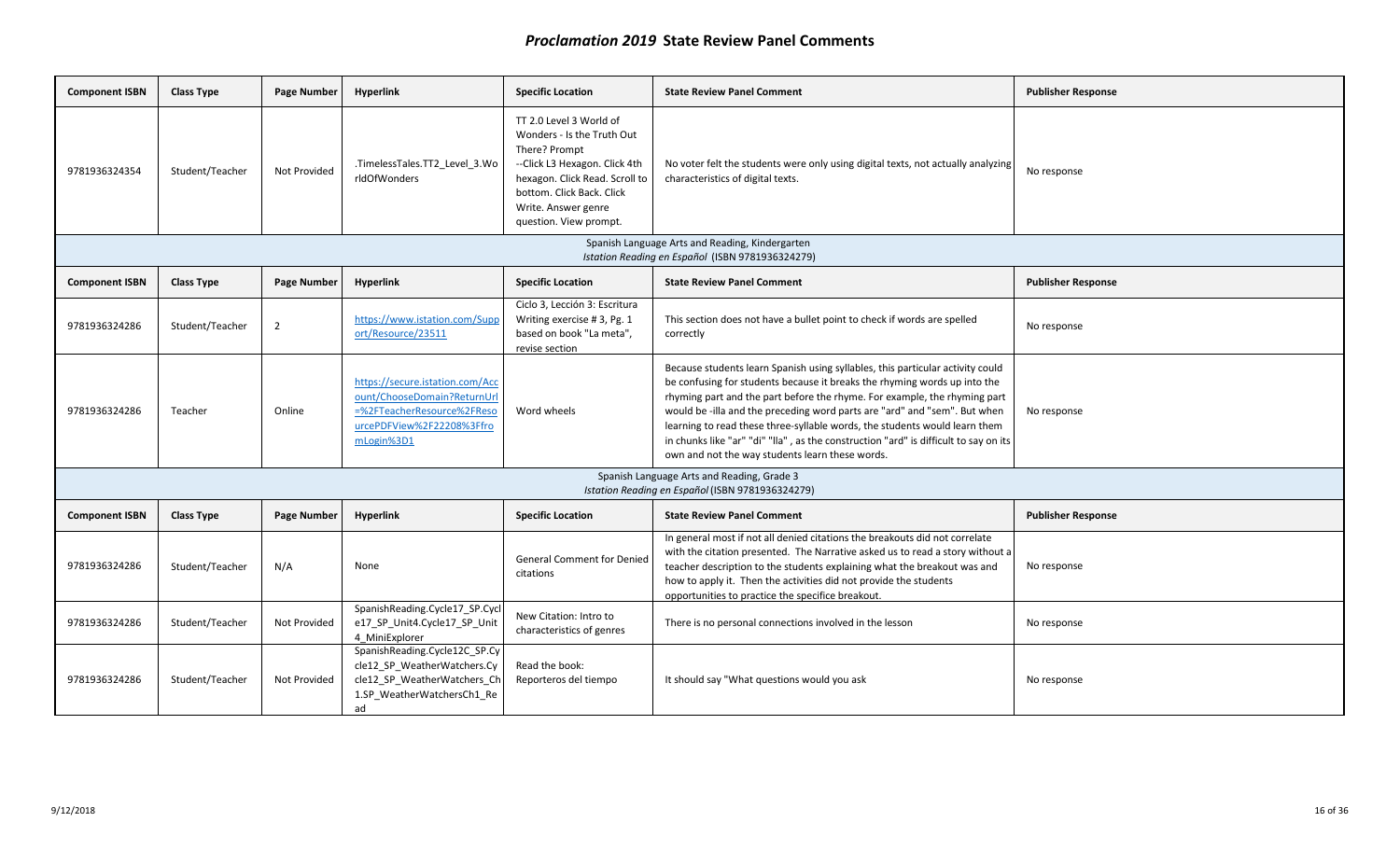| <b>Component ISBN</b> | <b>Class Type</b> | Page Number        | <b>Hyperlink</b>                                                                                                                        | <b>Specific Location</b>                                                                                                                                                                                                | <b>State Review Panel Comment</b>                                                                                                                                                                                                                                                                                                                                                                                                                                                                                                              | <b>Publisher Response</b> |
|-----------------------|-------------------|--------------------|-----------------------------------------------------------------------------------------------------------------------------------------|-------------------------------------------------------------------------------------------------------------------------------------------------------------------------------------------------------------------------|------------------------------------------------------------------------------------------------------------------------------------------------------------------------------------------------------------------------------------------------------------------------------------------------------------------------------------------------------------------------------------------------------------------------------------------------------------------------------------------------------------------------------------------------|---------------------------|
| 9781936324354         | Student/Teacher   | Not Provided       | .TimelessTales.TT2 Level 3.Wo<br>rldOfWonders                                                                                           | TT 2.0 Level 3 World of<br>Wonders - Is the Truth Out<br>There? Prompt<br>--Click L3 Hexagon. Click 4th<br>hexagon. Click Read. Scroll to<br>bottom. Click Back. Click<br>Write. Answer genre<br>question. View prompt. | No voter felt the students were only using digital texts, not actually analyzing<br>characteristics of digital texts.                                                                                                                                                                                                                                                                                                                                                                                                                          | No response               |
|                       |                   |                    |                                                                                                                                         |                                                                                                                                                                                                                         | Spanish Language Arts and Reading, Kindergarten<br>Istation Reading en Español (ISBN 9781936324279)                                                                                                                                                                                                                                                                                                                                                                                                                                            |                           |
| <b>Component ISBN</b> | <b>Class Type</b> | Page Number        | <b>Hyperlink</b>                                                                                                                        | <b>Specific Location</b>                                                                                                                                                                                                | <b>State Review Panel Comment</b>                                                                                                                                                                                                                                                                                                                                                                                                                                                                                                              | <b>Publisher Response</b> |
| 9781936324286         | Student/Teacher   | $\overline{2}$     | https://www.istation.com/Supp<br>ort/Resource/23511                                                                                     | Ciclo 3, Lección 3: Escritura<br>Writing exercise #3, Pg. 1<br>based on book "La meta",<br>revise section                                                                                                               | This section does not have a bullet point to check if words are spelled<br>correctly                                                                                                                                                                                                                                                                                                                                                                                                                                                           | No response               |
| 9781936324286         | Teacher           | Online             | https://secure.istation.com/Acc<br>ount/ChooseDomain?ReturnUrl<br>=%2FTeacherResource%2FReso<br>urcePDFView%2F22208%3Ffro<br>mLogin%3D1 | Word wheels                                                                                                                                                                                                             | Because students learn Spanish using syllables, this particular activity could<br>be confusing for students because it breaks the rhyming words up into the<br>rhyming part and the part before the rhyme. For example, the rhyming part<br>would be -illa and the preceding word parts are "ard" and "sem". But when<br>learning to read these three-syllable words, the students would learn them<br>in chunks like "ar" "di" "lla", as the construction "ard" is difficult to say on its<br>own and not the way students learn these words. | No response               |
|                       |                   |                    |                                                                                                                                         |                                                                                                                                                                                                                         | Spanish Language Arts and Reading, Grade 3<br>Istation Reading en Español (ISBN 9781936324279)                                                                                                                                                                                                                                                                                                                                                                                                                                                 |                           |
| <b>Component ISBN</b> | <b>Class Type</b> | <b>Page Number</b> | <b>Hyperlink</b>                                                                                                                        | <b>Specific Location</b>                                                                                                                                                                                                | <b>State Review Panel Comment</b>                                                                                                                                                                                                                                                                                                                                                                                                                                                                                                              | <b>Publisher Response</b> |
| 9781936324286         | Student/Teacher   | N/A                | None                                                                                                                                    | <b>General Comment for Denied</b><br>citations                                                                                                                                                                          | In general most if not all denied citations the breakouts did not correlate<br>with the citation presented. The Narrative asked us to read a story without a<br>teacher description to the students explaining what the breakout was and<br>how to apply it. Then the activities did not provide the students<br>opportunities to practice the specifice breakout.                                                                                                                                                                             | No response               |
| 9781936324286         | Student/Teacher   | Not Provided       | SpanishReading.Cycle17 SP.Cycl<br>e17_SP_Unit4.Cycle17_SP_Unit<br>4 MiniExplorer                                                        | New Citation: Intro to<br>characteristics of genres                                                                                                                                                                     | There is no personal connections involved in the lesson                                                                                                                                                                                                                                                                                                                                                                                                                                                                                        | No response               |
| 9781936324286         | Student/Teacher   | Not Provided       | SpanishReading.Cycle12C_SP.Cy<br>cle12 SP WeatherWatchers.Cy<br>cle12_SP_WeatherWatchers_Ch<br>1.SP_WeatherWatchersCh1_Re<br>ad         | Read the book:<br>Reporteros del tiempo                                                                                                                                                                                 | It should say "What questions would you ask                                                                                                                                                                                                                                                                                                                                                                                                                                                                                                    | No response               |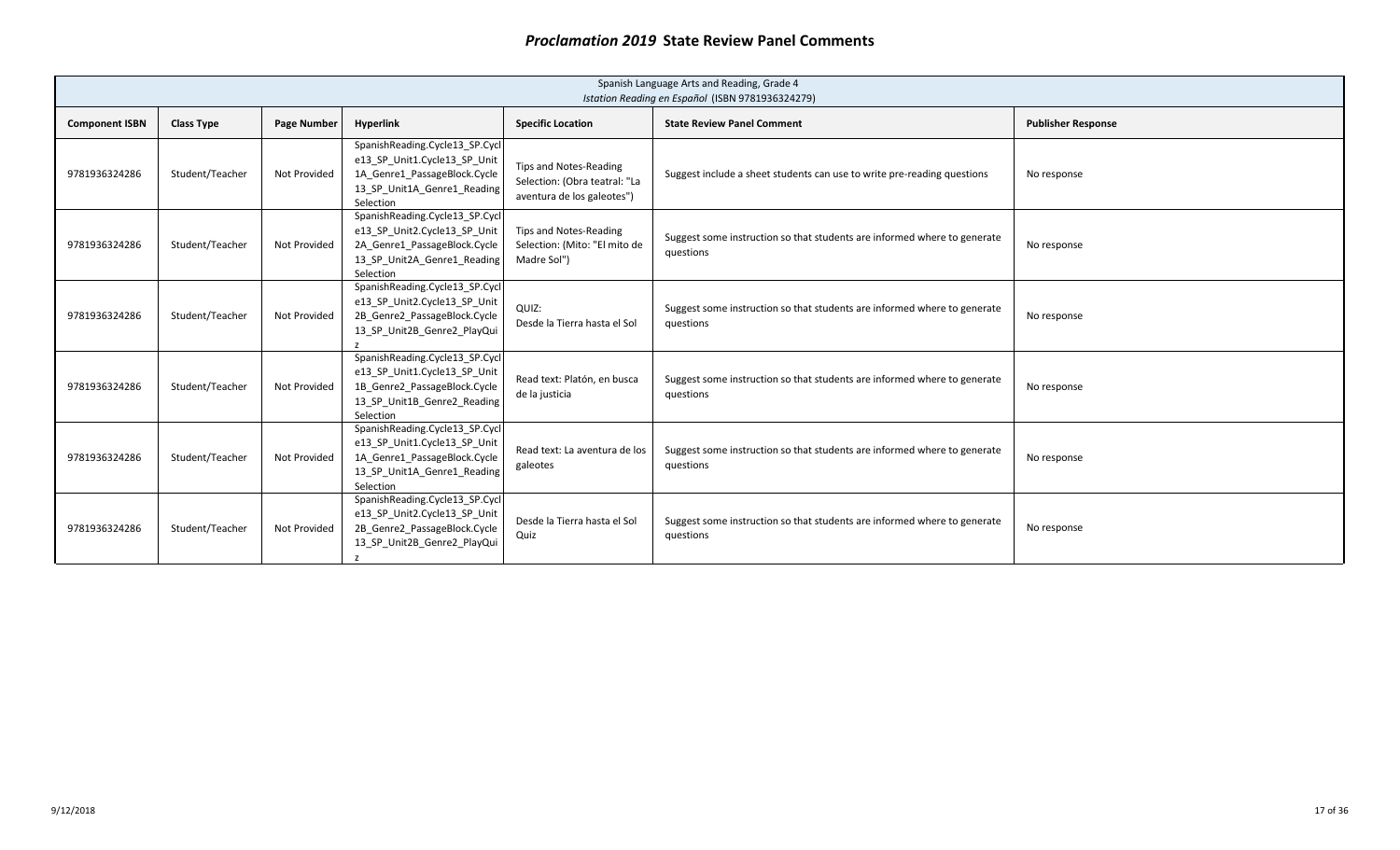|                       | Spanish Language Arts and Reading, Grade 4<br>Istation Reading en Español (ISBN 9781936324279) |              |                                                                                                                                            |                                                                                       |                                                                                       |                           |  |  |  |
|-----------------------|------------------------------------------------------------------------------------------------|--------------|--------------------------------------------------------------------------------------------------------------------------------------------|---------------------------------------------------------------------------------------|---------------------------------------------------------------------------------------|---------------------------|--|--|--|
| <b>Component ISBN</b> | <b>Class Type</b>                                                                              | Page Number  | Hyperlink                                                                                                                                  | <b>Specific Location</b>                                                              | <b>State Review Panel Comment</b>                                                     | <b>Publisher Response</b> |  |  |  |
| 9781936324286         | Student/Teacher                                                                                | Not Provided | SpanishReading.Cycle13_SP.Cycl<br>e13 SP Unit1.Cycle13 SP Unit<br>1A_Genre1_PassageBlock.Cycle<br>13 SP Unit1A Genre1 Reading<br>Selection | Tips and Notes-Reading<br>Selection: (Obra teatral: "La<br>aventura de los galeotes") | Suggest include a sheet students can use to write pre-reading questions               | No response               |  |  |  |
| 9781936324286         | Student/Teacher                                                                                | Not Provided | SpanishReading.Cycle13_SP.Cycl<br>e13_SP_Unit2.Cycle13_SP_Unit<br>2A_Genre1_PassageBlock.Cycle<br>13 SP Unit2A Genre1 Reading<br>Selection | Tips and Notes-Reading<br>Selection: (Mito: "El mito de<br>Madre Sol")                | Suggest some instruction so that students are informed where to generate<br>questions | No response               |  |  |  |
| 9781936324286         | Student/Teacher                                                                                | Not Provided | SpanishReading.Cycle13_SP.Cycl<br>e13_SP_Unit2.Cycle13_SP_Unit<br>2B_Genre2_PassageBlock.Cycle<br>13 SP Unit2B Genre2 PlayQui              | QUIZ:<br>Desde la Tierra hasta el Sol                                                 | Suggest some instruction so that students are informed where to generate<br>questions | No response               |  |  |  |
| 9781936324286         | Student/Teacher                                                                                | Not Provided | SpanishReading.Cycle13_SP.Cycl<br>e13_SP_Unit1.Cycle13_SP_Unit<br>1B_Genre2_PassageBlock.Cycle<br>13 SP Unit1B Genre2 Reading<br>Selection | Read text: Platón, en busca<br>de la justicia                                         | Suggest some instruction so that students are informed where to generate<br>questions | No response               |  |  |  |
| 9781936324286         | Student/Teacher                                                                                | Not Provided | SpanishReading.Cycle13_SP.Cycl<br>e13_SP_Unit1.Cycle13_SP_Unit<br>1A_Genre1_PassageBlock.Cycle<br>13_SP_Unit1A_Genre1_Reading<br>Selection | Read text: La aventura de los<br>galeotes                                             | Suggest some instruction so that students are informed where to generate<br>questions | No response               |  |  |  |
| 9781936324286         | Student/Teacher                                                                                | Not Provided | SpanishReading.Cycle13_SP.Cycl<br>e13_SP_Unit2.Cycle13_SP_Unit<br>2B_Genre2_PassageBlock.Cycle<br>13 SP Unit2B Genre2 PlayQui              | Desde la Tierra hasta el Sol<br>Quiz                                                  | Suggest some instruction so that students are informed where to generate<br>questions | No response               |  |  |  |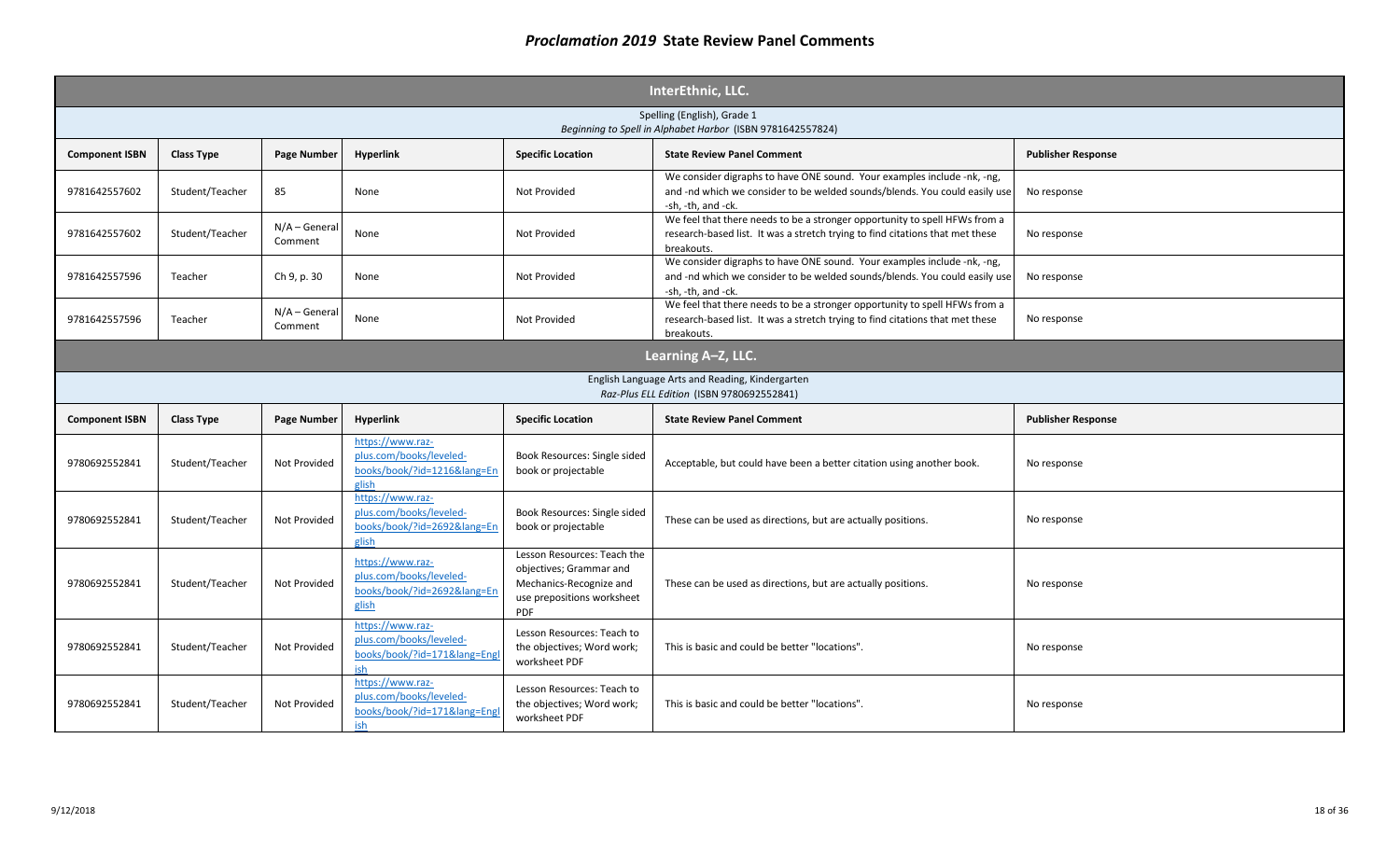|                                                                                           | InterEthnic, LLC.  |                            |                                                                                 |                                                                                                                               |                                                                                                                                                                             |                           |  |  |  |
|-------------------------------------------------------------------------------------------|--------------------|----------------------------|---------------------------------------------------------------------------------|-------------------------------------------------------------------------------------------------------------------------------|-----------------------------------------------------------------------------------------------------------------------------------------------------------------------------|---------------------------|--|--|--|
| Spelling (English), Grade 1<br>Beginning to Spell in Alphabet Harbor (ISBN 9781642557824) |                    |                            |                                                                                 |                                                                                                                               |                                                                                                                                                                             |                           |  |  |  |
| <b>Component ISBN</b>                                                                     | <b>Class Type</b>  | Page Number                | <b>Hyperlink</b>                                                                | <b>Specific Location</b>                                                                                                      | <b>State Review Panel Comment</b>                                                                                                                                           | <b>Publisher Response</b> |  |  |  |
| 9781642557602                                                                             | Student/Teacher    | 85                         | None                                                                            | Not Provided                                                                                                                  | We consider digraphs to have ONE sound. Your examples include -nk, -ng,<br>and -nd which we consider to be welded sounds/blends. You could easily use<br>-sh, -th, and -ck. | No response               |  |  |  |
| 9781642557602                                                                             | Student/Teacher    | $N/A - General$<br>Comment | None                                                                            | Not Provided                                                                                                                  | We feel that there needs to be a stronger opportunity to spell HFWs from a<br>research-based list. It was a stretch trying to find citations that met these<br>breakouts.   | No response               |  |  |  |
| 9781642557596                                                                             | Teacher            | Ch 9, p. 30                | None                                                                            | Not Provided                                                                                                                  | We consider digraphs to have ONE sound. Your examples include -nk, -ng,<br>and -nd which we consider to be welded sounds/blends. You could easily use<br>-sh, -th, and -ck. | No response               |  |  |  |
| 9781642557596                                                                             | Teacher            | $N/A - General$<br>Comment | None                                                                            | <b>Not Provided</b>                                                                                                           | We feel that there needs to be a stronger opportunity to spell HFWs from a<br>research-based list. It was a stretch trying to find citations that met these<br>breakouts.   | No response               |  |  |  |
|                                                                                           | Learning A-Z, LLC. |                            |                                                                                 |                                                                                                                               |                                                                                                                                                                             |                           |  |  |  |
|                                                                                           |                    |                            |                                                                                 |                                                                                                                               | English Language Arts and Reading, Kindergarten<br>Raz-Plus ELL Edition (ISBN 9780692552841)                                                                                |                           |  |  |  |
| <b>Component ISBN</b>                                                                     | <b>Class Type</b>  | Page Number                | Hyperlink                                                                       | <b>Specific Location</b>                                                                                                      | <b>State Review Panel Comment</b>                                                                                                                                           | <b>Publisher Response</b> |  |  |  |
| 9780692552841                                                                             | Student/Teacher    | Not Provided               | https://www.raz-<br>plus.com/books/leveled-<br>books/book/?id=1216⟨=En<br>glish | Book Resources: Single sided<br>book or projectable                                                                           | Acceptable, but could have been a better citation using another book.                                                                                                       | No response               |  |  |  |
| 9780692552841                                                                             | Student/Teacher    | Not Provided               | https://www.raz-<br>plus.com/books/leveled-<br>books/book/?id=2692⟨=En<br>glish | Book Resources: Single sided<br>book or projectable                                                                           | These can be used as directions, but are actually positions.                                                                                                                | No response               |  |  |  |
| 9780692552841                                                                             | Student/Teacher    | Not Provided               | https://www.raz-<br>plus.com/books/leveled-<br>books/book/?id=2692⟨=En<br>glish | Lesson Resources: Teach the<br>objectives; Grammar and<br>Mechanics-Recognize and<br>use prepositions worksheet<br><b>PDF</b> | These can be used as directions, but are actually positions.                                                                                                                | No response               |  |  |  |
| 9780692552841                                                                             | Student/Teacher    | Not Provided               | https://www.raz-<br>plus.com/books/leveled-<br>books/book/?id=171⟨=Engl<br>ish  | Lesson Resources: Teach to<br>the objectives; Word work;<br>worksheet PDF                                                     | This is basic and could be better "locations".                                                                                                                              | No response               |  |  |  |
| 9780692552841                                                                             | Student/Teacher    | Not Provided               | https://www.raz-<br>plus.com/books/leveled-<br>books/book/?id=171⟨=Engl<br>ish  | Lesson Resources: Teach to<br>the objectives; Word work;<br>worksheet PDF                                                     | This is basic and could be better "locations".                                                                                                                              | No response               |  |  |  |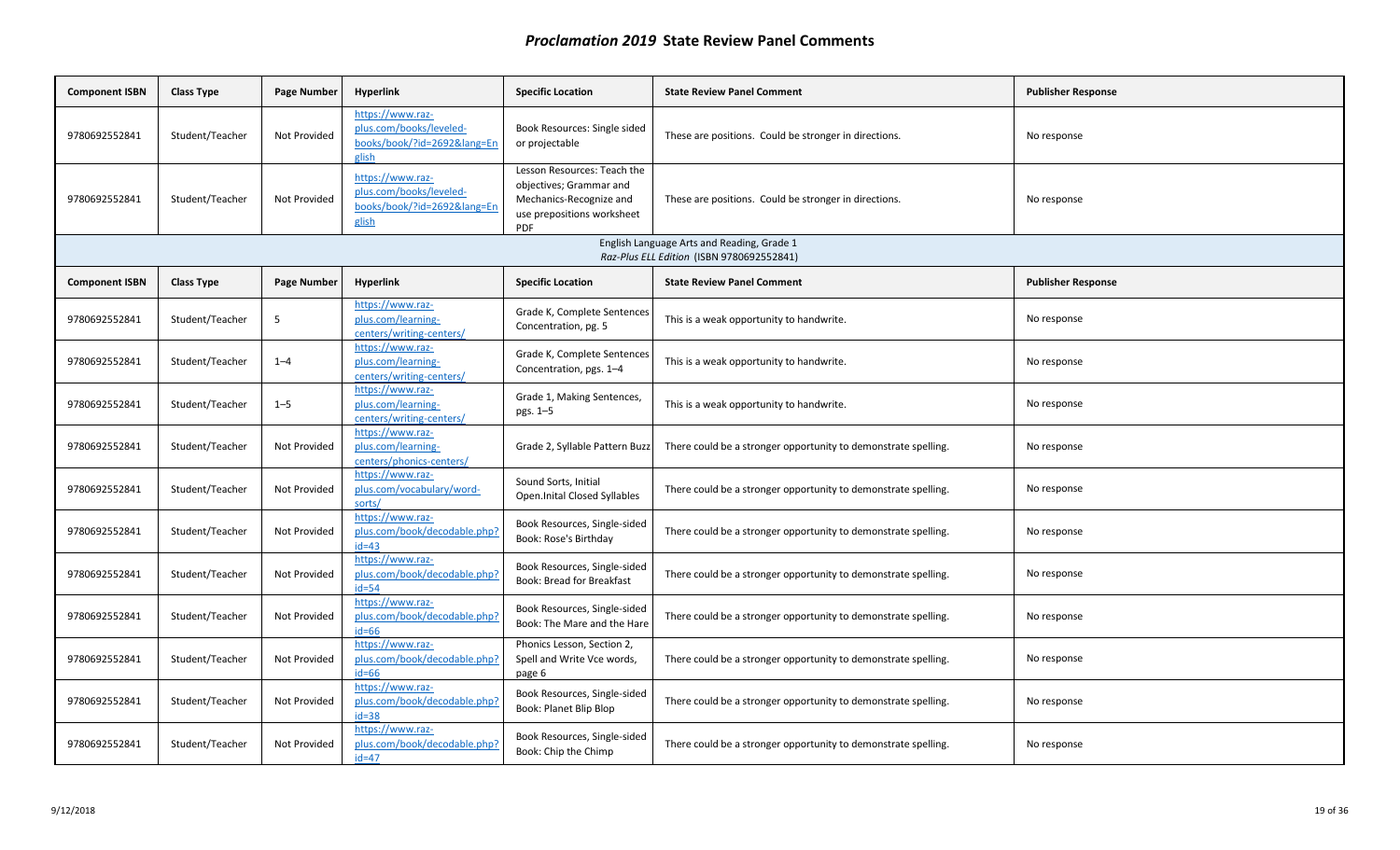| <b>Component ISBN</b> | <b>Class Type</b> | Page Number        | <b>Hyperlink</b>                                                                | <b>Specific Location</b>                                                                                                      | <b>State Review Panel Comment</b>                                                       | <b>Publisher Response</b> |
|-----------------------|-------------------|--------------------|---------------------------------------------------------------------------------|-------------------------------------------------------------------------------------------------------------------------------|-----------------------------------------------------------------------------------------|---------------------------|
| 9780692552841         | Student/Teacher   | Not Provided       | https://www.raz-<br>plus.com/books/leveled-<br>books/book/?id=2692⟨=En<br>glish | Book Resources: Single sided<br>or projectable                                                                                | These are positions. Could be stronger in directions.                                   | No response               |
| 9780692552841         | Student/Teacher   | Not Provided       | https://www.raz-<br>plus.com/books/leveled-<br>books/book/?id=2692⟨=En<br>glish | Lesson Resources: Teach the<br>objectives; Grammar and<br>Mechanics-Recognize and<br>use prepositions worksheet<br><b>PDF</b> | These are positions. Could be stronger in directions.                                   | No response               |
|                       |                   |                    |                                                                                 |                                                                                                                               | English Language Arts and Reading, Grade 1<br>Raz-Plus ELL Edition (ISBN 9780692552841) |                           |
| <b>Component ISBN</b> | <b>Class Type</b> | <b>Page Number</b> | <b>Hyperlink</b>                                                                | <b>Specific Location</b>                                                                                                      | <b>State Review Panel Comment</b>                                                       | <b>Publisher Response</b> |
| 9780692552841         | Student/Teacher   | 5                  | https://www.raz-<br>plus.com/learning-<br>centers/writing-centers/              | Grade K, Complete Sentences<br>Concentration, pg. 5                                                                           | This is a weak opportunity to handwrite.                                                | No response               |
| 9780692552841         | Student/Teacher   | $1 - 4$            | https://www.raz-<br>plus.com/learning-<br>centers/writing-centers/              | Grade K, Complete Sentences<br>Concentration, pgs. 1-4                                                                        | This is a weak opportunity to handwrite.                                                | No response               |
| 9780692552841         | Student/Teacher   | $1 - 5$            | https://www.raz-<br>plus.com/learning-<br>centers/writing-centers/              | Grade 1, Making Sentences,<br>pgs. 1-5                                                                                        | This is a weak opportunity to handwrite.                                                | No response               |
| 9780692552841         | Student/Teacher   | Not Provided       | https://www.raz-<br>plus.com/learning-<br>centers/phonics-centers/              | Grade 2, Syllable Pattern Buzz                                                                                                | There could be a stronger opportunity to demonstrate spelling.                          | No response               |
| 9780692552841         | Student/Teacher   | Not Provided       | https://www.raz-<br>plus.com/vocabulary/word-<br>sorts/                         | Sound Sorts, Initial<br>Open.Inital Closed Syllables                                                                          | There could be a stronger opportunity to demonstrate spelling.                          | No response               |
| 9780692552841         | Student/Teacher   | Not Provided       | https://www.raz-<br>plus.com/book/decodable.php?<br>$id = 43$                   | Book Resources, Single-sided<br>Book: Rose's Birthday                                                                         | There could be a stronger opportunity to demonstrate spelling.                          | No response               |
| 9780692552841         | Student/Teacher   | Not Provided       | https://www.raz-<br>plus.com/book/decodable.php?<br>$id = 54$                   | Book Resources, Single-sided<br><b>Book: Bread for Breakfast</b>                                                              | There could be a stronger opportunity to demonstrate spelling.                          | No response               |
| 9780692552841         | Student/Teacher   | Not Provided       | https://www.raz-<br>plus.com/book/decodable.php?<br>$id = 66$                   | Book Resources, Single-sided<br>Book: The Mare and the Hare                                                                   | There could be a stronger opportunity to demonstrate spelling.                          | No response               |
| 9780692552841         | Student/Teacher   | Not Provided       | https://www.raz-<br>plus.com/book/decodable.php?<br>$id = 66$                   | Phonics Lesson, Section 2,<br>Spell and Write Vce words,<br>page 6                                                            | There could be a stronger opportunity to demonstrate spelling.                          | No response               |
| 9780692552841         | Student/Teacher   | Not Provided       | https://www.raz-<br>plus.com/book/decodable.php?<br>$id = 38$                   | Book Resources, Single-sided<br>Book: Planet Blip Blop                                                                        | There could be a stronger opportunity to demonstrate spelling.                          | No response               |
| 9780692552841         | Student/Teacher   | Not Provided       | https://www.raz-<br>plus.com/book/decodable.php?<br>$id = 47$                   | Book Resources, Single-sided<br>Book: Chip the Chimp                                                                          | There could be a stronger opportunity to demonstrate spelling.                          | No response               |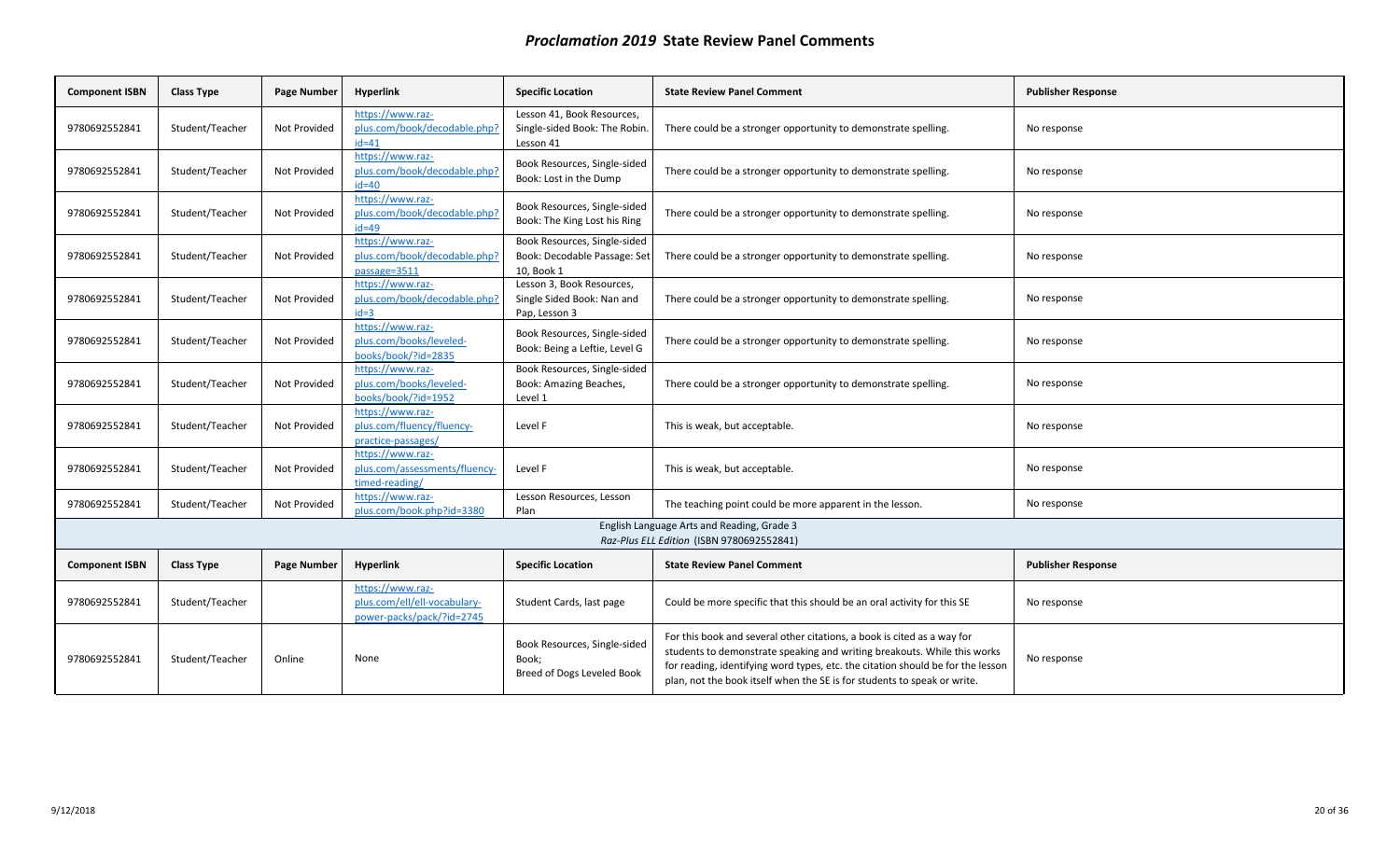| <b>Component ISBN</b> | <b>Class Type</b> | <b>Page Number</b> | <b>Hyperlink</b>                                                              | <b>Specific Location</b>                                                   | <b>State Review Panel Comment</b>                                                                                                                                                                                                                                                                                  | <b>Publisher Response</b> |
|-----------------------|-------------------|--------------------|-------------------------------------------------------------------------------|----------------------------------------------------------------------------|--------------------------------------------------------------------------------------------------------------------------------------------------------------------------------------------------------------------------------------------------------------------------------------------------------------------|---------------------------|
| 9780692552841         | Student/Teacher   | Not Provided       | https://www.raz-<br>plus.com/book/decodable.php?<br>$id = 41$                 | Lesson 41, Book Resources,<br>Single-sided Book: The Robin.<br>Lesson 41   | There could be a stronger opportunity to demonstrate spelling.                                                                                                                                                                                                                                                     | No response               |
| 9780692552841         | Student/Teacher   | Not Provided       | https://www.raz-<br>plus.com/book/decodable.php?<br>$id = 40$                 | Book Resources, Single-sided<br>Book: Lost in the Dump                     | There could be a stronger opportunity to demonstrate spelling.                                                                                                                                                                                                                                                     | No response               |
| 9780692552841         | Student/Teacher   | Not Provided       | https://www.raz-<br>plus.com/book/decodable.php?<br>$id = 49$                 | Book Resources, Single-sided<br>Book: The King Lost his Ring               | There could be a stronger opportunity to demonstrate spelling.                                                                                                                                                                                                                                                     | No response               |
| 9780692552841         | Student/Teacher   | Not Provided       | https://www.raz-<br>plus.com/book/decodable.php?<br>passage=3511              | Book Resources, Single-sided<br>Book: Decodable Passage: Set<br>10. Book 1 | There could be a stronger opportunity to demonstrate spelling.                                                                                                                                                                                                                                                     | No response               |
| 9780692552841         | Student/Teacher   | Not Provided       | https://www.raz-<br>plus.com/book/decodable.php?<br>$id = 3$                  | Lesson 3, Book Resources,<br>Single Sided Book: Nan and<br>Pap, Lesson 3   | There could be a stronger opportunity to demonstrate spelling.                                                                                                                                                                                                                                                     | No response               |
| 9780692552841         | Student/Teacher   | Not Provided       | https://www.raz-<br>plus.com/books/leveled-<br>books/book/?id=2835            | Book Resources, Single-sided<br>Book: Being a Leftie, Level G              | There could be a stronger opportunity to demonstrate spelling.                                                                                                                                                                                                                                                     | No response               |
| 9780692552841         | Student/Teacher   | Not Provided       | https://www.raz-<br>plus.com/books/leveled-<br>books/book/?id=1952            | Book Resources, Single-sided<br>Book: Amazing Beaches,<br>Level 1          | There could be a stronger opportunity to demonstrate spelling.                                                                                                                                                                                                                                                     | No response               |
| 9780692552841         | Student/Teacher   | Not Provided       | https://www.raz-<br>plus.com/fluency/fluency-<br>practice-passages/           | Level F                                                                    | This is weak, but acceptable.                                                                                                                                                                                                                                                                                      | No response               |
| 9780692552841         | Student/Teacher   | Not Provided       | https://www.raz-<br>plus.com/assessments/fluency-<br>timed-reading/           | Level F                                                                    | This is weak, but acceptable.                                                                                                                                                                                                                                                                                      | No response               |
| 9780692552841         | Student/Teacher   | Not Provided       | https://www.raz-<br>plus.com/book.php?id=3380                                 | Lesson Resources, Lesson<br>Plan                                           | The teaching point could be more apparent in the lesson.                                                                                                                                                                                                                                                           | No response               |
|                       |                   |                    |                                                                               |                                                                            | English Language Arts and Reading, Grade 3<br>Raz-Plus ELL Edition (ISBN 9780692552841)                                                                                                                                                                                                                            |                           |
| <b>Component ISBN</b> | <b>Class Type</b> | <b>Page Number</b> | <b>Hyperlink</b>                                                              | <b>Specific Location</b>                                                   | <b>State Review Panel Comment</b>                                                                                                                                                                                                                                                                                  | <b>Publisher Response</b> |
| 9780692552841         | Student/Teacher   |                    | https://www.raz-<br>plus.com/ell/ell-vocabulary-<br>power-packs/pack/?id=2745 | Student Cards, last page                                                   | Could be more specific that this should be an oral activity for this SE                                                                                                                                                                                                                                            | No response               |
| 9780692552841         | Student/Teacher   | Online             | None                                                                          | Book Resources, Single-sided<br>Book:<br>Breed of Dogs Leveled Book        | For this book and several other citations, a book is cited as a way for<br>students to demonstrate speaking and writing breakouts. While this works<br>for reading, identifying word types, etc. the citation should be for the lesson<br>plan, not the book itself when the SE is for students to speak or write. | No response               |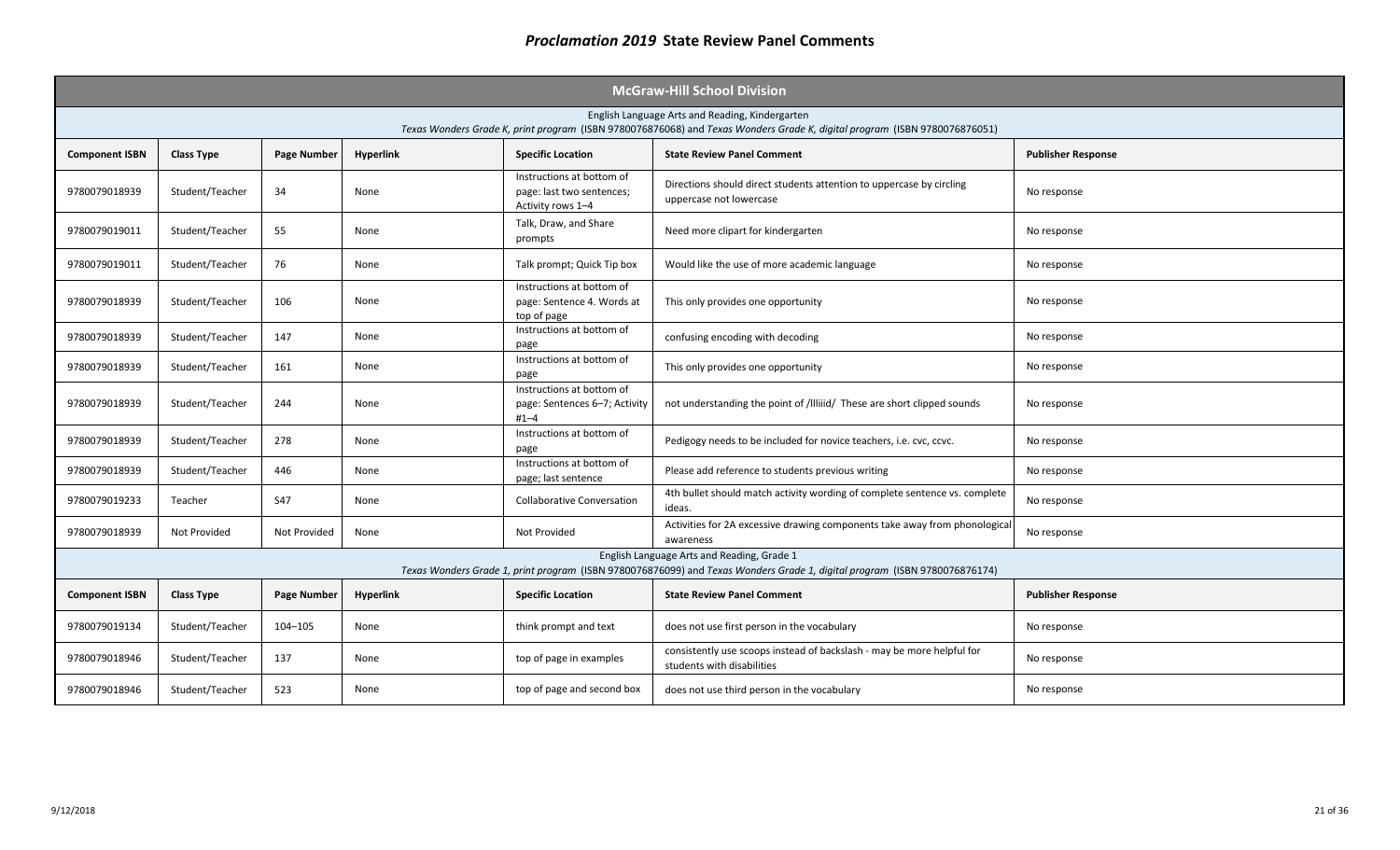|                                                                                                                                                                              | <b>McGraw-Hill School Division</b> |                     |                  |                                                                             |                                                                                                                                                                         |                           |  |  |
|------------------------------------------------------------------------------------------------------------------------------------------------------------------------------|------------------------------------|---------------------|------------------|-----------------------------------------------------------------------------|-------------------------------------------------------------------------------------------------------------------------------------------------------------------------|---------------------------|--|--|
| English Language Arts and Reading, Kindergarten<br>Texas Wonders Grade K, print program (ISBN 9780076876068) and Texas Wonders Grade K, digital program (ISBN 9780076876051) |                                    |                     |                  |                                                                             |                                                                                                                                                                         |                           |  |  |
| <b>Component ISBN</b>                                                                                                                                                        | <b>Class Type</b>                  | Page Number         | <b>Hyperlink</b> | <b>Specific Location</b>                                                    | <b>State Review Panel Comment</b>                                                                                                                                       | <b>Publisher Response</b> |  |  |
| 9780079018939                                                                                                                                                                | Student/Teacher                    | 34                  | None             | Instructions at bottom of<br>page: last two sentences;<br>Activity rows 1-4 | Directions should direct students attention to uppercase by circling<br>uppercase not lowercase                                                                         | No response               |  |  |
| 9780079019011                                                                                                                                                                | Student/Teacher                    | 55                  | None             | Talk, Draw, and Share<br>prompts                                            | Need more clipart for kindergarten                                                                                                                                      | No response               |  |  |
| 9780079019011                                                                                                                                                                | Student/Teacher                    | 76                  | None             | Talk prompt; Quick Tip box                                                  | Would like the use of more academic language                                                                                                                            | No response               |  |  |
| 9780079018939                                                                                                                                                                | Student/Teacher                    | 106                 | None             | Instructions at bottom of<br>page: Sentence 4. Words at<br>top of page      | This only provides one opportunity                                                                                                                                      | No response               |  |  |
| 9780079018939                                                                                                                                                                | Student/Teacher                    | 147                 | None             | Instructions at bottom of<br>page                                           | confusing encoding with decoding                                                                                                                                        | No response               |  |  |
| 9780079018939                                                                                                                                                                | Student/Teacher                    | 161                 | None             | Instructions at bottom of<br>page                                           | This only provides one opportunity                                                                                                                                      | No response               |  |  |
| 9780079018939                                                                                                                                                                | Student/Teacher                    | 244                 | None             | Instructions at bottom of<br>page: Sentences 6-7; Activity<br>$#1 - 4$      | not understanding the point of /Illiiid/ These are short clipped sounds                                                                                                 | No response               |  |  |
| 9780079018939                                                                                                                                                                | Student/Teacher                    | 278                 | None             | Instructions at bottom of<br>page                                           | Pedigogy needs to be included for novice teachers, i.e. cvc, ccvc.                                                                                                      | No response               |  |  |
| 9780079018939                                                                                                                                                                | Student/Teacher                    | 446                 | None             | Instructions at bottom of<br>page; last sentence                            | Please add reference to students previous writing                                                                                                                       | No response               |  |  |
| 9780079019233                                                                                                                                                                | Teacher                            | S47                 | None             | <b>Collaborative Conversation</b>                                           | 4th bullet should match activity wording of complete sentence vs. complete<br>ideas.                                                                                    | No response               |  |  |
| 9780079018939                                                                                                                                                                | <b>Not Provided</b>                | <b>Not Provided</b> | None             | <b>Not Provided</b>                                                         | Activities for 2A excessive drawing components take away from phonological<br>awareness                                                                                 | No response               |  |  |
|                                                                                                                                                                              |                                    |                     |                  |                                                                             | English Language Arts and Reading, Grade 1<br>Texas Wonders Grade 1, print program (ISBN 9780076876099) and Texas Wonders Grade 1, digital program (ISBN 9780076876174) |                           |  |  |
| <b>Component ISBN</b>                                                                                                                                                        | <b>Class Type</b>                  | Page Number         | <b>Hyperlink</b> | <b>Specific Location</b>                                                    | <b>State Review Panel Comment</b>                                                                                                                                       | <b>Publisher Response</b> |  |  |
| 9780079019134                                                                                                                                                                | Student/Teacher                    | $104 - 105$         | None             | think prompt and text                                                       | does not use first person in the vocabulary                                                                                                                             | No response               |  |  |
| 9780079018946                                                                                                                                                                | Student/Teacher                    | 137                 | None             | top of page in examples                                                     | consistently use scoops instead of backslash - may be more helpful for<br>students with disabilities                                                                    | No response               |  |  |
| 9780079018946                                                                                                                                                                | Student/Teacher                    | 523                 | None             | top of page and second box                                                  | does not use third person in the vocabulary                                                                                                                             | No response               |  |  |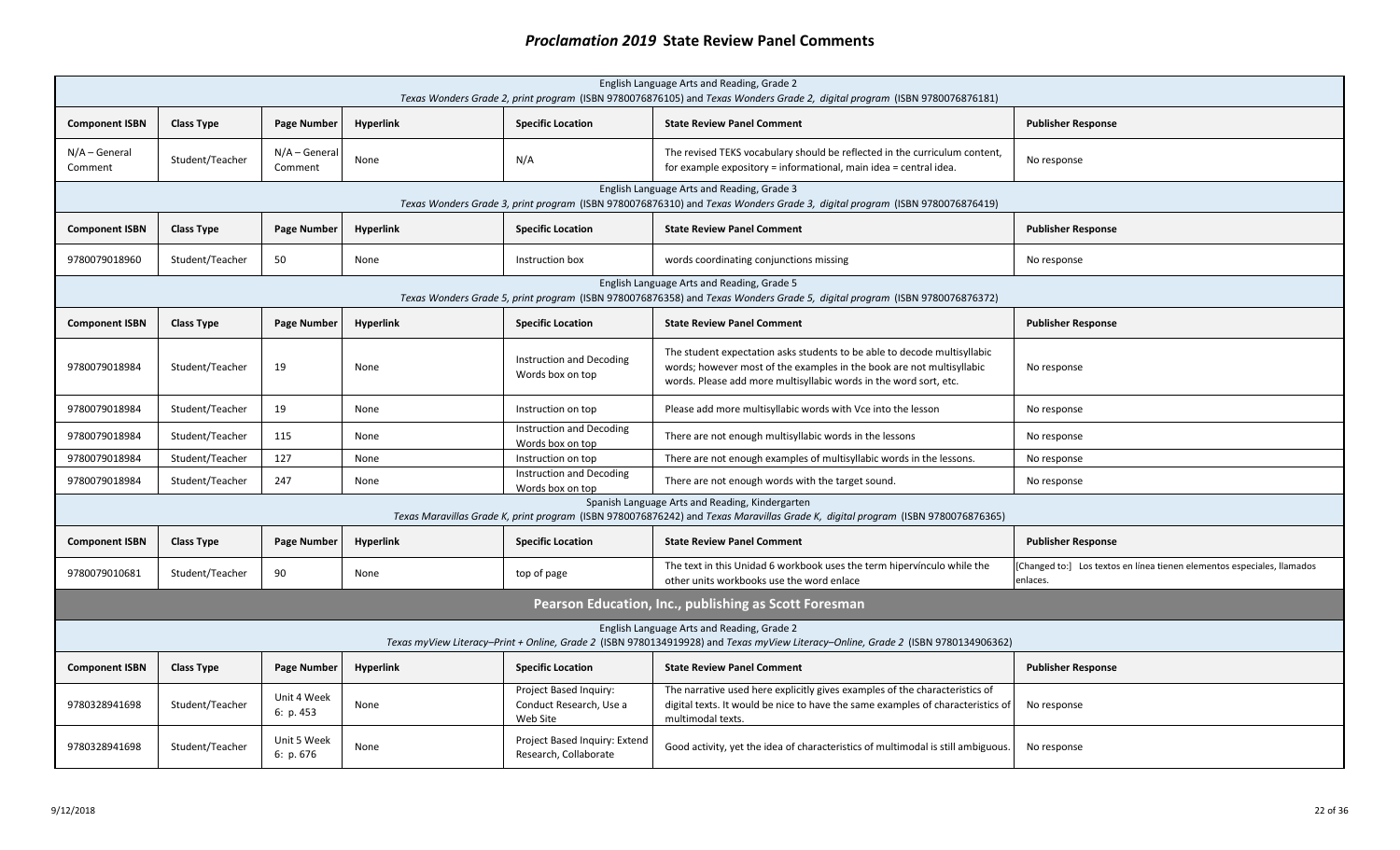|                            | English Language Arts and Reading, Grade 2<br>Texas Wonders Grade 2, print program (ISBN 9780076876105) and Texas Wonders Grade 2, digital program (ISBN 9780076876181) |                            |                  |                                                               |                                                                                                                                                                                                                        |                                                                                     |  |  |  |
|----------------------------|-------------------------------------------------------------------------------------------------------------------------------------------------------------------------|----------------------------|------------------|---------------------------------------------------------------|------------------------------------------------------------------------------------------------------------------------------------------------------------------------------------------------------------------------|-------------------------------------------------------------------------------------|--|--|--|
| <b>Component ISBN</b>      | <b>Class Type</b>                                                                                                                                                       | Page Number                | <b>Hyperlink</b> | <b>Specific Location</b>                                      | <b>State Review Panel Comment</b>                                                                                                                                                                                      | <b>Publisher Response</b>                                                           |  |  |  |
| $N/A - General$<br>Comment | Student/Teacher                                                                                                                                                         | $N/A - General$<br>Comment | None             | N/A                                                           | The revised TEKS vocabulary should be reflected in the curriculum content,<br>for example expository = informational, main idea = central idea.                                                                        | No response                                                                         |  |  |  |
|                            |                                                                                                                                                                         |                            |                  |                                                               | English Language Arts and Reading, Grade 3<br>Texas Wonders Grade 3, print program (ISBN 9780076876310) and Texas Wonders Grade 3, digital program (ISBN 9780076876419)                                                |                                                                                     |  |  |  |
| <b>Component ISBN</b>      | <b>Class Type</b>                                                                                                                                                       | Page Number                | <b>Hyperlink</b> | <b>Specific Location</b>                                      | <b>State Review Panel Comment</b>                                                                                                                                                                                      | <b>Publisher Response</b>                                                           |  |  |  |
| 9780079018960              | Student/Teacher                                                                                                                                                         | 50                         | None             | Instruction box                                               | words coordinating conjunctions missing                                                                                                                                                                                | No response                                                                         |  |  |  |
|                            |                                                                                                                                                                         |                            |                  |                                                               | English Language Arts and Reading, Grade 5<br>Texas Wonders Grade 5, print program (ISBN 9780076876358) and Texas Wonders Grade 5, digital program (ISBN 9780076876372)                                                |                                                                                     |  |  |  |
| <b>Component ISBN</b>      | <b>Class Type</b>                                                                                                                                                       | Page Number                | <b>Hyperlink</b> | <b>Specific Location</b>                                      | <b>State Review Panel Comment</b>                                                                                                                                                                                      | <b>Publisher Response</b>                                                           |  |  |  |
| 9780079018984              | Student/Teacher                                                                                                                                                         | 19                         | None             | Instruction and Decoding<br>Words box on top                  | The student expectation asks students to be able to decode multisyllabic<br>words; however most of the examples in the book are not multisyllabic<br>words. Please add more multisyllabic words in the word sort, etc. | No response                                                                         |  |  |  |
| 9780079018984              | Student/Teacher                                                                                                                                                         | 19                         | None             | Instruction on top                                            | Please add more multisyllabic words with Vce into the lesson                                                                                                                                                           | No response                                                                         |  |  |  |
| 9780079018984              | Student/Teacher                                                                                                                                                         | 115                        | None             | Instruction and Decoding<br>Words box on top                  | There are not enough multisyllabic words in the lessons                                                                                                                                                                | No response                                                                         |  |  |  |
| 9780079018984              | Student/Teacher                                                                                                                                                         | 127                        | None             | Instruction on top                                            | There are not enough examples of multisyllabic words in the lessons.                                                                                                                                                   | No response                                                                         |  |  |  |
| 9780079018984              | Student/Teacher                                                                                                                                                         | 247                        | None             | Instruction and Decoding<br>Words box on top                  | There are not enough words with the target sound.                                                                                                                                                                      | No response                                                                         |  |  |  |
|                            |                                                                                                                                                                         |                            |                  |                                                               | Spanish Language Arts and Reading, Kindergarten<br>Texas Maravillas Grade K, print program (ISBN 9780076876242) and Texas Maravillas Grade K, digital program (ISBN 9780076876365)                                     |                                                                                     |  |  |  |
| <b>Component ISBN</b>      | <b>Class Type</b>                                                                                                                                                       | Page Number                | <b>Hyperlink</b> | <b>Specific Location</b>                                      | <b>State Review Panel Comment</b>                                                                                                                                                                                      | <b>Publisher Response</b>                                                           |  |  |  |
| 9780079010681              | Student/Teacher                                                                                                                                                         | 90                         | None             | top of page                                                   | The text in this Unidad 6 workbook uses the term hipervinculo while the<br>other units workbooks use the word enlace                                                                                                   | [Changed to:] Los textos en línea tienen elementos especiales, llamados<br>enlaces. |  |  |  |
|                            |                                                                                                                                                                         |                            |                  |                                                               | Pearson Education, Inc., publishing as Scott Foresman                                                                                                                                                                  |                                                                                     |  |  |  |
|                            |                                                                                                                                                                         |                            |                  |                                                               | English Language Arts and Reading, Grade 2<br>Texas myView Literacy-Print + Online, Grade 2 (ISBN 9780134919928) and Texas myView Literacy-Online, Grade 2 (ISBN 9780134906362)                                        |                                                                                     |  |  |  |
| <b>Component ISBN</b>      | <b>Class Type</b>                                                                                                                                                       | <b>Page Number</b>         | <b>Hyperlink</b> | <b>Specific Location</b>                                      | <b>State Review Panel Comment</b>                                                                                                                                                                                      | <b>Publisher Response</b>                                                           |  |  |  |
| 9780328941698              | Student/Teacher                                                                                                                                                         | Unit 4 Week<br>6: $p.453$  | None             | Project Based Inquiry:<br>Conduct Research, Use a<br>Web Site | The narrative used here explicitly gives examples of the characteristics of<br>digital texts. It would be nice to have the same examples of characteristics of<br>multimodal texts.                                    | No response                                                                         |  |  |  |
| 9780328941698              | Student/Teacher                                                                                                                                                         | Unit 5 Week<br>6: p.676    | None             | Project Based Inquiry: Extend<br>Research, Collaborate        | Good activity, yet the idea of characteristics of multimodal is still ambiguous.                                                                                                                                       | No response                                                                         |  |  |  |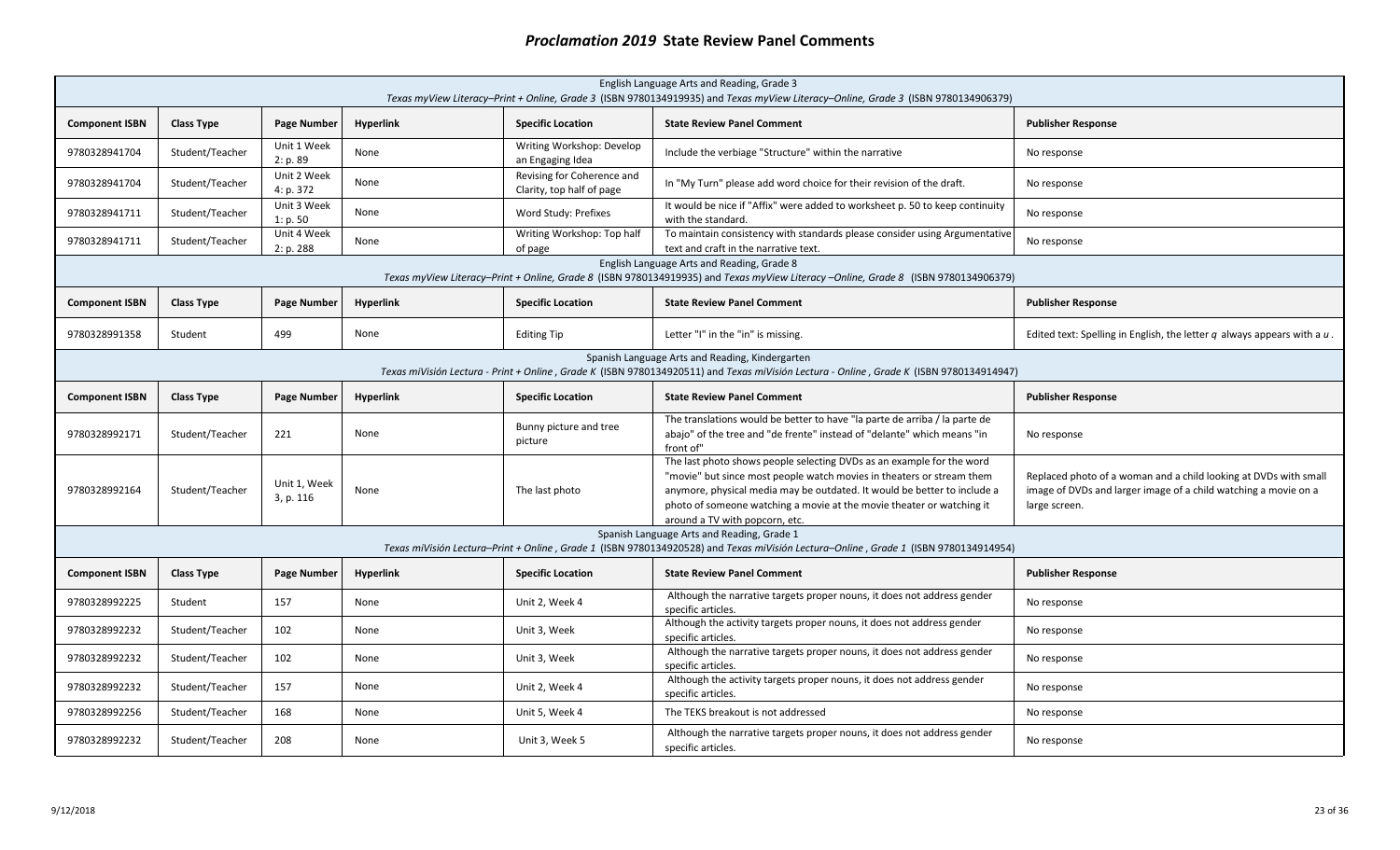|                                                                                                                                                                                            | English Language Arts and Reading, Grade 3<br>Texas myView Literacy-Print + Online, Grade 3 (ISBN 9780134919935) and Texas myView Literacy-Online, Grade 3 (ISBN 9780134906379) |                           |                  |                                                         |                                                                                                                                                                                                                                                                                                                                       |                                                                                                                                                      |  |  |  |
|--------------------------------------------------------------------------------------------------------------------------------------------------------------------------------------------|---------------------------------------------------------------------------------------------------------------------------------------------------------------------------------|---------------------------|------------------|---------------------------------------------------------|---------------------------------------------------------------------------------------------------------------------------------------------------------------------------------------------------------------------------------------------------------------------------------------------------------------------------------------|------------------------------------------------------------------------------------------------------------------------------------------------------|--|--|--|
| <b>Component ISBN</b>                                                                                                                                                                      | <b>Class Type</b>                                                                                                                                                               | Page Number               | <b>Hyperlink</b> | <b>Specific Location</b>                                | <b>State Review Panel Comment</b>                                                                                                                                                                                                                                                                                                     | <b>Publisher Response</b>                                                                                                                            |  |  |  |
| 9780328941704                                                                                                                                                                              | Student/Teacher                                                                                                                                                                 | Unit 1 Week<br>2: p. 89   | None             | Writing Workshop: Develop<br>an Engaging Idea           | Include the verbiage "Structure" within the narrative                                                                                                                                                                                                                                                                                 | No response                                                                                                                                          |  |  |  |
| 9780328941704                                                                                                                                                                              | Student/Teacher                                                                                                                                                                 | Unit 2 Week<br>4: p. 372  | None             | Revising for Coherence and<br>Clarity, top half of page | In "My Turn" please add word choice for their revision of the draft.                                                                                                                                                                                                                                                                  | No response                                                                                                                                          |  |  |  |
| 9780328941711                                                                                                                                                                              | Student/Teacher                                                                                                                                                                 | Unit 3 Week<br>1: p. 50   | None             | Word Study: Prefixes                                    | It would be nice if "Affix" were added to worksheet p. 50 to keep continuity<br>with the standard.                                                                                                                                                                                                                                    | No response                                                                                                                                          |  |  |  |
| 9780328941711                                                                                                                                                                              | Student/Teacher                                                                                                                                                                 | Unit 4 Week<br>2: p. 288  | None             | Writing Workshop: Top half<br>of page                   | To maintain consistency with standards please consider using Argumentative<br>text and craft in the narrative text.                                                                                                                                                                                                                   | No response                                                                                                                                          |  |  |  |
|                                                                                                                                                                                            |                                                                                                                                                                                 |                           |                  |                                                         | English Language Arts and Reading, Grade 8<br>Texas myView Literacy-Print + Online, Grade 8 (ISBN 9780134919935) and Texas myView Literacy -Online, Grade 8 (ISBN 9780134906379)                                                                                                                                                      |                                                                                                                                                      |  |  |  |
| <b>Component ISBN</b>                                                                                                                                                                      | <b>Class Type</b>                                                                                                                                                               | Page Number               | <b>Hyperlink</b> | <b>Specific Location</b>                                | <b>State Review Panel Comment</b>                                                                                                                                                                                                                                                                                                     | <b>Publisher Response</b>                                                                                                                            |  |  |  |
| 9780328991358                                                                                                                                                                              | Student                                                                                                                                                                         | 499                       | None             | <b>Editing Tip</b>                                      | Letter "I" in the "in" is missing.                                                                                                                                                                                                                                                                                                    | Edited text: Spelling in English, the letter $q$ always appears with a $u$ .                                                                         |  |  |  |
| Spanish Language Arts and Reading, Kindergarten<br>Texas miVisión Lectura - Print + Online, Grade K (ISBN 9780134920511) and Texas miVisión Lectura - Online, Grade K (ISBN 9780134914947) |                                                                                                                                                                                 |                           |                  |                                                         |                                                                                                                                                                                                                                                                                                                                       |                                                                                                                                                      |  |  |  |
| <b>Component ISBN</b>                                                                                                                                                                      | <b>Class Type</b>                                                                                                                                                               | Page Number               | <b>Hyperlink</b> | <b>Specific Location</b>                                | <b>State Review Panel Comment</b>                                                                                                                                                                                                                                                                                                     | <b>Publisher Response</b>                                                                                                                            |  |  |  |
| 9780328992171                                                                                                                                                                              | Student/Teacher                                                                                                                                                                 | 221                       | None             | Bunny picture and tree<br>picture                       | The translations would be better to have "la parte de arriba / la parte de<br>abajo" of the tree and "de frente" instead of "delante" which means "in<br>front of"                                                                                                                                                                    | No response                                                                                                                                          |  |  |  |
| 9780328992164                                                                                                                                                                              | Student/Teacher                                                                                                                                                                 | Unit 1, Week<br>3, p. 116 | None             | The last photo                                          | The last photo shows people selecting DVDs as an example for the word<br>"movie" but since most people watch movies in theaters or stream them<br>anymore, physical media may be outdated. It would be better to include a<br>photo of someone watching a movie at the movie theater or watching it<br>around a TV with popcorn, etc. | Replaced photo of a woman and a child looking at DVDs with small<br>image of DVDs and larger image of a child watching a movie on a<br>large screen. |  |  |  |
|                                                                                                                                                                                            |                                                                                                                                                                                 |                           |                  |                                                         | Spanish Language Arts and Reading, Grade 1<br>Texas miVisión Lectura-Print + Online, Grade 1 (ISBN 9780134920528) and Texas miVisión Lectura-Online, Grade 1 (ISBN 9780134914954)                                                                                                                                                     |                                                                                                                                                      |  |  |  |
| <b>Component ISBN</b>                                                                                                                                                                      | <b>Class Type</b>                                                                                                                                                               | Page Number               | <b>Hyperlink</b> | <b>Specific Location</b>                                | <b>State Review Panel Comment</b>                                                                                                                                                                                                                                                                                                     | <b>Publisher Response</b>                                                                                                                            |  |  |  |
| 9780328992225                                                                                                                                                                              | Student                                                                                                                                                                         | 157                       | None             | Unit 2, Week 4                                          | Although the narrative targets proper nouns, it does not address gender<br>specific articles.                                                                                                                                                                                                                                         | No response                                                                                                                                          |  |  |  |
| 9780328992232                                                                                                                                                                              | Student/Teacher                                                                                                                                                                 | 102                       | None             | Unit 3, Week                                            | Although the activity targets proper nouns, it does not address gender<br>specific articles.                                                                                                                                                                                                                                          | No response                                                                                                                                          |  |  |  |
| 9780328992232                                                                                                                                                                              | Student/Teacher                                                                                                                                                                 | 102                       | None             | Unit 3, Week                                            | Although the narrative targets proper nouns, it does not address gender<br>specific articles.                                                                                                                                                                                                                                         | No response                                                                                                                                          |  |  |  |
| 9780328992232                                                                                                                                                                              | Student/Teacher                                                                                                                                                                 | 157                       | None             | Unit 2, Week 4                                          | Although the activity targets proper nouns, it does not address gender<br>specific articles.                                                                                                                                                                                                                                          | No response                                                                                                                                          |  |  |  |
| 9780328992256                                                                                                                                                                              | Student/Teacher                                                                                                                                                                 | 168                       | None             | Unit 5, Week 4                                          | The TEKS breakout is not addressed                                                                                                                                                                                                                                                                                                    | No response                                                                                                                                          |  |  |  |
| 9780328992232                                                                                                                                                                              | Student/Teacher                                                                                                                                                                 | 208                       | None             | Unit 3, Week 5                                          | Although the narrative targets proper nouns, it does not address gender<br>specific articles.                                                                                                                                                                                                                                         | No response                                                                                                                                          |  |  |  |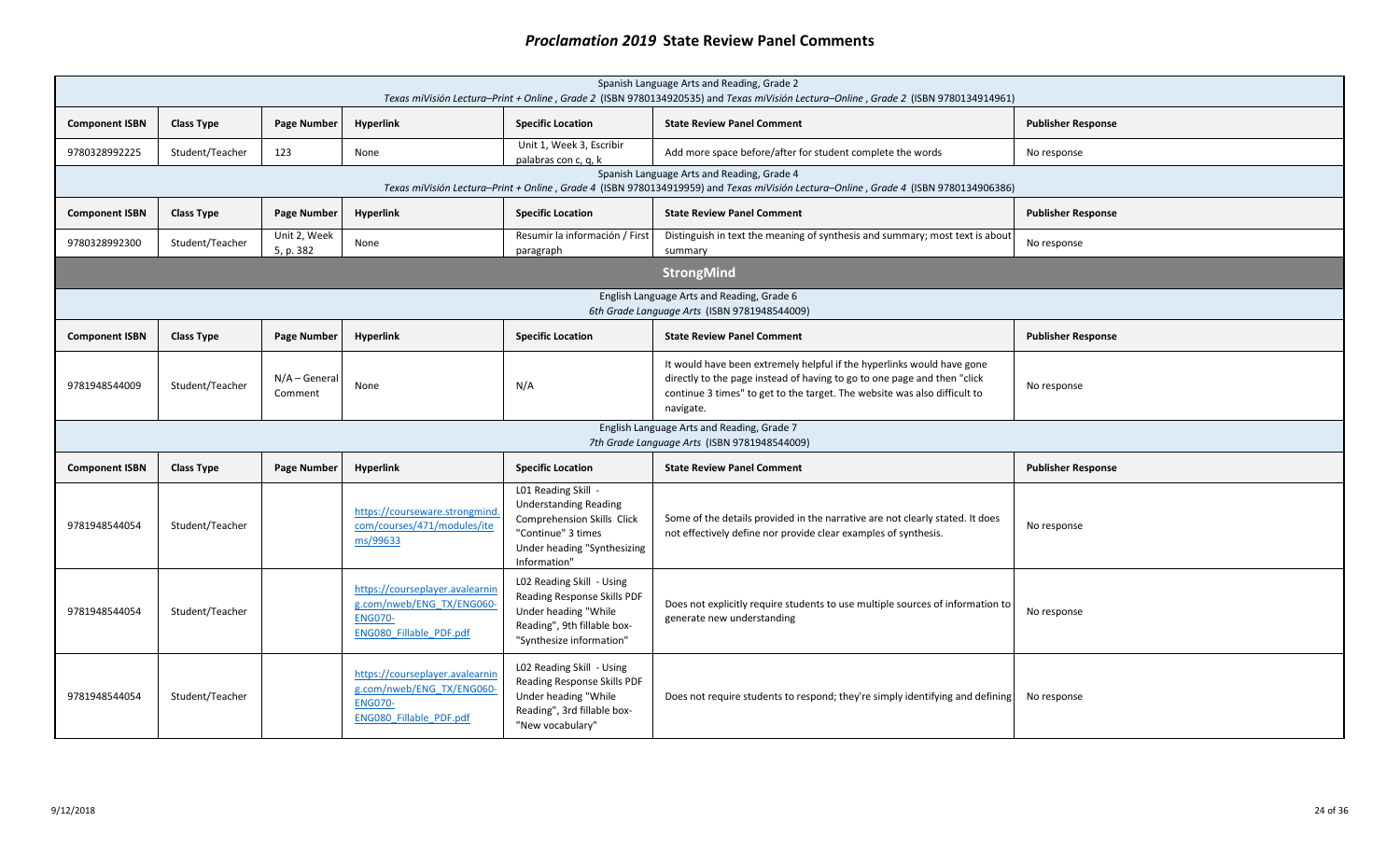| Spanish Language Arts and Reading, Grade 2<br>Texas miVisión Lectura-Print + Online, Grade 2 (ISBN 9780134920535) and Texas miVisión Lectura-Online, Grade 2 (ISBN 9780134914961) |                   |                            |                                                                                                                  |                                                                                                                                                        |                                                                                                                                                                                                                                              |                           |  |  |
|-----------------------------------------------------------------------------------------------------------------------------------------------------------------------------------|-------------------|----------------------------|------------------------------------------------------------------------------------------------------------------|--------------------------------------------------------------------------------------------------------------------------------------------------------|----------------------------------------------------------------------------------------------------------------------------------------------------------------------------------------------------------------------------------------------|---------------------------|--|--|
| <b>Component ISBN</b>                                                                                                                                                             | <b>Class Type</b> | <b>Page Number</b>         | Hyperlink                                                                                                        | <b>Specific Location</b>                                                                                                                               | <b>State Review Panel Comment</b>                                                                                                                                                                                                            | <b>Publisher Response</b> |  |  |
| 9780328992225                                                                                                                                                                     | Student/Teacher   | 123                        | None                                                                                                             | Unit 1, Week 3, Escribir<br>palabras con c, q, k                                                                                                       | Add more space before/after for student complete the words                                                                                                                                                                                   | No response               |  |  |
|                                                                                                                                                                                   |                   |                            |                                                                                                                  |                                                                                                                                                        | Spanish Language Arts and Reading, Grade 4<br>Texas miVisión Lectura-Print + Online, Grade 4 (ISBN 9780134919959) and Texas miVisión Lectura-Online, Grade 4 (ISBN 9780134906386)                                                            |                           |  |  |
| <b>Component ISBN</b>                                                                                                                                                             | <b>Class Type</b> | Page Number                | <b>Hyperlink</b>                                                                                                 | <b>Specific Location</b>                                                                                                                               | <b>State Review Panel Comment</b>                                                                                                                                                                                                            | <b>Publisher Response</b> |  |  |
| 9780328992300                                                                                                                                                                     | Student/Teacher   | Unit 2, Week<br>5, p. 382  | None                                                                                                             | Resumir la información / First<br>paragraph                                                                                                            | Distinguish in text the meaning of synthesis and summary; most text is about<br>summary                                                                                                                                                      | No response               |  |  |
|                                                                                                                                                                                   |                   |                            |                                                                                                                  |                                                                                                                                                        | <b>StrongMind</b>                                                                                                                                                                                                                            |                           |  |  |
|                                                                                                                                                                                   |                   |                            |                                                                                                                  |                                                                                                                                                        | English Language Arts and Reading, Grade 6<br>6th Grade Language Arts (ISBN 9781948544009)                                                                                                                                                   |                           |  |  |
| <b>Component ISBN</b>                                                                                                                                                             | <b>Class Type</b> | Page Number                | Hyperlink                                                                                                        | <b>Specific Location</b>                                                                                                                               | <b>State Review Panel Comment</b>                                                                                                                                                                                                            | <b>Publisher Response</b> |  |  |
| 9781948544009                                                                                                                                                                     | Student/Teacher   | $N/A - General$<br>Comment | None                                                                                                             | N/A                                                                                                                                                    | It would have been extremely helpful if the hyperlinks would have gone<br>directly to the page instead of having to go to one page and then "click<br>continue 3 times" to get to the target. The website was also difficult to<br>navigate. | No response               |  |  |
|                                                                                                                                                                                   |                   |                            |                                                                                                                  |                                                                                                                                                        | English Language Arts and Reading, Grade 7<br>7th Grade Language Arts (ISBN 9781948544009)                                                                                                                                                   |                           |  |  |
| <b>Component ISBN</b>                                                                                                                                                             | <b>Class Type</b> | <b>Page Number</b>         | Hyperlink                                                                                                        | <b>Specific Location</b>                                                                                                                               | <b>State Review Panel Comment</b>                                                                                                                                                                                                            | <b>Publisher Response</b> |  |  |
| 9781948544054                                                                                                                                                                     | Student/Teacher   |                            | https://courseware.strongmind.<br>com/courses/471/modules/ite<br>ms/99633                                        | L01 Reading Skill -<br><b>Understanding Reading</b><br>Comprehension Skills Click<br>"Continue" 3 times<br>Under heading "Synthesizing<br>Information" | Some of the details provided in the narrative are not clearly stated. It does<br>not effectively define nor provide clear examples of synthesis.                                                                                             | No response               |  |  |
| 9781948544054                                                                                                                                                                     | Student/Teacher   |                            | https://courseplayer.avalearnin<br>g.com/nweb/ENG TX/ENG060<br><b>ENG070-</b><br><b>ENG080 Fillable PDF.pdf</b>  | LO2 Reading Skill - Using<br>Reading Response Skills PDF<br>Under heading "While<br>Reading", 9th fillable box-<br>"Synthesize information"            | Does not explicitly require students to use multiple sources of information to<br>generate new understanding                                                                                                                                 | No response               |  |  |
| 9781948544054                                                                                                                                                                     | Student/Teacher   |                            | https://courseplayer.avalearnin<br>g.com/nweb/ENG_TX/ENG060-<br><b>ENG070-</b><br><b>ENG080 Fillable PDF.pdf</b> | LO2 Reading Skill - Using<br>Reading Response Skills PDF<br>Under heading "While<br>Reading", 3rd fillable box-<br>"New vocabulary"                    | Does not require students to respond; they're simply identifying and defining                                                                                                                                                                | No response               |  |  |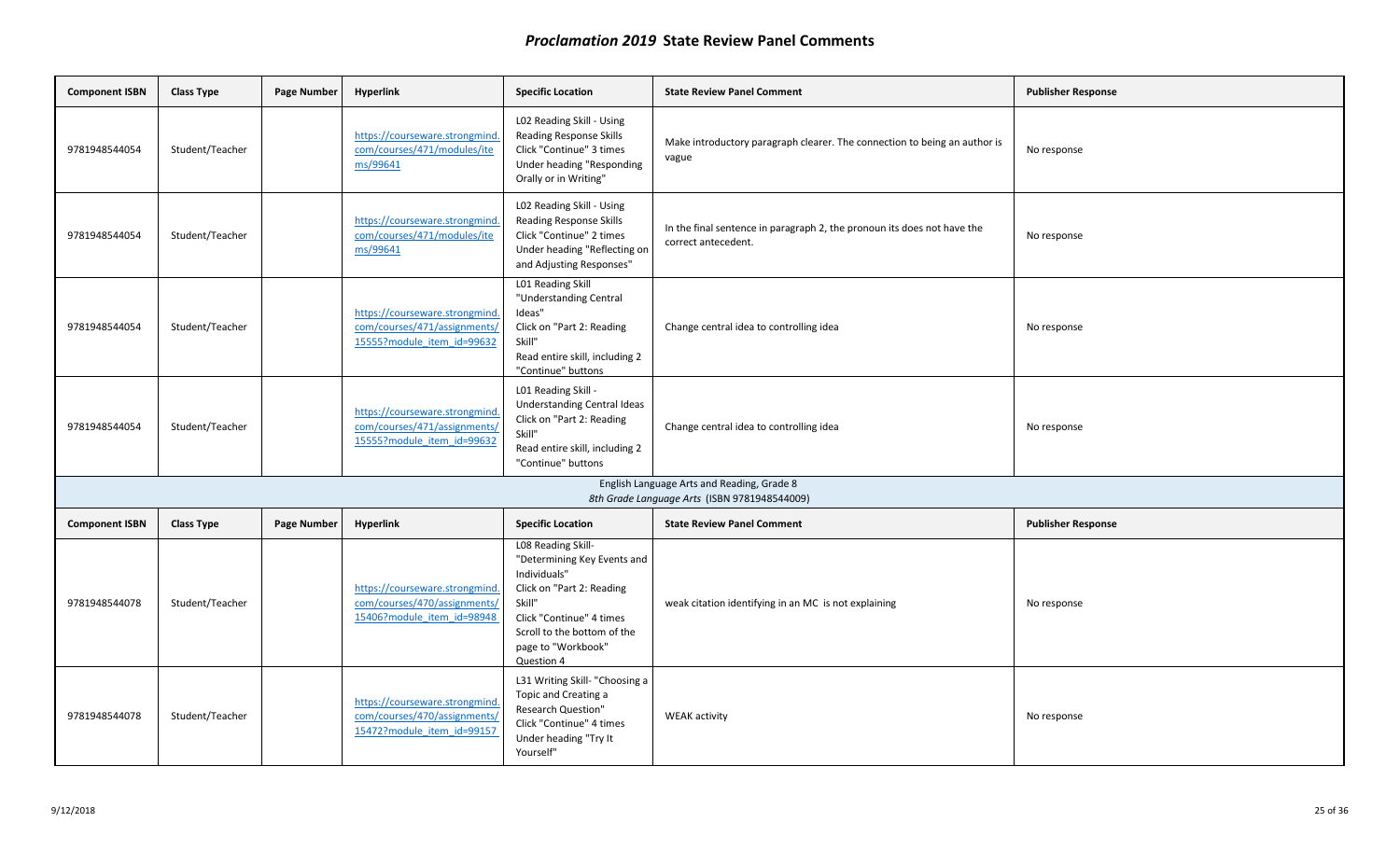| <b>Component ISBN</b> | <b>Class Type</b> | Page Number | <b>Hyperlink</b>                                                                             | <b>Specific Location</b>                                                                                                                                                                                | <b>State Review Panel Comment</b>                                                              | <b>Publisher Response</b> |
|-----------------------|-------------------|-------------|----------------------------------------------------------------------------------------------|---------------------------------------------------------------------------------------------------------------------------------------------------------------------------------------------------------|------------------------------------------------------------------------------------------------|---------------------------|
| 9781948544054         | Student/Teacher   |             | https://courseware.strongmind.<br>com/courses/471/modules/ite<br>ms/99641                    | LO2 Reading Skill - Using<br>Reading Response Skills<br>Click "Continue" 3 times<br>Under heading "Responding<br>Orally or in Writing"                                                                  | Make introductory paragraph clearer. The connection to being an author is<br>vague             | No response               |
| 9781948544054         | Student/Teacher   |             | https://courseware.strongmind<br>com/courses/471/modules/ite<br>ms/99641                     | LO2 Reading Skill - Using<br>Reading Response Skills<br>Click "Continue" 2 times<br>Under heading "Reflecting on<br>and Adjusting Responses"                                                            | In the final sentence in paragraph 2, the pronoun its does not have the<br>correct antecedent. | No response               |
| 9781948544054         | Student/Teacher   |             | https://courseware.strongmind.<br>com/courses/471/assignments/<br>15555?module item id=99632 | L01 Reading Skill<br>"Understanding Central<br>Ideas"<br>Click on "Part 2: Reading<br>Skill"<br>Read entire skill, including 2<br>"Continue" buttons                                                    | Change central idea to controlling idea                                                        | No response               |
| 9781948544054         | Student/Teacher   |             | https://courseware.strongmind.<br>com/courses/471/assignments/<br>15555?module item id=99632 | L01 Reading Skill -<br><b>Understanding Central Ideas</b><br>Click on "Part 2: Reading<br>Skill"<br>Read entire skill, including 2<br>"Continue" buttons                                                | Change central idea to controlling idea                                                        | No response               |
|                       |                   |             |                                                                                              |                                                                                                                                                                                                         | English Language Arts and Reading, Grade 8<br>8th Grade Language Arts (ISBN 9781948544009)     |                           |
| <b>Component ISBN</b> | <b>Class Type</b> | Page Number | <b>Hyperlink</b>                                                                             | <b>Specific Location</b>                                                                                                                                                                                | <b>State Review Panel Comment</b>                                                              | <b>Publisher Response</b> |
| 9781948544078         | Student/Teacher   |             | https://courseware.strongmind.<br>com/courses/470/assignments/<br>15406?module item id=98948 | L08 Reading Skill-<br>"Determining Key Events and<br>Individuals"<br>Click on "Part 2: Reading<br>Skill"<br>Click "Continue" 4 times<br>Scroll to the bottom of the<br>page to "Workbook"<br>Question 4 | weak citation identifying in an MC is not explaining                                           | No response               |
| 9781948544078         | Student/Teacher   |             | https://courseware.strongmind.<br>com/courses/470/assignments/<br>15472?module item id=99157 | L31 Writing Skill- "Choosing a<br>Topic and Creating a<br><b>Research Question"</b><br>Click "Continue" 4 times<br>Under heading "Try It<br>Yourself"                                                   | <b>WEAK activity</b>                                                                           | No response               |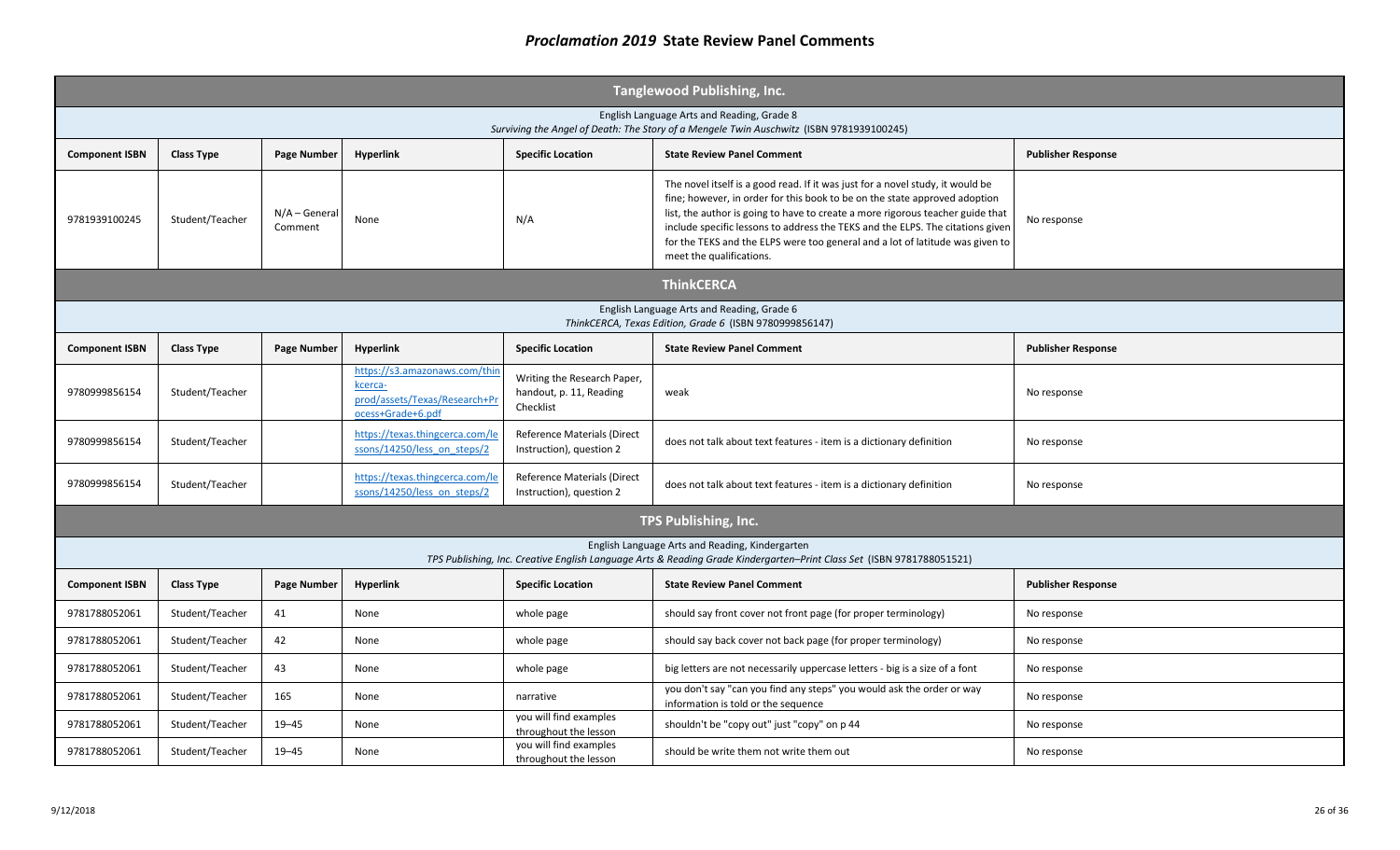|                                                                                                                                        | <b>Tanglewood Publishing, Inc.</b> |                            |                                                                                                |                                                                     |                                                                                                                                                                                                                                                                                                                                                                                                                                               |                           |  |  |  |
|----------------------------------------------------------------------------------------------------------------------------------------|------------------------------------|----------------------------|------------------------------------------------------------------------------------------------|---------------------------------------------------------------------|-----------------------------------------------------------------------------------------------------------------------------------------------------------------------------------------------------------------------------------------------------------------------------------------------------------------------------------------------------------------------------------------------------------------------------------------------|---------------------------|--|--|--|
| English Language Arts and Reading, Grade 8<br>Surviving the Angel of Death: The Story of a Mengele Twin Auschwitz (ISBN 9781939100245) |                                    |                            |                                                                                                |                                                                     |                                                                                                                                                                                                                                                                                                                                                                                                                                               |                           |  |  |  |
| <b>Component ISBN</b>                                                                                                                  | <b>Class Type</b>                  | Page Number                | <b>Hyperlink</b>                                                                               | <b>Specific Location</b>                                            | <b>State Review Panel Comment</b>                                                                                                                                                                                                                                                                                                                                                                                                             | <b>Publisher Response</b> |  |  |  |
| 9781939100245                                                                                                                          | Student/Teacher                    | $N/A - General$<br>Comment | None                                                                                           | N/A                                                                 | The novel itself is a good read. If it was just for a novel study, it would be<br>fine; however, in order for this book to be on the state approved adoption<br>list, the author is going to have to create a more rigorous teacher guide that<br>include specific lessons to address the TEKS and the ELPS. The citations given<br>for the TEKS and the ELPS were too general and a lot of latitude was given to<br>meet the qualifications. | No response               |  |  |  |
| <b>ThinkCERCA</b>                                                                                                                      |                                    |                            |                                                                                                |                                                                     |                                                                                                                                                                                                                                                                                                                                                                                                                                               |                           |  |  |  |
| English Language Arts and Reading, Grade 6<br>ThinkCERCA, Texas Edition, Grade 6 (ISBN 9780999856147)                                  |                                    |                            |                                                                                                |                                                                     |                                                                                                                                                                                                                                                                                                                                                                                                                                               |                           |  |  |  |
| <b>Component ISBN</b>                                                                                                                  | <b>Class Type</b>                  | Page Number                | <b>Hyperlink</b>                                                                               | <b>Specific Location</b>                                            | <b>State Review Panel Comment</b>                                                                                                                                                                                                                                                                                                                                                                                                             | <b>Publisher Response</b> |  |  |  |
| 9780999856154                                                                                                                          | Student/Teacher                    |                            | https://s3.amazonaws.com/thir<br>kcerca-<br>prod/assets/Texas/Research+Pr<br>ocess+Grade+6.pdf | Writing the Research Paper,<br>handout, p. 11, Reading<br>Checklist | weak                                                                                                                                                                                                                                                                                                                                                                                                                                          | No response               |  |  |  |
| 9780999856154                                                                                                                          | Student/Teacher                    |                            | https://texas.thingcerca.com/le<br>ssons/14250/less on steps/2                                 | <b>Reference Materials (Direct</b><br>Instruction), question 2      | does not talk about text features - item is a dictionary definition                                                                                                                                                                                                                                                                                                                                                                           | No response               |  |  |  |
| 9780999856154                                                                                                                          | Student/Teacher                    |                            | https://texas.thingcerca.com/le<br>ssons/14250/less on steps/2                                 | Reference Materials (Direct<br>Instruction), question 2             | does not talk about text features - item is a dictionary definition                                                                                                                                                                                                                                                                                                                                                                           | No response               |  |  |  |
|                                                                                                                                        |                                    |                            |                                                                                                |                                                                     | TPS Publishing, Inc.                                                                                                                                                                                                                                                                                                                                                                                                                          |                           |  |  |  |
|                                                                                                                                        |                                    |                            |                                                                                                |                                                                     | English Language Arts and Reading, Kindergarten<br>TPS Publishing, Inc. Creative English Language Arts & Reading Grade Kindergarten-Print Class Set (ISBN 9781788051521)                                                                                                                                                                                                                                                                      |                           |  |  |  |
| <b>Component ISBN</b>                                                                                                                  | <b>Class Type</b>                  | Page Number                | <b>Hyperlink</b>                                                                               | <b>Specific Location</b>                                            | <b>State Review Panel Comment</b>                                                                                                                                                                                                                                                                                                                                                                                                             | <b>Publisher Response</b> |  |  |  |
| 9781788052061                                                                                                                          | Student/Teacher                    | 41                         | None                                                                                           | whole page                                                          | should say front cover not front page (for proper terminology)                                                                                                                                                                                                                                                                                                                                                                                | No response               |  |  |  |
| 9781788052061                                                                                                                          | Student/Teacher                    | 42                         | None                                                                                           | whole page                                                          | should say back cover not back page (for proper terminology)                                                                                                                                                                                                                                                                                                                                                                                  | No response               |  |  |  |
| 9781788052061                                                                                                                          | Student/Teacher                    | 43                         | None                                                                                           | whole page                                                          | big letters are not necessarily uppercase letters - big is a size of a font                                                                                                                                                                                                                                                                                                                                                                   | No response               |  |  |  |
| 9781788052061                                                                                                                          | Student/Teacher                    | 165                        | None                                                                                           | narrative                                                           | you don't say "can you find any steps" you would ask the order or way<br>information is told or the sequence                                                                                                                                                                                                                                                                                                                                  | No response               |  |  |  |
| 9781788052061                                                                                                                          | Student/Teacher                    | $19 - 45$                  | None                                                                                           | you will find examples<br>throughout the lesson                     | shouldn't be "copy out" just "copy" on p 44                                                                                                                                                                                                                                                                                                                                                                                                   | No response               |  |  |  |
| 9781788052061                                                                                                                          | Student/Teacher                    | $19 - 45$                  | None                                                                                           | you will find examples<br>throughout the lesson                     | should be write them not write them out                                                                                                                                                                                                                                                                                                                                                                                                       | No response               |  |  |  |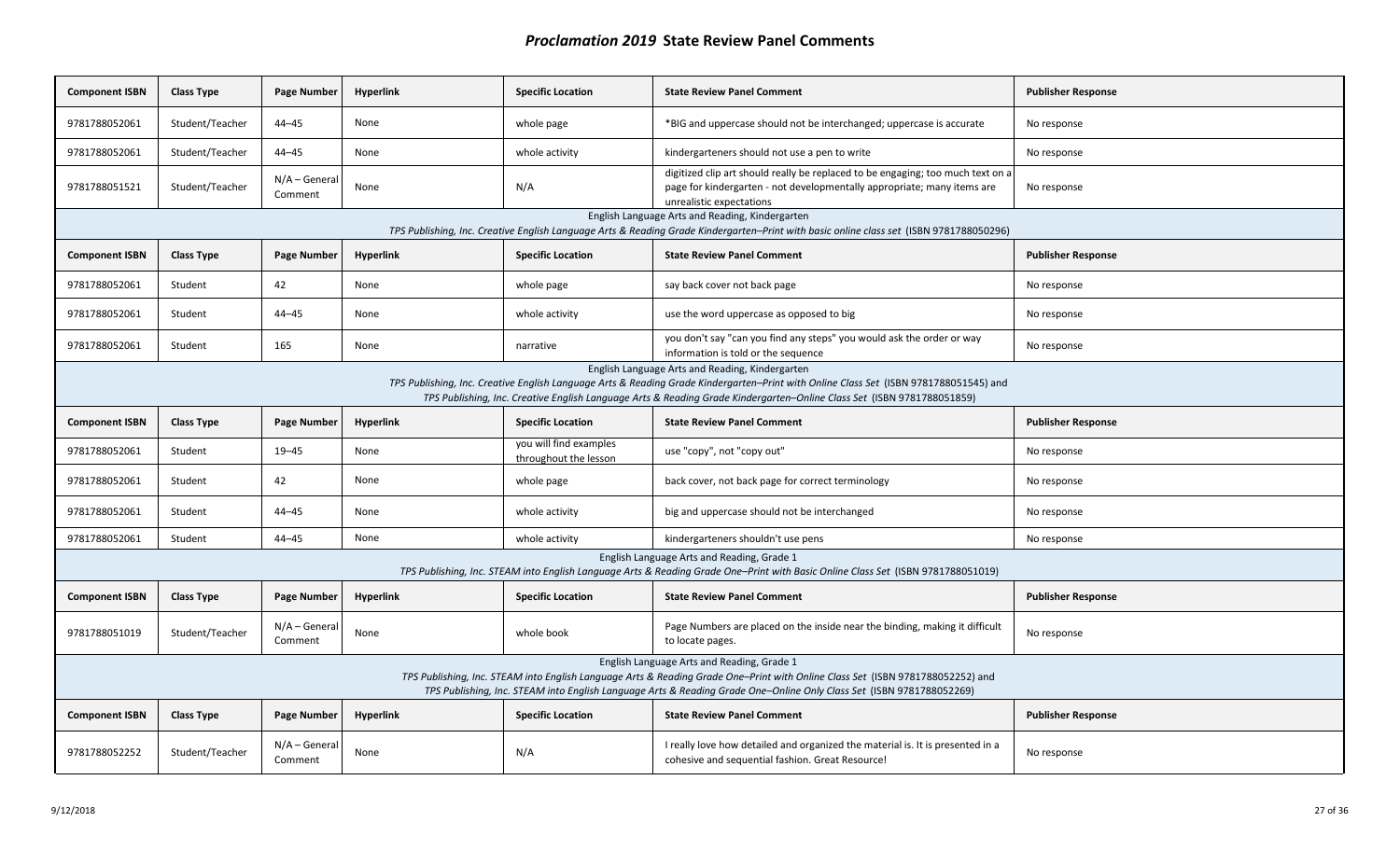| <b>Component ISBN</b>                                                                                                                                                                                                                                                                                              | <b>Class Type</b>                                                                                                                                                                                                                                                                                    | Page Number                | <b>Hyperlink</b> | <b>Specific Location</b>                        | <b>State Review Panel Comment</b>                                                                                                                                                          | <b>Publisher Response</b> |  |  |
|--------------------------------------------------------------------------------------------------------------------------------------------------------------------------------------------------------------------------------------------------------------------------------------------------------------------|------------------------------------------------------------------------------------------------------------------------------------------------------------------------------------------------------------------------------------------------------------------------------------------------------|----------------------------|------------------|-------------------------------------------------|--------------------------------------------------------------------------------------------------------------------------------------------------------------------------------------------|---------------------------|--|--|
| 9781788052061                                                                                                                                                                                                                                                                                                      | Student/Teacher                                                                                                                                                                                                                                                                                      | $44 - 45$                  | None             | whole page                                      | *BIG and uppercase should not be interchanged; uppercase is accurate                                                                                                                       | No response               |  |  |
| 9781788052061                                                                                                                                                                                                                                                                                                      | Student/Teacher                                                                                                                                                                                                                                                                                      | $44 - 45$                  | None             | whole activity                                  | kindergarteners should not use a pen to write                                                                                                                                              | No response               |  |  |
| 9781788051521                                                                                                                                                                                                                                                                                                      | Student/Teacher                                                                                                                                                                                                                                                                                      | $N/A - General$<br>Comment | None             | N/A                                             | digitized clip art should really be replaced to be engaging; too much text on a<br>page for kindergarten - not developmentally appropriate; many items are<br>unrealistic expectations     | No response               |  |  |
|                                                                                                                                                                                                                                                                                                                    |                                                                                                                                                                                                                                                                                                      |                            |                  |                                                 | English Language Arts and Reading, Kindergarten<br>TPS Publishing, Inc. Creative English Language Arts & Reading Grade Kindergarten–Print with basic online class set (ISBN 9781788050296) |                           |  |  |
| <b>Component ISBN</b>                                                                                                                                                                                                                                                                                              | <b>Class Type</b>                                                                                                                                                                                                                                                                                    | Page Number                | <b>Hyperlink</b> | <b>Specific Location</b>                        | <b>State Review Panel Comment</b>                                                                                                                                                          | <b>Publisher Response</b> |  |  |
| 9781788052061                                                                                                                                                                                                                                                                                                      | Student                                                                                                                                                                                                                                                                                              | 42                         | None             | whole page                                      | say back cover not back page                                                                                                                                                               | No response               |  |  |
| 9781788052061                                                                                                                                                                                                                                                                                                      | Student                                                                                                                                                                                                                                                                                              | $44 - 45$                  | None             | whole activity                                  | use the word uppercase as opposed to big                                                                                                                                                   | No response               |  |  |
| 9781788052061                                                                                                                                                                                                                                                                                                      | Student                                                                                                                                                                                                                                                                                              | 165                        | None             | narrative                                       | you don't say "can you find any steps" you would ask the order or way<br>information is told or the sequence                                                                               | No response               |  |  |
| English Language Arts and Reading, Kindergarten<br>TPS Publishing, Inc. Creative English Language Arts & Reading Grade Kindergarten-Print with Online Class Set (ISBN 9781788051545) and<br>TPS Publishing, Inc. Creative English Language Arts & Reading Grade Kindergarten-Online Class Set (ISBN 9781788051859) |                                                                                                                                                                                                                                                                                                      |                            |                  |                                                 |                                                                                                                                                                                            |                           |  |  |
| <b>Component ISBN</b>                                                                                                                                                                                                                                                                                              | <b>Class Type</b>                                                                                                                                                                                                                                                                                    | Page Number                | <b>Hyperlink</b> | <b>Specific Location</b>                        | <b>State Review Panel Comment</b>                                                                                                                                                          | <b>Publisher Response</b> |  |  |
| 9781788052061                                                                                                                                                                                                                                                                                                      | Student                                                                                                                                                                                                                                                                                              | $19 - 45$                  | None             | you will find examples<br>throughout the lesson | use "copy", not "copy out"                                                                                                                                                                 | No response               |  |  |
| 9781788052061                                                                                                                                                                                                                                                                                                      | Student                                                                                                                                                                                                                                                                                              | 42                         | None             | whole page                                      | back cover, not back page for correct terminology                                                                                                                                          | No response               |  |  |
| 9781788052061                                                                                                                                                                                                                                                                                                      | Student                                                                                                                                                                                                                                                                                              | $44 - 45$                  | None             | whole activity                                  | big and uppercase should not be interchanged                                                                                                                                               | No response               |  |  |
| 9781788052061                                                                                                                                                                                                                                                                                                      | Student                                                                                                                                                                                                                                                                                              | $44 - 45$                  | None             | whole activity                                  | kindergarteners shouldn't use pens                                                                                                                                                         | No response               |  |  |
|                                                                                                                                                                                                                                                                                                                    |                                                                                                                                                                                                                                                                                                      |                            |                  |                                                 | English Language Arts and Reading, Grade 1<br>TPS Publishing, Inc. STEAM into English Language Arts & Reading Grade One-Print with Basic Online Class Set (ISBN 9781788051019)             |                           |  |  |
| <b>Component ISBN</b>                                                                                                                                                                                                                                                                                              | <b>Class Type</b>                                                                                                                                                                                                                                                                                    | Page Number                | <b>Hyperlink</b> | <b>Specific Location</b>                        | <b>State Review Panel Comment</b>                                                                                                                                                          | <b>Publisher Response</b> |  |  |
| 9781788051019                                                                                                                                                                                                                                                                                                      | Student/Teacher                                                                                                                                                                                                                                                                                      | $N/A - General$<br>Comment | None             | whole book                                      | Page Numbers are placed on the inside near the binding, making it difficult<br>to locate pages.                                                                                            | No response               |  |  |
|                                                                                                                                                                                                                                                                                                                    | English Language Arts and Reading, Grade 1<br>TPS Publishing, Inc. STEAM into English Language Arts & Reading Grade One-Print with Online Class Set (ISBN 9781788052252) and<br>TPS Publishing, Inc. STEAM into English Language Arts & Reading Grade One-Online Only Class Set (ISBN 9781788052269) |                            |                  |                                                 |                                                                                                                                                                                            |                           |  |  |
| <b>Component ISBN</b>                                                                                                                                                                                                                                                                                              | <b>Class Type</b>                                                                                                                                                                                                                                                                                    | <b>Page Number</b>         | <b>Hyperlink</b> | <b>Specific Location</b>                        | <b>State Review Panel Comment</b>                                                                                                                                                          | <b>Publisher Response</b> |  |  |
| 9781788052252                                                                                                                                                                                                                                                                                                      | Student/Teacher                                                                                                                                                                                                                                                                                      | $N/A - General$<br>Comment | None             | N/A                                             | I really love how detailed and organized the material is. It is presented in a<br>cohesive and sequential fashion. Great Resource!                                                         | No response               |  |  |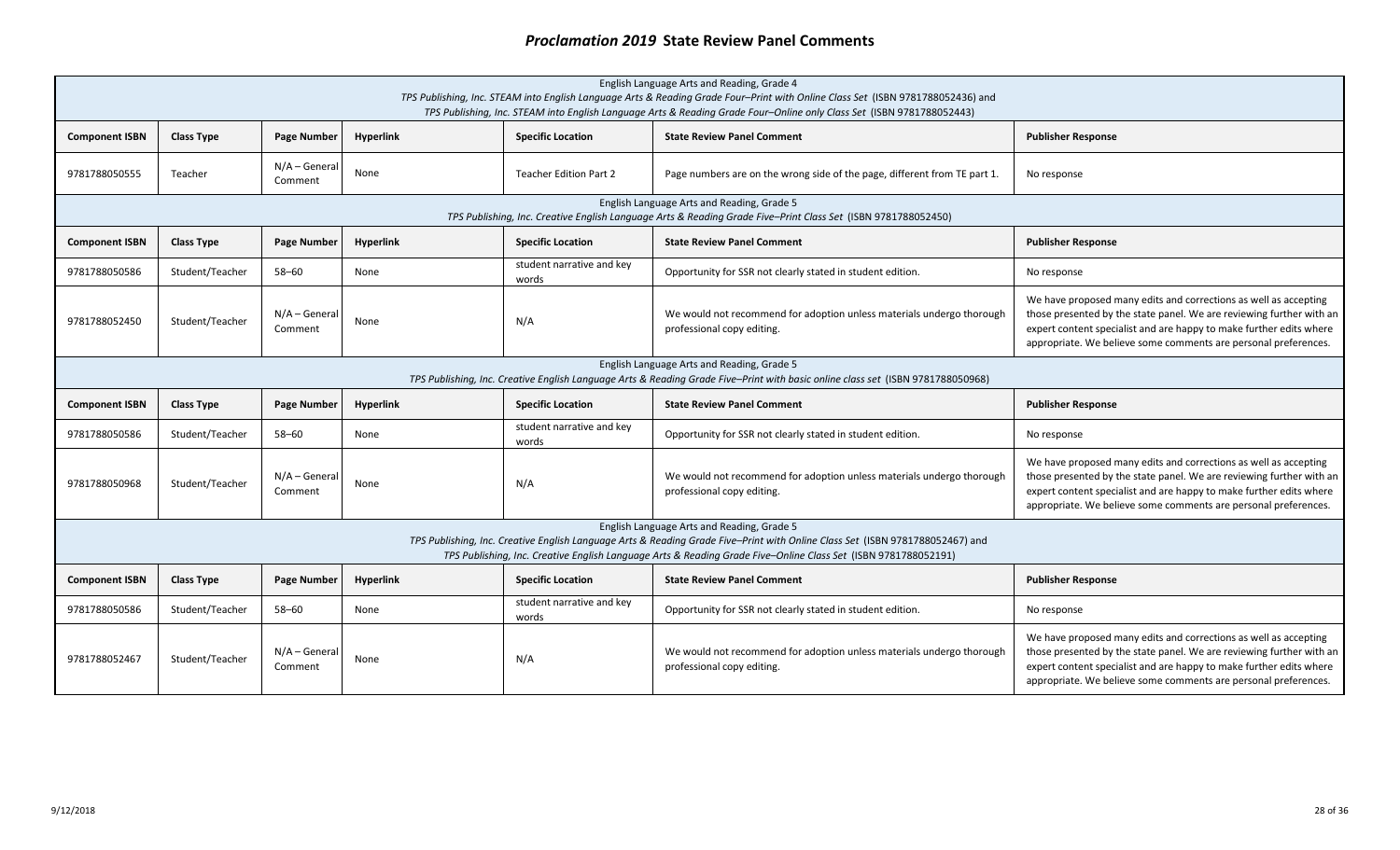| English Language Arts and Reading, Grade 4<br>TPS Publishing, Inc. STEAM into English Language Arts & Reading Grade Four-Print with Online Class Set (ISBN 9781788052436) and<br>TPS Publishing, Inc. STEAM into English Language Arts & Reading Grade Four-Online only Class Set (ISBN 9781788052443) |                                                                                                                                                             |                            |                  |                                    |                                                                                                                                                                                                                                                                                               |                                                                                                                                                                                                                                                                                    |  |  |  |
|--------------------------------------------------------------------------------------------------------------------------------------------------------------------------------------------------------------------------------------------------------------------------------------------------------|-------------------------------------------------------------------------------------------------------------------------------------------------------------|----------------------------|------------------|------------------------------------|-----------------------------------------------------------------------------------------------------------------------------------------------------------------------------------------------------------------------------------------------------------------------------------------------|------------------------------------------------------------------------------------------------------------------------------------------------------------------------------------------------------------------------------------------------------------------------------------|--|--|--|
| <b>Component ISBN</b>                                                                                                                                                                                                                                                                                  | <b>Class Type</b>                                                                                                                                           | Page Number                | <b>Hyperlink</b> | <b>Specific Location</b>           | <b>State Review Panel Comment</b>                                                                                                                                                                                                                                                             | <b>Publisher Response</b>                                                                                                                                                                                                                                                          |  |  |  |
| 9781788050555                                                                                                                                                                                                                                                                                          | Teacher                                                                                                                                                     | $N/A - General$<br>Comment | None             | <b>Teacher Edition Part 2</b>      | Page numbers are on the wrong side of the page, different from TE part 1.                                                                                                                                                                                                                     | No response                                                                                                                                                                                                                                                                        |  |  |  |
|                                                                                                                                                                                                                                                                                                        | English Language Arts and Reading, Grade 5<br>TPS Publishing, Inc. Creative English Language Arts & Reading Grade Five-Print Class Set (ISBN 9781788052450) |                            |                  |                                    |                                                                                                                                                                                                                                                                                               |                                                                                                                                                                                                                                                                                    |  |  |  |
| <b>Component ISBN</b>                                                                                                                                                                                                                                                                                  | <b>Class Type</b>                                                                                                                                           | Page Number                | <b>Hyperlink</b> | <b>Specific Location</b>           | <b>State Review Panel Comment</b>                                                                                                                                                                                                                                                             | <b>Publisher Response</b>                                                                                                                                                                                                                                                          |  |  |  |
| 9781788050586                                                                                                                                                                                                                                                                                          | Student/Teacher                                                                                                                                             | $58 - 60$                  | None             | student narrative and key<br>words | Opportunity for SSR not clearly stated in student edition.                                                                                                                                                                                                                                    | No response                                                                                                                                                                                                                                                                        |  |  |  |
| 9781788052450                                                                                                                                                                                                                                                                                          | Student/Teacher                                                                                                                                             | $N/A - General$<br>Comment | None             | N/A                                | We would not recommend for adoption unless materials undergo thorough<br>professional copy editing.                                                                                                                                                                                           | We have proposed many edits and corrections as well as accepting<br>those presented by the state panel. We are reviewing further with an<br>expert content specialist and are happy to make further edits where<br>appropriate. We believe some comments are personal preferences. |  |  |  |
| English Language Arts and Reading, Grade 5<br>TPS Publishing, Inc. Creative English Language Arts & Reading Grade Five-Print with basic online class set (ISBN 9781788050968)                                                                                                                          |                                                                                                                                                             |                            |                  |                                    |                                                                                                                                                                                                                                                                                               |                                                                                                                                                                                                                                                                                    |  |  |  |
| <b>Component ISBN</b>                                                                                                                                                                                                                                                                                  | Class Type                                                                                                                                                  | Page Number                | <b>Hyperlink</b> | <b>Specific Location</b>           | <b>State Review Panel Comment</b>                                                                                                                                                                                                                                                             | <b>Publisher Response</b>                                                                                                                                                                                                                                                          |  |  |  |
| 9781788050586                                                                                                                                                                                                                                                                                          | Student/Teacher                                                                                                                                             | $58 - 60$                  | None             | student narrative and key<br>words | Opportunity for SSR not clearly stated in student edition.                                                                                                                                                                                                                                    | No response                                                                                                                                                                                                                                                                        |  |  |  |
| 9781788050968                                                                                                                                                                                                                                                                                          | Student/Teacher                                                                                                                                             | $N/A - General$<br>Comment | None             | N/A                                | We would not recommend for adoption unless materials undergo thorough<br>professional copy editing.                                                                                                                                                                                           | We have proposed many edits and corrections as well as accepting<br>those presented by the state panel. We are reviewing further with an<br>expert content specialist and are happy to make further edits where<br>appropriate. We believe some comments are personal preferences. |  |  |  |
|                                                                                                                                                                                                                                                                                                        |                                                                                                                                                             |                            |                  |                                    | English Language Arts and Reading, Grade 5<br>TPS Publishing, Inc. Creative English Language Arts & Reading Grade Five-Print with Online Class Set (ISBN 9781788052467) and<br>TPS Publishing, Inc. Creative English Language Arts & Reading Grade Five-Online Class Set (ISBN 9781788052191) |                                                                                                                                                                                                                                                                                    |  |  |  |
| <b>Component ISBN</b>                                                                                                                                                                                                                                                                                  | <b>Class Type</b>                                                                                                                                           | <b>Page Number</b>         | Hyperlink        | <b>Specific Location</b>           | <b>State Review Panel Comment</b>                                                                                                                                                                                                                                                             | <b>Publisher Response</b>                                                                                                                                                                                                                                                          |  |  |  |
| 9781788050586                                                                                                                                                                                                                                                                                          | Student/Teacher                                                                                                                                             | $58 - 60$                  | None             | student narrative and key<br>words | Opportunity for SSR not clearly stated in student edition.                                                                                                                                                                                                                                    | No response                                                                                                                                                                                                                                                                        |  |  |  |
| 9781788052467                                                                                                                                                                                                                                                                                          | Student/Teacher                                                                                                                                             | $N/A - General$<br>Comment | None             | N/A                                | We would not recommend for adoption unless materials undergo thorough<br>professional copy editing.                                                                                                                                                                                           | We have proposed many edits and corrections as well as accepting<br>those presented by the state panel. We are reviewing further with an<br>expert content specialist and are happy to make further edits where<br>appropriate. We believe some comments are personal preferences. |  |  |  |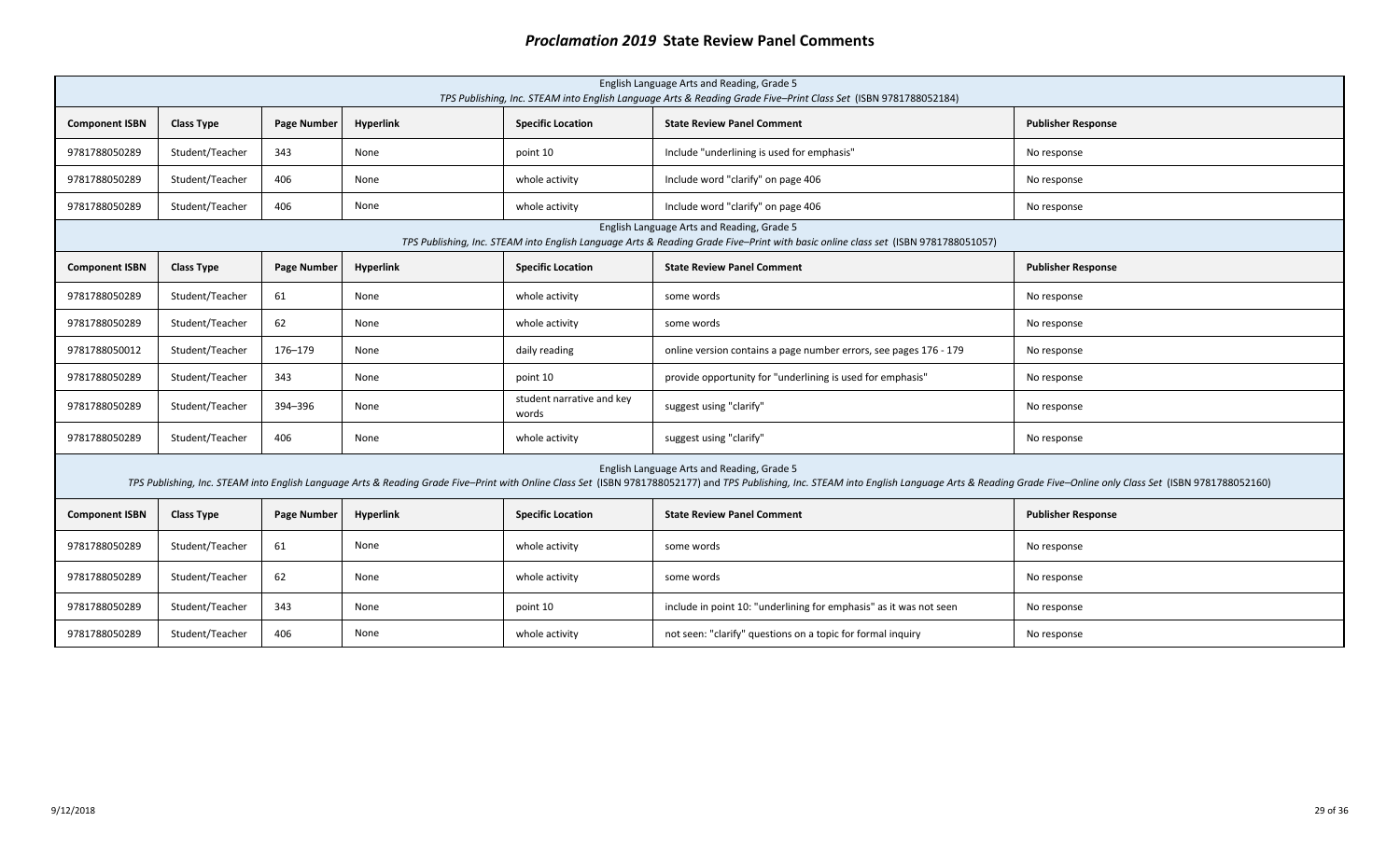| English Language Arts and Reading, Grade 5<br>TPS Publishing, Inc. STEAM into English Language Arts & Reading Grade Five-Print Class Set (ISBN 9781788052184) |                   |             |                  |                                    |                                                                                                                                                                                                                                                                              |                           |  |
|---------------------------------------------------------------------------------------------------------------------------------------------------------------|-------------------|-------------|------------------|------------------------------------|------------------------------------------------------------------------------------------------------------------------------------------------------------------------------------------------------------------------------------------------------------------------------|---------------------------|--|
| <b>Component ISBN</b>                                                                                                                                         | <b>Class Type</b> | Page Number | <b>Hyperlink</b> | <b>Specific Location</b>           | <b>State Review Panel Comment</b>                                                                                                                                                                                                                                            | <b>Publisher Response</b> |  |
| 9781788050289                                                                                                                                                 | Student/Teacher   | 343         | None             | point 10                           | Include "underlining is used for emphasis"                                                                                                                                                                                                                                   | No response               |  |
| 9781788050289                                                                                                                                                 | Student/Teacher   | 406         | None             | whole activity                     | Include word "clarify" on page 406                                                                                                                                                                                                                                           | No response               |  |
| 9781788050289                                                                                                                                                 | Student/Teacher   | 406         | None             | whole activity                     | Include word "clarify" on page 406                                                                                                                                                                                                                                           | No response               |  |
|                                                                                                                                                               |                   |             |                  |                                    | English Language Arts and Reading, Grade 5<br>TPS Publishing, Inc. STEAM into English Language Arts & Reading Grade Five-Print with basic online class set (ISBN 9781788051057)                                                                                              |                           |  |
| <b>Component ISBN</b>                                                                                                                                         | <b>Class Type</b> | Page Number | Hyperlink        | <b>Specific Location</b>           | <b>State Review Panel Comment</b>                                                                                                                                                                                                                                            | <b>Publisher Response</b> |  |
| 9781788050289                                                                                                                                                 | Student/Teacher   | 61          | None             | whole activity                     | some words                                                                                                                                                                                                                                                                   | No response               |  |
| 9781788050289                                                                                                                                                 | Student/Teacher   | 62          | None             | whole activity                     | some words                                                                                                                                                                                                                                                                   | No response               |  |
| 9781788050012                                                                                                                                                 | Student/Teacher   | 176-179     | None             | daily reading                      | online version contains a page number errors, see pages 176 - 179                                                                                                                                                                                                            | No response               |  |
| 9781788050289                                                                                                                                                 | Student/Teacher   | 343         | None             | point 10                           | provide opportunity for "underlining is used for emphasis"                                                                                                                                                                                                                   | No response               |  |
| 9781788050289                                                                                                                                                 | Student/Teacher   | 394-396     | None             | student narrative and key<br>words | suggest using "clarify"                                                                                                                                                                                                                                                      | No response               |  |
| 9781788050289                                                                                                                                                 | Student/Teacher   | 406         | None             | whole activity                     | suggest using "clarify"                                                                                                                                                                                                                                                      | No response               |  |
|                                                                                                                                                               |                   |             |                  |                                    | English Language Arts and Reading, Grade 5<br>TPS Publishing, Inc. STEAM into English Language Arts & Reading Grade Five-Print with Online Class Set (ISBN 9781788052177) and TPS Publishing, Inc. STEAM into English Language Arts & Reading Grade Five-Online only Class S |                           |  |
| <b>Component ISBN</b>                                                                                                                                         | <b>Class Type</b> | Page Number | Hyperlink        | <b>Specific Location</b>           | <b>State Review Panel Comment</b>                                                                                                                                                                                                                                            | <b>Publisher Response</b> |  |
| 9781788050289                                                                                                                                                 | Student/Teacher   | 61          | None             | whole activity                     | some words                                                                                                                                                                                                                                                                   | No response               |  |
| 9781788050289                                                                                                                                                 | Student/Teacher   | 62          | None             | whole activity                     | some words                                                                                                                                                                                                                                                                   | No response               |  |
| 9781788050289                                                                                                                                                 | Student/Teacher   | 343         | None             | point 10                           | include in point 10: "underlining for emphasis" as it was not seen                                                                                                                                                                                                           | No response               |  |
| 9781788050289                                                                                                                                                 | Student/Teacher   | 406         | None             | whole activity                     | not seen: "clarify" questions on a topic for formal inquiry                                                                                                                                                                                                                  | No response               |  |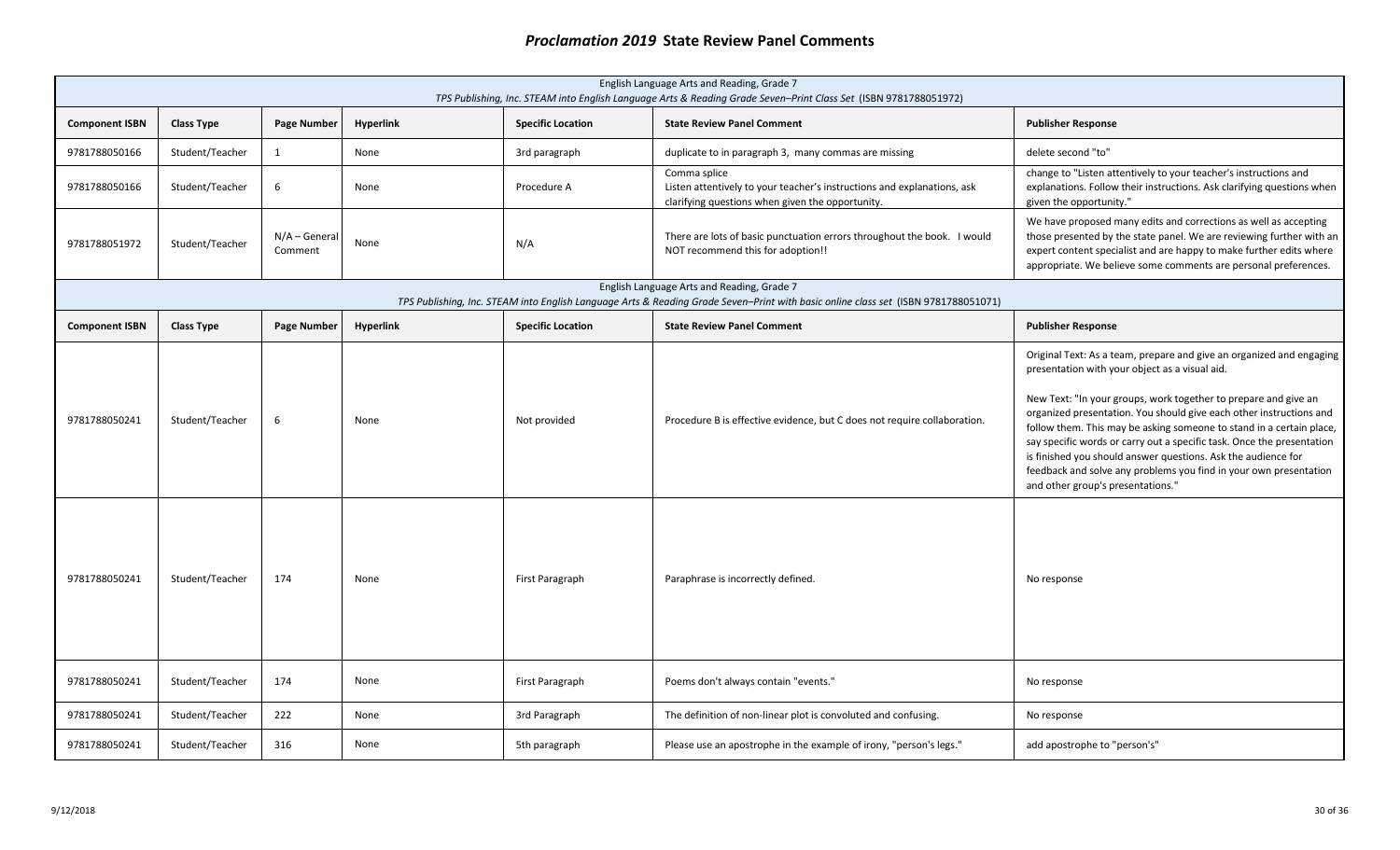|                       | English Language Arts and Reading, Grade 7<br>TPS Publishing, Inc. STEAM into English Language Arts & Reading Grade Seven-Print Class Set (ISBN 9781788051972) |                            |                  |                          |                                                                                                                                                                                  |                                                                                                                                                                                                                                                                                                                                                                                                                                                                                                                                                                                               |  |  |  |
|-----------------------|----------------------------------------------------------------------------------------------------------------------------------------------------------------|----------------------------|------------------|--------------------------|----------------------------------------------------------------------------------------------------------------------------------------------------------------------------------|-----------------------------------------------------------------------------------------------------------------------------------------------------------------------------------------------------------------------------------------------------------------------------------------------------------------------------------------------------------------------------------------------------------------------------------------------------------------------------------------------------------------------------------------------------------------------------------------------|--|--|--|
| <b>Component ISBN</b> | <b>Class Type</b>                                                                                                                                              | Page Number                | <b>Hyperlink</b> | <b>Specific Location</b> | <b>State Review Panel Comment</b>                                                                                                                                                | <b>Publisher Response</b>                                                                                                                                                                                                                                                                                                                                                                                                                                                                                                                                                                     |  |  |  |
| 9781788050166         | Student/Teacher                                                                                                                                                | 1                          | None             | 3rd paragraph            | duplicate to in paragraph 3, many commas are missing                                                                                                                             | delete second "to"                                                                                                                                                                                                                                                                                                                                                                                                                                                                                                                                                                            |  |  |  |
| 9781788050166         | Student/Teacher                                                                                                                                                | 6                          | None             | Procedure A              | Comma splice<br>Listen attentively to your teacher's instructions and explanations, ask<br>clarifying questions when given the opportunity.                                      | change to "Listen attentively to your teacher's instructions and<br>explanations. Follow their instructions. Ask clarifying questions when<br>given the opportunity."                                                                                                                                                                                                                                                                                                                                                                                                                         |  |  |  |
| 9781788051972         | Student/Teacher                                                                                                                                                | $N/A - General$<br>Comment | None             | N/A                      | There are lots of basic punctuation errors throughout the book. I would<br>NOT recommend this for adoption!!                                                                     | We have proposed many edits and corrections as well as accepting<br>those presented by the state panel. We are reviewing further with an<br>expert content specialist and are happy to make further edits where<br>appropriate. We believe some comments are personal preferences.                                                                                                                                                                                                                                                                                                            |  |  |  |
|                       |                                                                                                                                                                |                            |                  |                          | English Language Arts and Reading, Grade 7<br>TPS Publishing, Inc. STEAM into English Language Arts & Reading Grade Seven-Print with basic online class set (ISBN 9781788051071) |                                                                                                                                                                                                                                                                                                                                                                                                                                                                                                                                                                                               |  |  |  |
| <b>Component ISBN</b> | <b>Class Type</b>                                                                                                                                              | <b>Page Number</b>         | <b>Hyperlink</b> | <b>Specific Location</b> | <b>State Review Panel Comment</b>                                                                                                                                                | <b>Publisher Response</b>                                                                                                                                                                                                                                                                                                                                                                                                                                                                                                                                                                     |  |  |  |
| 9781788050241         | Student/Teacher                                                                                                                                                | 6                          | None             | Not provided             | Procedure B is effective evidence, but C does not require collaboration.                                                                                                         | Original Text: As a team, prepare and give an organized and engaging<br>presentation with your object as a visual aid.<br>New Text: "In your groups, work together to prepare and give an<br>organized presentation. You should give each other instructions and<br>follow them. This may be asking someone to stand in a certain place,<br>say specific words or carry out a specific task. Once the presentation<br>is finished you should answer questions. Ask the audience for<br>feedback and solve any problems you find in your own presentation<br>and other group's presentations." |  |  |  |
| 9781788050241         | Student/Teacher                                                                                                                                                | 174                        | None             | First Paragraph          | Paraphrase is incorrectly defined.                                                                                                                                               | No response                                                                                                                                                                                                                                                                                                                                                                                                                                                                                                                                                                                   |  |  |  |
| 9781788050241         | Student/Teacher                                                                                                                                                | 174                        | None             | First Paragraph          | Poems don't always contain "events."                                                                                                                                             | No response                                                                                                                                                                                                                                                                                                                                                                                                                                                                                                                                                                                   |  |  |  |
| 9781788050241         | Student/Teacher                                                                                                                                                | 222                        | None             | 3rd Paragraph            | The definition of non-linear plot is convoluted and confusing.                                                                                                                   | No response                                                                                                                                                                                                                                                                                                                                                                                                                                                                                                                                                                                   |  |  |  |
| 9781788050241         | Student/Teacher                                                                                                                                                | 316                        | None             | 5th paragraph            | Please use an apostrophe in the example of irony, "person's legs."                                                                                                               | add apostrophe to "person's"                                                                                                                                                                                                                                                                                                                                                                                                                                                                                                                                                                  |  |  |  |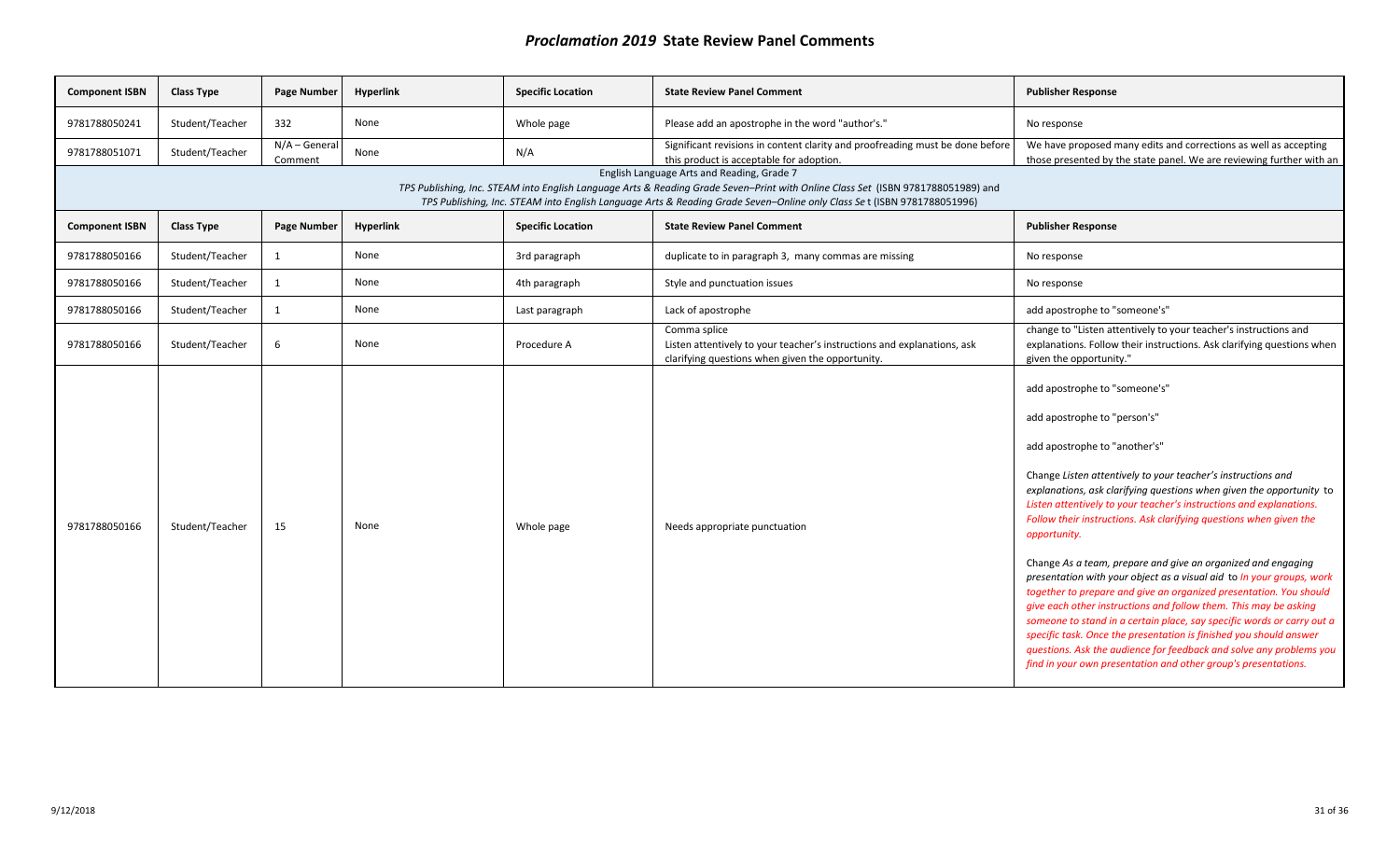| <b>Component ISBN</b> | <b>Class Type</b>                                                                                                                                                                                                                                                                                        | <b>Page Number</b>         | <b>Hyperlink</b> | <b>Specific Location</b> | <b>State Review Panel Comment</b>                                                                                                           | <b>Publisher Response</b>                                                                                                                                                                                                                                                                                                                                                                                                                                                                                                                                                                                                                                                                                                                                                                                                                                                                                                                                                       |  |  |  |  |
|-----------------------|----------------------------------------------------------------------------------------------------------------------------------------------------------------------------------------------------------------------------------------------------------------------------------------------------------|----------------------------|------------------|--------------------------|---------------------------------------------------------------------------------------------------------------------------------------------|---------------------------------------------------------------------------------------------------------------------------------------------------------------------------------------------------------------------------------------------------------------------------------------------------------------------------------------------------------------------------------------------------------------------------------------------------------------------------------------------------------------------------------------------------------------------------------------------------------------------------------------------------------------------------------------------------------------------------------------------------------------------------------------------------------------------------------------------------------------------------------------------------------------------------------------------------------------------------------|--|--|--|--|
| 9781788050241         | Student/Teacher                                                                                                                                                                                                                                                                                          | 332                        | None             | Whole page               | Please add an apostrophe in the word "author's."                                                                                            | No response                                                                                                                                                                                                                                                                                                                                                                                                                                                                                                                                                                                                                                                                                                                                                                                                                                                                                                                                                                     |  |  |  |  |
| 9781788051071         | Student/Teacher                                                                                                                                                                                                                                                                                          | $N/A - General$<br>Comment | None             | N/A                      | Significant revisions in content clarity and proofreading must be done before<br>this product is acceptable for adoption.                   | We have proposed many edits and corrections as well as accepting<br>those presented by the state panel. We are reviewing further with an                                                                                                                                                                                                                                                                                                                                                                                                                                                                                                                                                                                                                                                                                                                                                                                                                                        |  |  |  |  |
|                       | English Language Arts and Reading, Grade 7<br>TPS Publishing, Inc. STEAM into English Language Arts & Reading Grade Seven-Print with Online Class Set (ISBN 9781788051989) and<br>TPS Publishing, Inc. STEAM into English Language Arts & Reading Grade Seven-Online only Class Set (ISBN 9781788051996) |                            |                  |                          |                                                                                                                                             |                                                                                                                                                                                                                                                                                                                                                                                                                                                                                                                                                                                                                                                                                                                                                                                                                                                                                                                                                                                 |  |  |  |  |
| <b>Component ISBN</b> | <b>Class Type</b>                                                                                                                                                                                                                                                                                        | Page Number                | <b>Hyperlink</b> | <b>Specific Location</b> | <b>State Review Panel Comment</b>                                                                                                           | <b>Publisher Response</b>                                                                                                                                                                                                                                                                                                                                                                                                                                                                                                                                                                                                                                                                                                                                                                                                                                                                                                                                                       |  |  |  |  |
| 9781788050166         | Student/Teacher                                                                                                                                                                                                                                                                                          | $\mathbf{1}$               | None             | 3rd paragraph            | duplicate to in paragraph 3, many commas are missing                                                                                        | No response                                                                                                                                                                                                                                                                                                                                                                                                                                                                                                                                                                                                                                                                                                                                                                                                                                                                                                                                                                     |  |  |  |  |
| 9781788050166         | Student/Teacher                                                                                                                                                                                                                                                                                          | $\mathbf{1}$               | None             | 4th paragraph            | Style and punctuation issues                                                                                                                | No response                                                                                                                                                                                                                                                                                                                                                                                                                                                                                                                                                                                                                                                                                                                                                                                                                                                                                                                                                                     |  |  |  |  |
| 9781788050166         | Student/Teacher                                                                                                                                                                                                                                                                                          | $\mathbf{1}$               | None             | Last paragraph           | Lack of apostrophe                                                                                                                          | add apostrophe to "someone's"                                                                                                                                                                                                                                                                                                                                                                                                                                                                                                                                                                                                                                                                                                                                                                                                                                                                                                                                                   |  |  |  |  |
| 9781788050166         | Student/Teacher                                                                                                                                                                                                                                                                                          | 6                          | None             | Procedure A              | Comma splice<br>Listen attentively to your teacher's instructions and explanations, ask<br>clarifying questions when given the opportunity. | change to "Listen attentively to your teacher's instructions and<br>explanations. Follow their instructions. Ask clarifying questions when<br>given the opportunity."                                                                                                                                                                                                                                                                                                                                                                                                                                                                                                                                                                                                                                                                                                                                                                                                           |  |  |  |  |
| 9781788050166         | Student/Teacher                                                                                                                                                                                                                                                                                          | 15                         | None             | Whole page               | Needs appropriate punctuation                                                                                                               | add apostrophe to "someone's"<br>add apostrophe to "person's"<br>add apostrophe to "another's"<br>Change Listen attentively to your teacher's instructions and<br>explanations, ask clarifying questions when given the opportunity to<br>Listen attentively to your teacher's instructions and explanations.<br>Follow their instructions. Ask clarifying questions when given the<br>opportunity.<br>Change As a team, prepare and give an organized and engaging<br>presentation with your object as a visual aid to In your groups, work<br>together to prepare and give an organized presentation. You should<br>give each other instructions and follow them. This may be asking<br>someone to stand in a certain place, say specific words or carry out a<br>specific task. Once the presentation is finished you should answer<br>questions. Ask the audience for feedback and solve any problems you<br>find in your own presentation and other group's presentations. |  |  |  |  |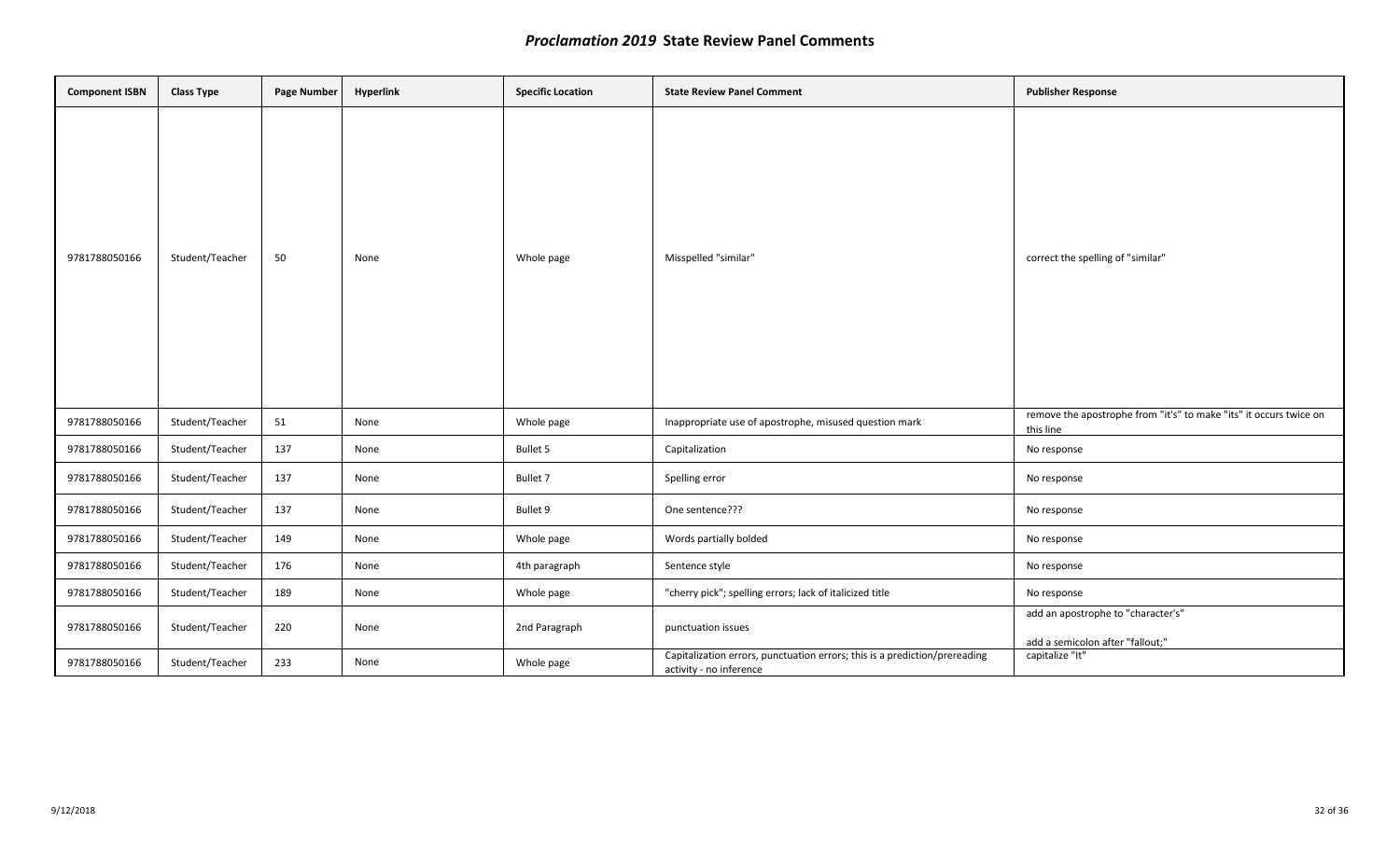| <b>Component ISBN</b> | <b>Class Type</b> | Page Number | Hyperlink | <b>Specific Location</b> | <b>State Review Panel Comment</b>                                                                     | <b>Publisher Response</b>                                                       |
|-----------------------|-------------------|-------------|-----------|--------------------------|-------------------------------------------------------------------------------------------------------|---------------------------------------------------------------------------------|
| 9781788050166         | Student/Teacher   | 50          | None      | Whole page               | Misspelled "similar"                                                                                  | correct the spelling of "similar"                                               |
| 9781788050166         | Student/Teacher   | 51          | None      | Whole page               | Inappropriate use of apostrophe, misused question mark                                                | remove the apostrophe from "it's" to make "its" it occurs twice on<br>this line |
| 9781788050166         | Student/Teacher   | 137         | None      | Bullet 5                 | Capitalization                                                                                        | No response                                                                     |
| 9781788050166         | Student/Teacher   | 137         | None      | Bullet 7                 | Spelling error                                                                                        | No response                                                                     |
| 9781788050166         | Student/Teacher   | 137         | None      | Bullet 9                 | One sentence???                                                                                       | No response                                                                     |
| 9781788050166         | Student/Teacher   | 149         | None      | Whole page               | Words partially bolded                                                                                | No response                                                                     |
| 9781788050166         | Student/Teacher   | 176         | None      | 4th paragraph            | Sentence style                                                                                        | No response                                                                     |
| 9781788050166         | Student/Teacher   | 189         | None      | Whole page               | "cherry pick"; spelling errors; lack of italicized title                                              | No response                                                                     |
| 9781788050166         | Student/Teacher   | 220         | None      | 2nd Paragraph            | punctuation issues                                                                                    | add an apostrophe to "character's"<br>add a semicolon after "fallout;"          |
| 9781788050166         | Student/Teacher   | 233         | None      | Whole page               | Capitalization errors, punctuation errors; this is a prediction/prereading<br>activity - no inference | capitalize "It"                                                                 |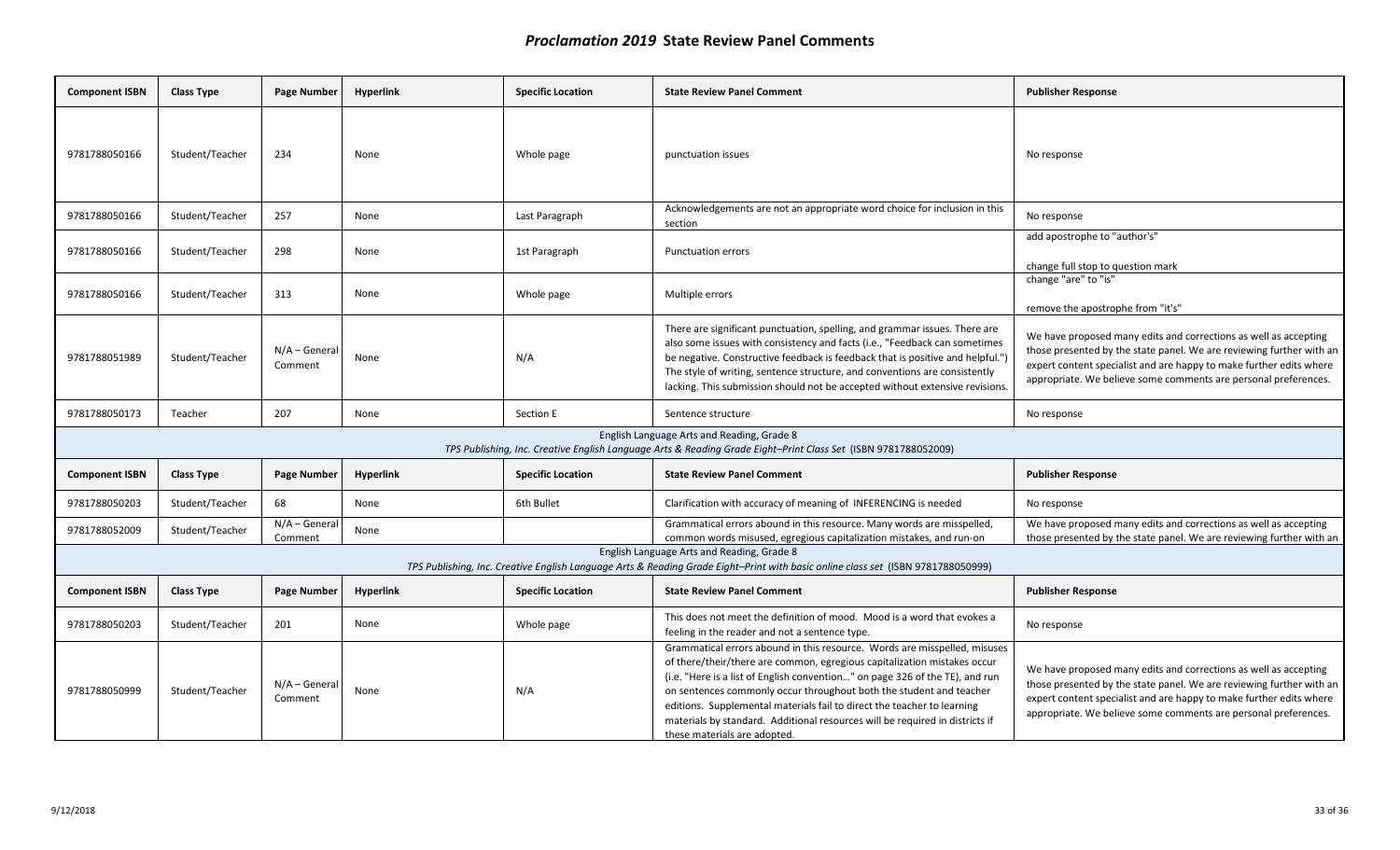| <b>Component ISBN</b>                                                                                                                                        | Class Type        | <b>Page Number</b>         | <b>Hyperlink</b> | <b>Specific Location</b> | <b>State Review Panel Comment</b>                                                                                                                                                                                                                                                                                                                                                                                                                                                                       | <b>Publisher Response</b>                                                                                                                                                                                                                                                          |  |
|--------------------------------------------------------------------------------------------------------------------------------------------------------------|-------------------|----------------------------|------------------|--------------------------|---------------------------------------------------------------------------------------------------------------------------------------------------------------------------------------------------------------------------------------------------------------------------------------------------------------------------------------------------------------------------------------------------------------------------------------------------------------------------------------------------------|------------------------------------------------------------------------------------------------------------------------------------------------------------------------------------------------------------------------------------------------------------------------------------|--|
| 9781788050166                                                                                                                                                | Student/Teacher   | 234                        | None             | Whole page               | punctuation issues                                                                                                                                                                                                                                                                                                                                                                                                                                                                                      | No response                                                                                                                                                                                                                                                                        |  |
| 9781788050166                                                                                                                                                | Student/Teacher   | 257                        | None             | Last Paragraph           | Acknowledgements are not an appropriate word choice for inclusion in this<br>section                                                                                                                                                                                                                                                                                                                                                                                                                    | No response                                                                                                                                                                                                                                                                        |  |
| 9781788050166                                                                                                                                                | Student/Teacher   | 298                        | None             | 1st Paragraph            | <b>Punctuation errors</b>                                                                                                                                                                                                                                                                                                                                                                                                                                                                               | add apostrophe to "author's"<br>change full stop to question mark                                                                                                                                                                                                                  |  |
| 9781788050166                                                                                                                                                | Student/Teacher   | 313                        | None             | Whole page               | Multiple errors                                                                                                                                                                                                                                                                                                                                                                                                                                                                                         | change "are" to "is"<br>remove the apostrophe from "it's"                                                                                                                                                                                                                          |  |
| 9781788051989                                                                                                                                                | Student/Teacher   | $N/A - General$<br>Comment | None             | N/A                      | There are significant punctuation, spelling, and grammar issues. There are<br>also some issues with consistency and facts (i.e., "Feedback can sometimes<br>be negative. Constructive feedback is feedback that is positive and helpful."<br>The style of writing, sentence structure, and conventions are consistently<br>lacking. This submission should not be accepted without extensive revisions.                                                                                                 | We have proposed many edits and corrections as well as accepting<br>those presented by the state panel. We are reviewing further with an<br>expert content specialist and are happy to make further edits where<br>appropriate. We believe some comments are personal preferences. |  |
| 9781788050173                                                                                                                                                | Teacher           | 207                        | None             | Section E                | Sentence structure                                                                                                                                                                                                                                                                                                                                                                                                                                                                                      | No response                                                                                                                                                                                                                                                                        |  |
| English Language Arts and Reading, Grade 8<br>TPS Publishing, Inc. Creative English Language Arts & Reading Grade Eight-Print Class Set (ISBN 9781788052009) |                   |                            |                  |                          |                                                                                                                                                                                                                                                                                                                                                                                                                                                                                                         |                                                                                                                                                                                                                                                                                    |  |
| <b>Component ISBN</b>                                                                                                                                        | <b>Class Type</b> | <b>Page Number</b>         | <b>Hyperlink</b> | <b>Specific Location</b> | <b>State Review Panel Comment</b>                                                                                                                                                                                                                                                                                                                                                                                                                                                                       | <b>Publisher Response</b>                                                                                                                                                                                                                                                          |  |
| 9781788050203                                                                                                                                                | Student/Teacher   | 68                         | None             | 6th Bullet               | Clarification with accuracy of meaning of INFERENCING is needed                                                                                                                                                                                                                                                                                                                                                                                                                                         | No response                                                                                                                                                                                                                                                                        |  |
| 9781788052009                                                                                                                                                | Student/Teacher   | $N/A - General$<br>Comment | None             |                          | Grammatical errors abound in this resource. Many words are misspelled,<br>common words misused, egregious capitalization mistakes, and run-on                                                                                                                                                                                                                                                                                                                                                           | We have proposed many edits and corrections as well as accepting<br>those presented by the state panel. We are reviewing further with an                                                                                                                                           |  |
|                                                                                                                                                              |                   |                            |                  |                          | English Language Arts and Reading, Grade 8<br>TPS Publishing, Inc. Creative English Language Arts & Reading Grade Eight-Print with basic online class set (ISBN 9781788050999)                                                                                                                                                                                                                                                                                                                          |                                                                                                                                                                                                                                                                                    |  |
| <b>Component ISBN</b>                                                                                                                                        | <b>Class Type</b> | <b>Page Number</b>         | <b>Hyperlink</b> | <b>Specific Location</b> | <b>State Review Panel Comment</b>                                                                                                                                                                                                                                                                                                                                                                                                                                                                       | <b>Publisher Response</b>                                                                                                                                                                                                                                                          |  |
| 9781788050203                                                                                                                                                | Student/Teacher   | 201                        | None             | Whole page               | This does not meet the definition of mood. Mood is a word that evokes a<br>feeling in the reader and not a sentence type.                                                                                                                                                                                                                                                                                                                                                                               | No response                                                                                                                                                                                                                                                                        |  |
| 9781788050999                                                                                                                                                | Student/Teacher   | $N/A - General$<br>Comment | None             | N/A                      | Grammatical errors abound in this resource. Words are misspelled, misuses<br>of there/their/there are common, egregious capitalization mistakes occur<br>(i.e. "Here is a list of English convention" on page 326 of the TE), and run<br>on sentences commonly occur throughout both the student and teacher<br>editions. Supplemental materials fail to direct the teacher to learning<br>materials by standard. Additional resources will be required in districts if<br>these materials are adopted. | We have proposed many edits and corrections as well as accepting<br>those presented by the state panel. We are reviewing further with an<br>expert content specialist and are happy to make further edits where<br>appropriate. We believe some comments are personal preferences. |  |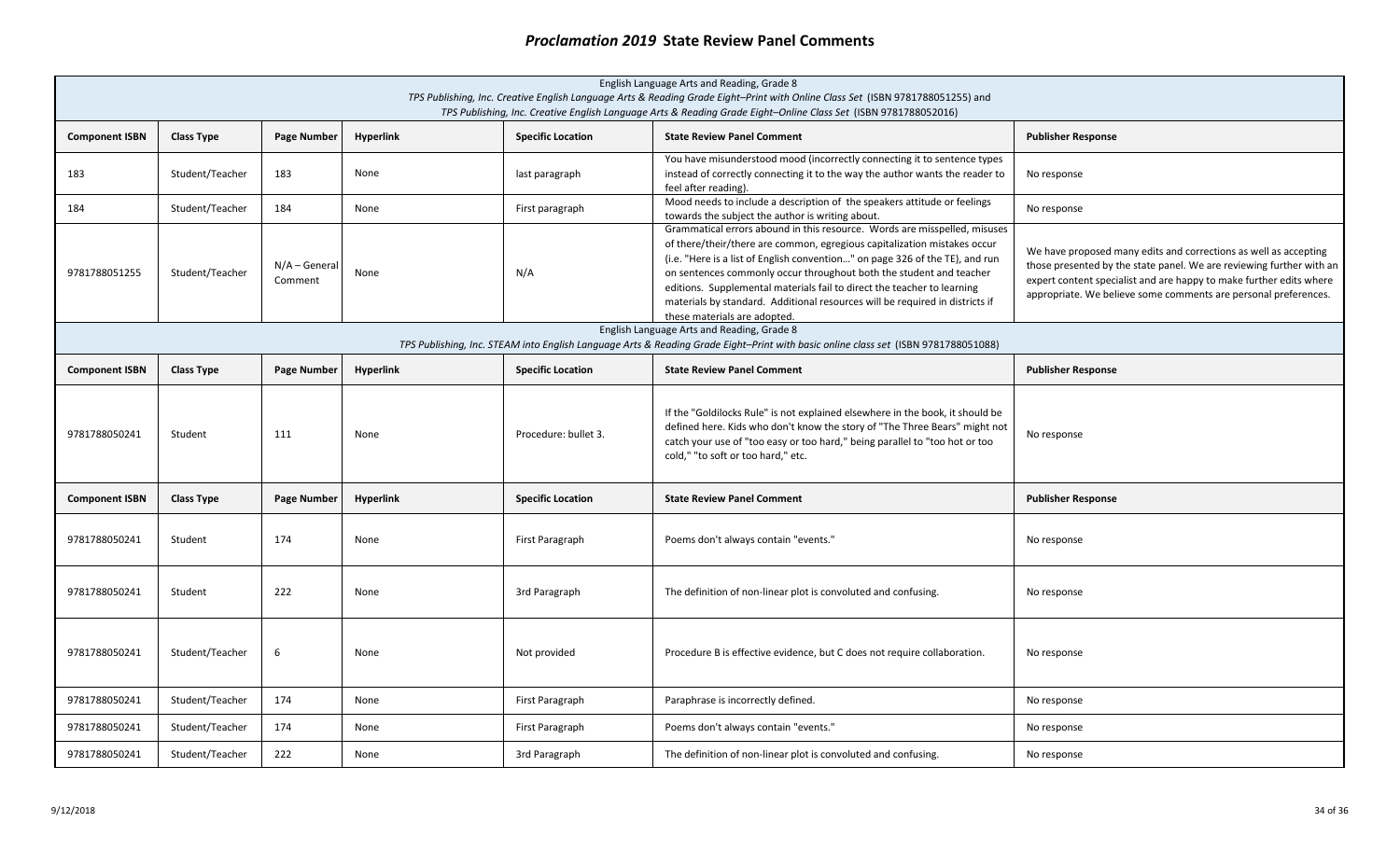|                       | English Language Arts and Reading, Grade 8<br>TPS Publishing, Inc. Creative English Language Arts & Reading Grade Eight-Print with Online Class Set (ISBN 9781788051255) and<br>TPS Publishing, Inc. Creative English Language Arts & Reading Grade Eight-Online Class Set (ISBN 9781788052016) |                            |                  |                          |                                                                                                                                                                                                                                                                                                                                                                                                                                                                                                         |                                                                                                                                                                                                                                                                                    |  |  |  |
|-----------------------|-------------------------------------------------------------------------------------------------------------------------------------------------------------------------------------------------------------------------------------------------------------------------------------------------|----------------------------|------------------|--------------------------|---------------------------------------------------------------------------------------------------------------------------------------------------------------------------------------------------------------------------------------------------------------------------------------------------------------------------------------------------------------------------------------------------------------------------------------------------------------------------------------------------------|------------------------------------------------------------------------------------------------------------------------------------------------------------------------------------------------------------------------------------------------------------------------------------|--|--|--|
| <b>Component ISBN</b> | <b>Class Type</b>                                                                                                                                                                                                                                                                               | Page Number                | <b>Hyperlink</b> | <b>Specific Location</b> | <b>State Review Panel Comment</b>                                                                                                                                                                                                                                                                                                                                                                                                                                                                       | <b>Publisher Response</b>                                                                                                                                                                                                                                                          |  |  |  |
| 183                   | Student/Teacher                                                                                                                                                                                                                                                                                 | 183                        | None             | last paragraph           | You have misunderstood mood (incorrectly connecting it to sentence types<br>instead of correctly connecting it to the way the author wants the reader to<br>feel after reading).                                                                                                                                                                                                                                                                                                                        | No response                                                                                                                                                                                                                                                                        |  |  |  |
| 184                   | Student/Teacher                                                                                                                                                                                                                                                                                 | 184                        | None             | First paragraph          | Mood needs to include a description of the speakers attitude or feelings<br>towards the subject the author is writing about.                                                                                                                                                                                                                                                                                                                                                                            | No response                                                                                                                                                                                                                                                                        |  |  |  |
| 9781788051255         | Student/Teacher                                                                                                                                                                                                                                                                                 | $N/A - General$<br>Comment | None             | N/A                      | Grammatical errors abound in this resource. Words are misspelled, misuses<br>of there/their/there are common, egregious capitalization mistakes occur<br>(i.e. "Here is a list of English convention" on page 326 of the TE), and run<br>on sentences commonly occur throughout both the student and teacher<br>editions. Supplemental materials fail to direct the teacher to learning<br>materials by standard. Additional resources will be required in districts if<br>these materials are adopted. | We have proposed many edits and corrections as well as accepting<br>those presented by the state panel. We are reviewing further with an<br>expert content specialist and are happy to make further edits where<br>appropriate. We believe some comments are personal preferences. |  |  |  |
|                       | English Language Arts and Reading, Grade 8<br>TPS Publishing, Inc. STEAM into English Language Arts & Reading Grade Eight-Print with basic online class set (ISBN 9781788051088)                                                                                                                |                            |                  |                          |                                                                                                                                                                                                                                                                                                                                                                                                                                                                                                         |                                                                                                                                                                                                                                                                                    |  |  |  |
| <b>Component ISBN</b> | <b>Class Type</b>                                                                                                                                                                                                                                                                               | Page Number                | <b>Hyperlink</b> | <b>Specific Location</b> | <b>State Review Panel Comment</b>                                                                                                                                                                                                                                                                                                                                                                                                                                                                       | <b>Publisher Response</b>                                                                                                                                                                                                                                                          |  |  |  |
| 9781788050241         | Student                                                                                                                                                                                                                                                                                         | 111                        | None             | Procedure: bullet 3.     | If the "Goldilocks Rule" is not explained elsewhere in the book, it should be<br>defined here. Kids who don't know the story of "The Three Bears" might not<br>catch your use of "too easy or too hard," being parallel to "too hot or too<br>cold," "to soft or too hard," etc.                                                                                                                                                                                                                        | No response                                                                                                                                                                                                                                                                        |  |  |  |
| <b>Component ISBN</b> | <b>Class Type</b>                                                                                                                                                                                                                                                                               | Page Number                | <b>Hyperlink</b> | <b>Specific Location</b> | <b>State Review Panel Comment</b>                                                                                                                                                                                                                                                                                                                                                                                                                                                                       | <b>Publisher Response</b>                                                                                                                                                                                                                                                          |  |  |  |
| 9781788050241         | Student                                                                                                                                                                                                                                                                                         | 174                        | None             | First Paragraph          | Poems don't always contain "events."                                                                                                                                                                                                                                                                                                                                                                                                                                                                    | No response                                                                                                                                                                                                                                                                        |  |  |  |
| 9781788050241         | Student                                                                                                                                                                                                                                                                                         | 222                        | None             | 3rd Paragraph            | The definition of non-linear plot is convoluted and confusing.                                                                                                                                                                                                                                                                                                                                                                                                                                          | No response                                                                                                                                                                                                                                                                        |  |  |  |
| 9781788050241         | Student/Teacher                                                                                                                                                                                                                                                                                 | 6                          | None             | Not provided             | Procedure B is effective evidence, but C does not require collaboration.                                                                                                                                                                                                                                                                                                                                                                                                                                | No response                                                                                                                                                                                                                                                                        |  |  |  |
| 9781788050241         | Student/Teacher                                                                                                                                                                                                                                                                                 | 174                        | None             | First Paragraph          | Paraphrase is incorrectly defined.                                                                                                                                                                                                                                                                                                                                                                                                                                                                      | No response                                                                                                                                                                                                                                                                        |  |  |  |
| 9781788050241         | Student/Teacher                                                                                                                                                                                                                                                                                 | 174                        | None             | First Paragraph          | Poems don't always contain "events."                                                                                                                                                                                                                                                                                                                                                                                                                                                                    | No response                                                                                                                                                                                                                                                                        |  |  |  |
| 9781788050241         | Student/Teacher                                                                                                                                                                                                                                                                                 | 222                        | None             | 3rd Paragraph            | The definition of non-linear plot is convoluted and confusing.                                                                                                                                                                                                                                                                                                                                                                                                                                          | No response                                                                                                                                                                                                                                                                        |  |  |  |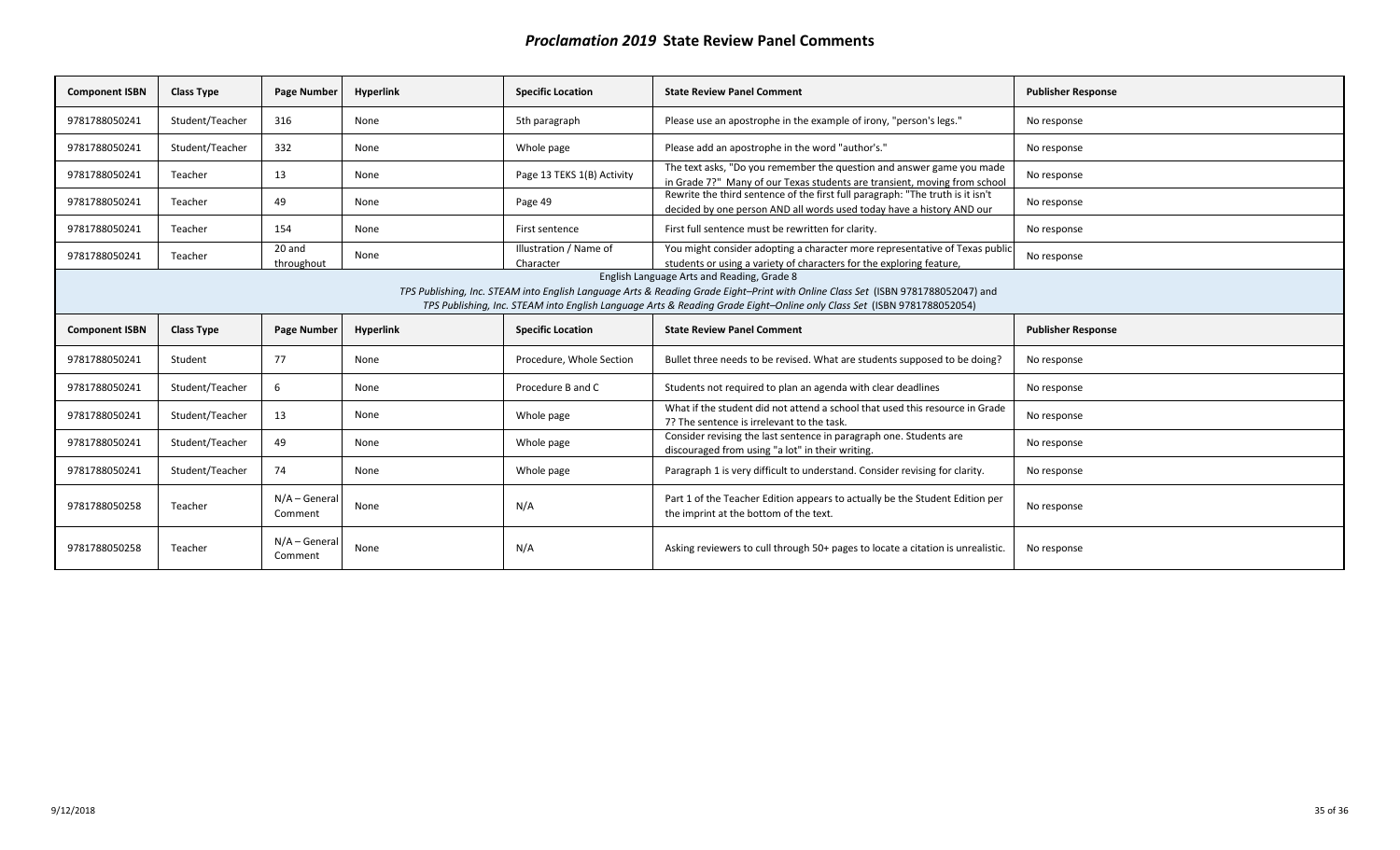| <b>Component ISBN</b>                                                                                                                                                          | <b>Class Type</b> | Page Number                | <b>Hyperlink</b> | <b>Specific Location</b>            | <b>State Review Panel Comment</b>                                                                                                                       | <b>Publisher Response</b> |  |  |  |
|--------------------------------------------------------------------------------------------------------------------------------------------------------------------------------|-------------------|----------------------------|------------------|-------------------------------------|---------------------------------------------------------------------------------------------------------------------------------------------------------|---------------------------|--|--|--|
| 9781788050241                                                                                                                                                                  | Student/Teacher   | 316                        | None             | 5th paragraph                       | Please use an apostrophe in the example of irony, "person's legs."                                                                                      | No response               |  |  |  |
| 9781788050241                                                                                                                                                                  | Student/Teacher   | 332                        | None             | Whole page                          | Please add an apostrophe in the word "author's."                                                                                                        | No response               |  |  |  |
| 9781788050241                                                                                                                                                                  | Teacher           | 13                         | None             | Page 13 TEKS 1(B) Activity          | The text asks, "Do you remember the question and answer game you made<br>in Grade 7?" Many of our Texas students are transient, moving from school      | No response               |  |  |  |
| 9781788050241                                                                                                                                                                  | Teacher           | 49                         | None             | Page 49                             | Rewrite the third sentence of the first full paragraph: "The truth is it isn't<br>decided by one person AND all words used today have a history AND our | No response               |  |  |  |
| 9781788050241                                                                                                                                                                  | Teacher           | 154                        | None             | First sentence                      | First full sentence must be rewritten for clarity.                                                                                                      | No response               |  |  |  |
| 9781788050241                                                                                                                                                                  | Teacher           | 20 and<br>throughout       | None             | Illustration / Name of<br>Character | You might consider adopting a character more representative of Texas public<br>students or using a variety of characters for the exploring feature,     | No response               |  |  |  |
| English Language Arts and Reading, Grade 8<br>TPS Publishing, Inc. STEAM into English Language Arts & Reading Grade Eight-Print with Online Class Set (ISBN 9781788052047) and |                   |                            |                  |                                     |                                                                                                                                                         |                           |  |  |  |
| TPS Publishing, Inc. STEAM into English Language Arts & Reading Grade Eight-Online only Class Set (ISBN 9781788052054)                                                         |                   |                            |                  |                                     |                                                                                                                                                         |                           |  |  |  |
| <b>Component ISBN</b>                                                                                                                                                          | <b>Class Type</b> | Page Number                | <b>Hyperlink</b> | <b>Specific Location</b>            | <b>State Review Panel Comment</b>                                                                                                                       | <b>Publisher Response</b> |  |  |  |
| 9781788050241                                                                                                                                                                  | Student           | 77                         | None             | Procedure, Whole Section            | Bullet three needs to be revised. What are students supposed to be doing?                                                                               | No response               |  |  |  |
| 9781788050241                                                                                                                                                                  | Student/Teacher   | 6                          | None             | Procedure B and C                   | Students not required to plan an agenda with clear deadlines                                                                                            | No response               |  |  |  |
| 9781788050241                                                                                                                                                                  | Student/Teacher   | 13                         | None             | Whole page                          | What if the student did not attend a school that used this resource in Grade<br>7? The sentence is irrelevant to the task.                              | No response               |  |  |  |
| 9781788050241                                                                                                                                                                  | Student/Teacher   | 49                         | None             | Whole page                          | Consider revising the last sentence in paragraph one. Students are<br>discouraged from using "a lot" in their writing.                                  | No response               |  |  |  |
| 9781788050241                                                                                                                                                                  | Student/Teacher   | 74                         | None             | Whole page                          | Paragraph 1 is very difficult to understand. Consider revising for clarity.                                                                             | No response               |  |  |  |
| 9781788050258                                                                                                                                                                  | Teacher           | $N/A - General$<br>Comment | None             | N/A                                 | Part 1 of the Teacher Edition appears to actually be the Student Edition per<br>the imprint at the bottom of the text.                                  | No response               |  |  |  |
| 9781788050258                                                                                                                                                                  | Teacher           | $N/A - General$<br>Comment | None             | N/A                                 | Asking reviewers to cull through 50+ pages to locate a citation is unrealistic.                                                                         | No response               |  |  |  |